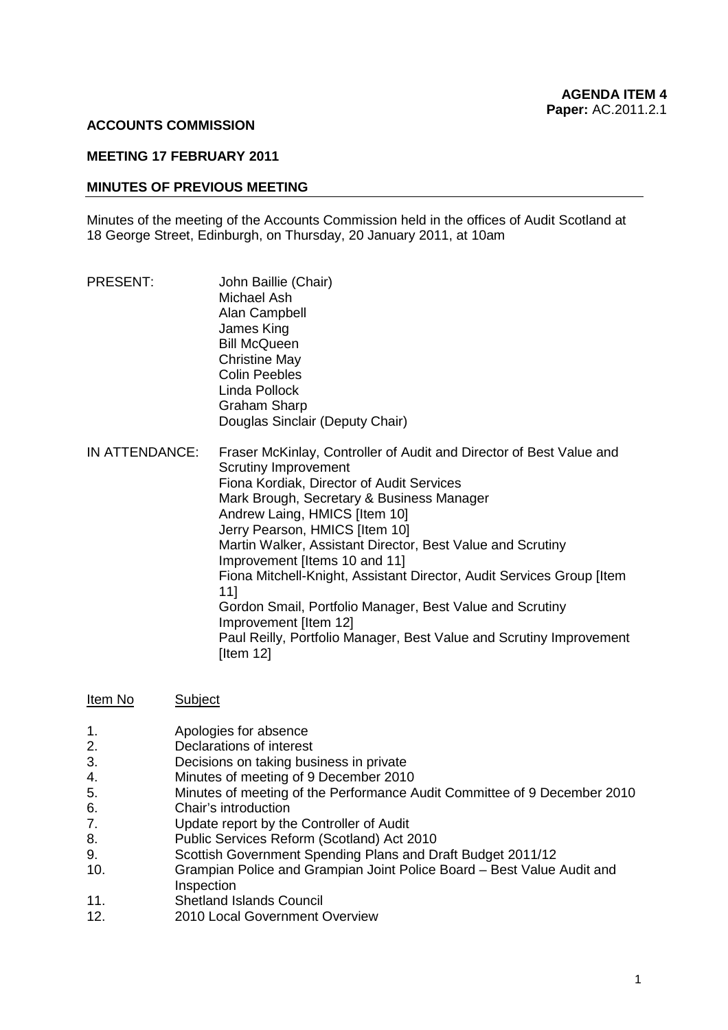#### **ACCOUNTS COMMISSION**

#### **MEETING 17 FEBRUARY 2011**

#### **MINUTES OF PREVIOUS MEETING**

Minutes of the meeting of the Accounts Commission held in the offices of Audit Scotland at 18 George Street, Edinburgh, on Thursday, 20 January 2011, at 10am

| PRESENT:       | John Baillie (Chair)<br>Michael Ash<br>Alan Campbell<br>James King<br><b>Bill McQueen</b><br><b>Christine May</b><br><b>Colin Peebles</b><br>Linda Pollock<br>Graham Sharp<br>Douglas Sinclair (Deputy Chair)                                                                                                                                                                                                                                                                                                                                                                                                              |
|----------------|----------------------------------------------------------------------------------------------------------------------------------------------------------------------------------------------------------------------------------------------------------------------------------------------------------------------------------------------------------------------------------------------------------------------------------------------------------------------------------------------------------------------------------------------------------------------------------------------------------------------------|
| IN ATTENDANCE: | Fraser McKinlay, Controller of Audit and Director of Best Value and<br><b>Scrutiny Improvement</b><br>Fiona Kordiak, Director of Audit Services<br>Mark Brough, Secretary & Business Manager<br>Andrew Laing, HMICS [Item 10]<br>Jerry Pearson, HMICS [Item 10]<br>Martin Walker, Assistant Director, Best Value and Scrutiny<br>Improvement [Items 10 and 11]<br>Fiona Mitchell-Knight, Assistant Director, Audit Services Group [Item<br>11]<br>Gordon Smail, Portfolio Manager, Best Value and Scrutiny<br>Improvement [Item 12]<br>Paul Reilly, Portfolio Manager, Best Value and Scrutiny Improvement<br>[Item $12$ ] |

| <u>Item No</u> | Subject |
|----------------|---------|

- 1. Apologies for absence
- 2. Declarations of interest
- 3. Decisions on taking business in private
- 4. Minutes of meeting of 9 December 2010
- 5. Minutes of meeting of the Performance Audit Committee of 9 December 2010
- 6. Chair's introduction
- 7. Update report by the Controller of Audit
- 8. Public Services Reform (Scotland) Act 2010
- 9. Scottish Government Spending Plans and Draft Budget 2011/12
- 10. Grampian Police and Grampian Joint Police Board Best Value Audit and Inspection
- 11. Shetland Islands Council<br>12. 2010 Local Government (
- 2010 Local Government Overview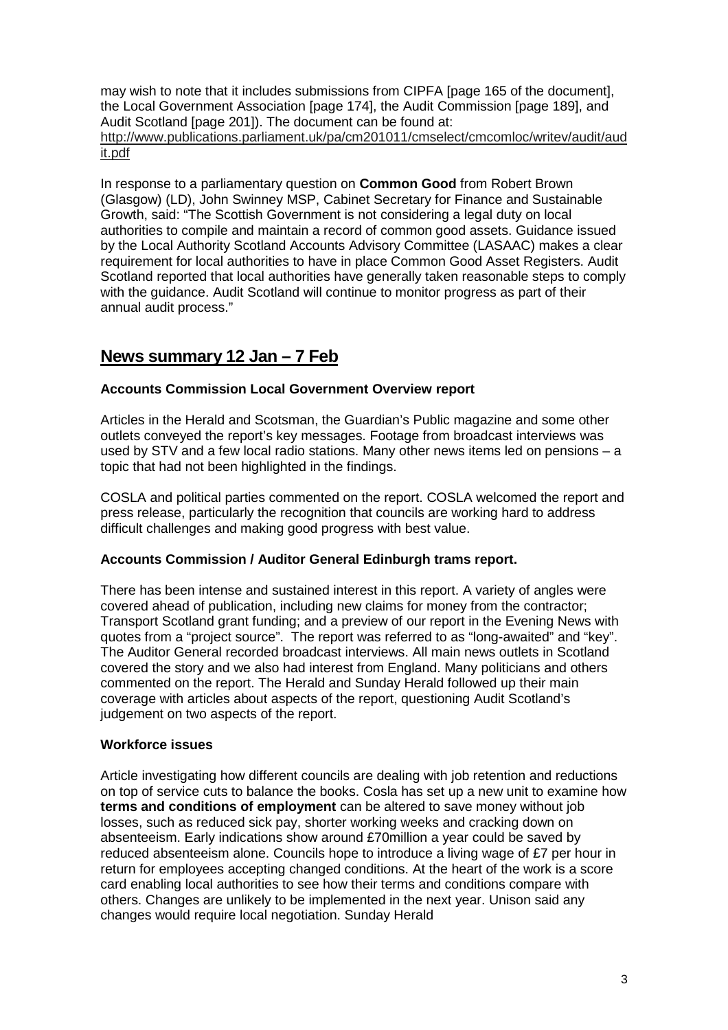may wish to note that it includes submissions from CIPFA [page 165 of the document], the Local Government Association [page 174], the Audit Commission [page 189], and Audit Scotland [page 201]). The document can be found at: http://www.publications.parliament.uk/pa/cm201011/cmselect/cmcomloc/writev/audit/aud it.pdf

 by the Local Authority Scotland Accounts Advisory Committee (LASAAC) makes a clear with the guidance. Audit Scotland will continue to monitor progress as part of their In response to a parliamentary question on **Common Good** from Robert Brown (Glasgow) (LD), John Swinney MSP, Cabinet Secretary for Finance and Sustainable Growth, said: "The Scottish Government is not considering a legal duty on local authorities to compile and maintain a record of common good assets. Guidance issued requirement for local authorities to have in place Common Good Asset Registers. Audit Scotland reported that local authorities have generally taken reasonable steps to comply annual audit process."

## **News summary 12 Jan – 7 Feb**

#### **Accounts Commission Local Government Overview report**

Articles in the Herald and Scotsman, the Guardian's Public magazine and some other outlets conveyed the report's key messages. Footage from broadcast interviews was used by STV and a few local radio stations. Many other news items led on pensions – a topic that had not been highlighted in the findings.

COSLA and political parties commented on the report. COSLA welcomed the report and press release, particularly the recognition that councils are working hard to address difficult challenges and making good progress with best value.

#### **Accounts Commission / Auditor General Edinburgh trams report.**

 covered ahead of publication, including new claims for money from the contractor; quotes from a "project source". The report was referred to as "long-awaited" and "key". covered the story and we also had interest from England. Many politicians and others There has been intense and sustained interest in this report. A variety of angles were Transport Scotland grant funding; and a preview of our report in the Evening News with The Auditor General recorded broadcast interviews. All main news outlets in Scotland commented on the report. The Herald and Sunday Herald followed up their main coverage with articles about aspects of the report, questioning Audit Scotland's judgement on two aspects of the report.

#### **Workforce issues**

Article investigating how different councils are dealing with job retention and reductions on top of service cuts to balance the books. Cosla has set up a new unit to examine how **terms and conditions of employment** can be altered to save money without job losses, such as reduced sick pay, shorter working weeks and cracking down on absenteeism. Early indications show around £70million a year could be saved by reduced absenteeism alone. Councils hope to introduce a living wage of £7 per hour in return for employees accepting changed conditions. At the heart of the work is a score card enabling local authorities to see how their terms and conditions compare with others. Changes are unlikely to be implemented in the next year. Unison said any changes would require local negotiation. Sunday Herald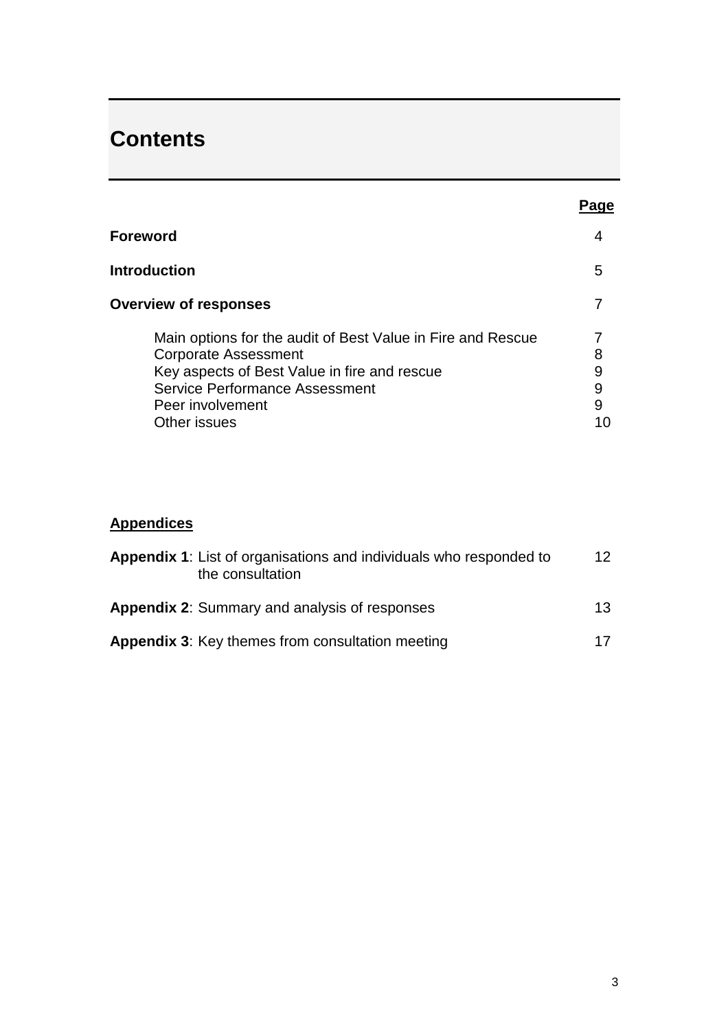# **Contents**

|                                                                                                                                                                                                                  | Page                   |
|------------------------------------------------------------------------------------------------------------------------------------------------------------------------------------------------------------------|------------------------|
| Foreword                                                                                                                                                                                                         | 4                      |
| <b>Introduction</b>                                                                                                                                                                                              | 5                      |
| <b>Overview of responses</b>                                                                                                                                                                                     |                        |
| Main options for the audit of Best Value in Fire and Rescue<br><b>Corporate Assessment</b><br>Key aspects of Best Value in fire and rescue<br>Service Performance Assessment<br>Peer involvement<br>Other issues | 8<br>9<br>9<br>9<br>10 |

## **Appendices**

| <b>Appendix 1:</b> List of organisations and individuals who responded to<br>the consultation | 12 <sup>°</sup> |
|-----------------------------------------------------------------------------------------------|-----------------|
| <b>Appendix 2: Summary and analysis of responses</b>                                          | 13 <sup>°</sup> |
| <b>Appendix 3: Key themes from consultation meeting</b>                                       | 17              |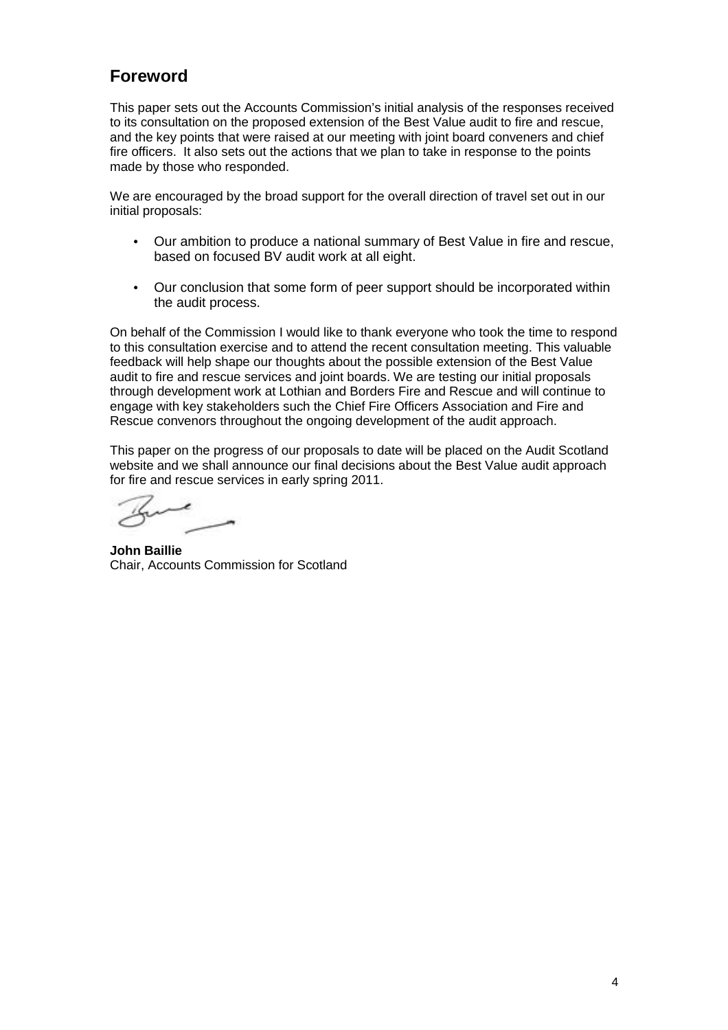## **Foreword**

This paper sets out the Accounts Commission's initial analysis of the responses received to its consultation on the proposed extension of the Best Value audit to fire and rescue, and the key points that were raised at our meeting with joint board conveners and chief fire officers. It also sets out the actions that we plan to take in response to the points made by those who responded.

We are encouraged by the broad support for the overall direction of travel set out in our initial proposals:

- Our ambition to produce a national summary of Best Value in fire and rescue, based on focused BV audit work at all eight.
- Our conclusion that some form of peer support should be incorporated within the audit process.

Rescue convenors throughout the ongoing development of the audit approach. On behalf of the Commission I would like to thank everyone who took the time to respond to this consultation exercise and to attend the recent consultation meeting. This valuable feedback will help shape our thoughts about the possible extension of the Best Value audit to fire and rescue services and joint boards. We are testing our initial proposals through development work at Lothian and Borders Fire and Rescue and will continue to engage with key stakeholders such the Chief Fire Officers Association and Fire and

This paper on the progress of our proposals to date will be placed on the Audit Scotland website and we shall announce our final decisions about the Best Value audit approach for fire and rescue services in early spring 2011.

**John Baillie**  Chair, Accounts Commission for Scotland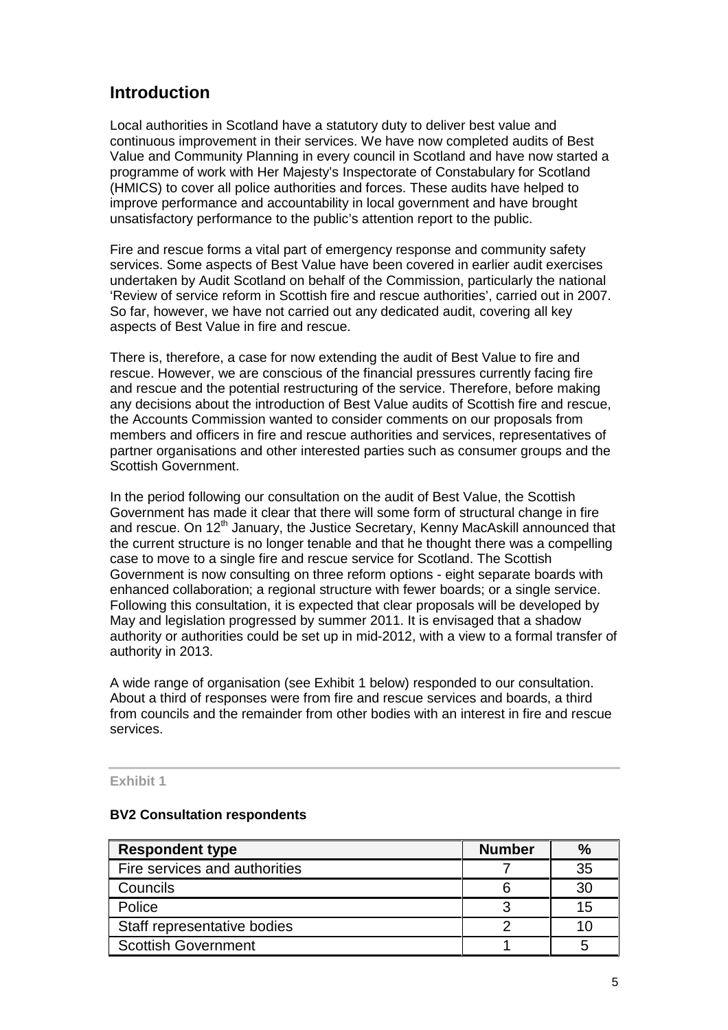## **Introduction**

 continuous improvement in their services. We have now completed audits of Best (HMICS) to cover all police authorities and forces. These audits have helped to Local authorities in Scotland have a statutory duty to deliver best value and Value and Community Planning in every council in Scotland and have now started a programme of work with Her Majesty's Inspectorate of Constabulary for Scotland improve performance and accountability in local government and have brought unsatisfactory performance to the public's attention report to the public.

 Fire and rescue forms a vital part of emergency response and community safety services. Some aspects of Best Value have been covered in earlier audit exercises undertaken by Audit Scotland on behalf of the Commission, particularly the national 'Review of service reform in Scottish fire and rescue authorities', carried out in 2007. So far, however, we have not carried out any dedicated audit, covering all key aspects of Best Value in fire and rescue.

 rescue. However, we are conscious of the financial pressures currently facing fire and rescue and the potential restructuring of the service. Therefore, before making There is, therefore, a case for now extending the audit of Best Value to fire and any decisions about the introduction of Best Value audits of Scottish fire and rescue, the Accounts Commission wanted to consider comments on our proposals from members and officers in fire and rescue authorities and services, representatives of partner organisations and other interested parties such as consumer groups and the Scottish Government.

authority in 2013. In the period following our consultation on the audit of Best Value, the Scottish Government has made it clear that there will some form of structural change in fire and rescue. On 12<sup>th</sup> January, the Justice Secretary, Kenny MacAskill announced that the current structure is no longer tenable and that he thought there was a compelling case to move to a single fire and rescue service for Scotland. The Scottish Government is now consulting on three reform options - eight separate boards with enhanced collaboration; a regional structure with fewer boards; or a single service. Following this consultation, it is expected that clear proposals will be developed by May and legislation progressed by summer 2011. It is envisaged that a shadow authority or authorities could be set up in mid-2012, with a view to a formal transfer of

A wide range of organisation (see Exhibit 1 below) responded to our consultation. About a third of responses were from fire and rescue services and boards, a third from councils and the remainder from other bodies with an interest in fire and rescue services.

#### **Exhibit 1**

#### **BV2 Consultation respondents**

| <b>Respondent type</b>        | <b>Number</b> |    |
|-------------------------------|---------------|----|
| Fire services and authorities |               | 35 |
| Councils                      |               | 30 |
| Police                        |               | 15 |
| Staff representative bodies   |               |    |
| <b>Scottish Government</b>    |               |    |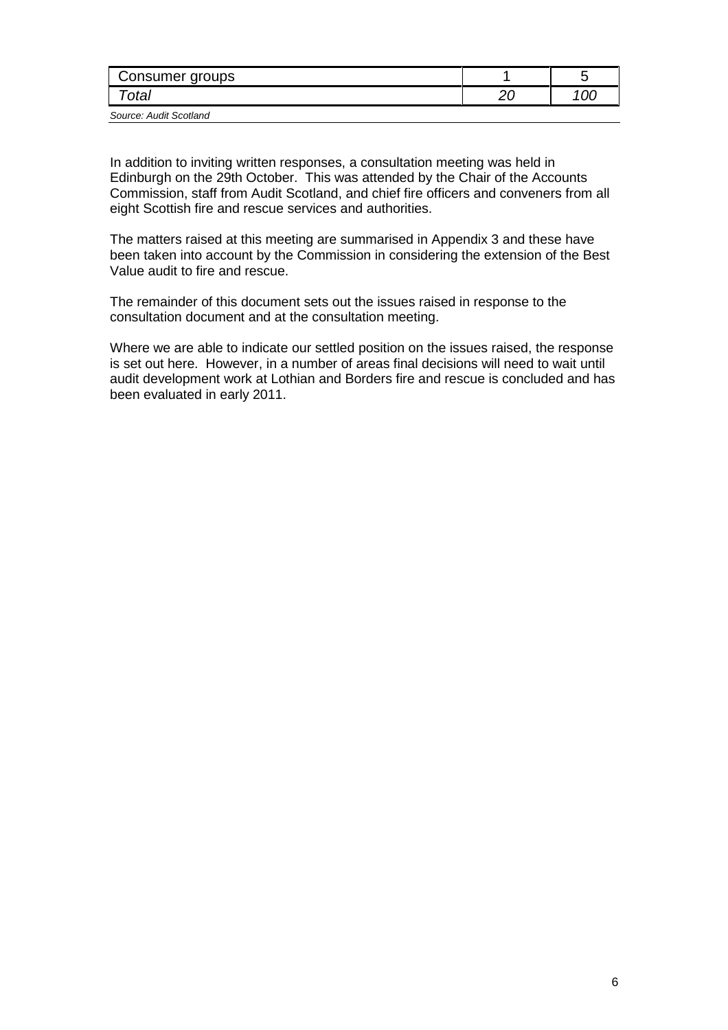| Consumer groups        |  |
|------------------------|--|
| otal                   |  |
| Source: Audit Scotland |  |

 Edinburgh on the 29th October. This was attended by the Chair of the Accounts Commission, staff from Audit Scotland, and chief fire officers and conveners from all eight Scottish fire and rescue services and authorities. In addition to inviting written responses, a consultation meeting was held in

eight Scottish fire and rescue services and authorities.<br>The matters raised at this meeting are summarised in Appendix 3 and these have been taken into account by the Commission in considering the extension of the Best Value audit to fire and rescue.

The remainder of this document sets out the issues raised in response to the consultation document and at the consultation meeting.

 is set out here. However, in a number of areas final decisions will need to wait until been evaluated in early 2011. Where we are able to indicate our settled position on the issues raised, the response audit development work at Lothian and Borders fire and rescue is concluded and has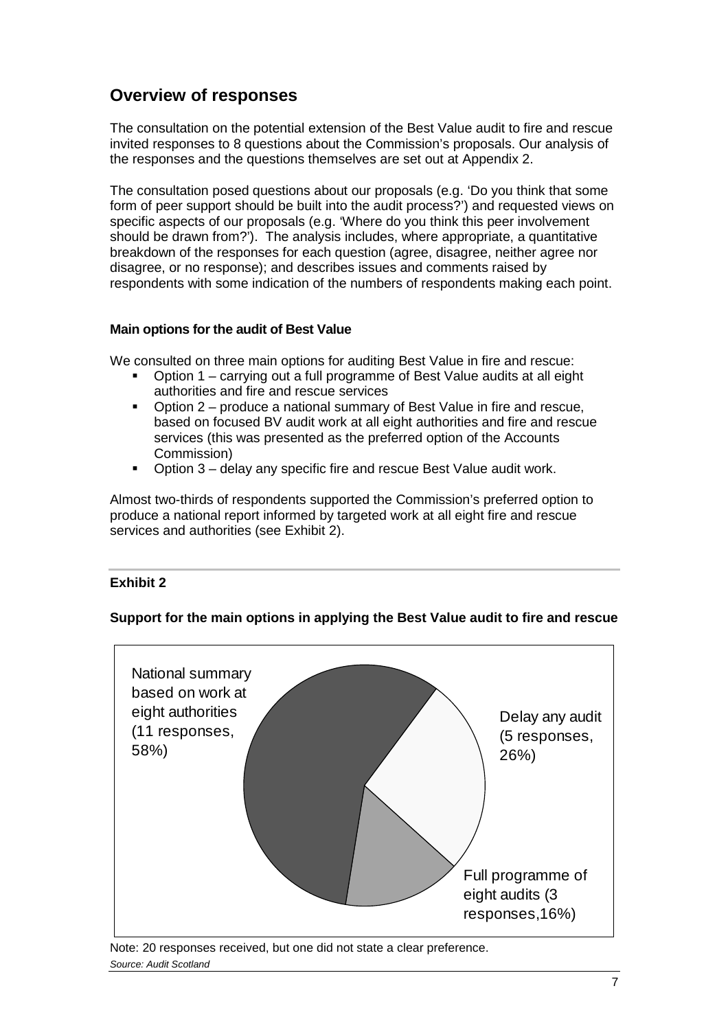## **Overview of responses**

 The consultation on the potential extension of the Best Value audit to fire and rescue invited responses to 8 questions about the Commission's proposals. Our analysis of the responses and the questions themselves are set out at Appendix 2.

 The consultation posed questions about our proposals (e.g. 'Do you think that some should be drawn from?'). The analysis includes, where appropriate, a quantitative disagree, or no response); and describes issues and comments raised by form of peer support should be built into the audit process?') and requested views on specific aspects of our proposals (e.g. 'Where do you think this peer involvement breakdown of the responses for each question (agree, disagree, neither agree nor respondents with some indication of the numbers of respondents making each point.

#### **Main options for the audit of Best Value**

We consulted on three main options for auditing Best Value in fire and rescue:

- Option 1 carrying out a full programme of Best Value audits at all eight authorities and fire and rescue services
- Option 2 produce a national summary of Best Value in fire and rescue, based on focused BV audit work at all eight authorities and fire and rescue services (this was presented as the preferred option of the Accounts Commission)
- Option 3 delay any specific fire and rescue Best Value audit work.

Almost two-thirds of respondents supported the Commission's preferred option to produce a national report informed by targeted work at all eight fire and rescue services and authorities (see Exhibit 2).

#### **Exhibit 2**

#### **Support for the main options in applying the Best Value audit to fire and rescue**



Note: 20 responses received, but one did not state a clear preference. *Source: Audit Scotland*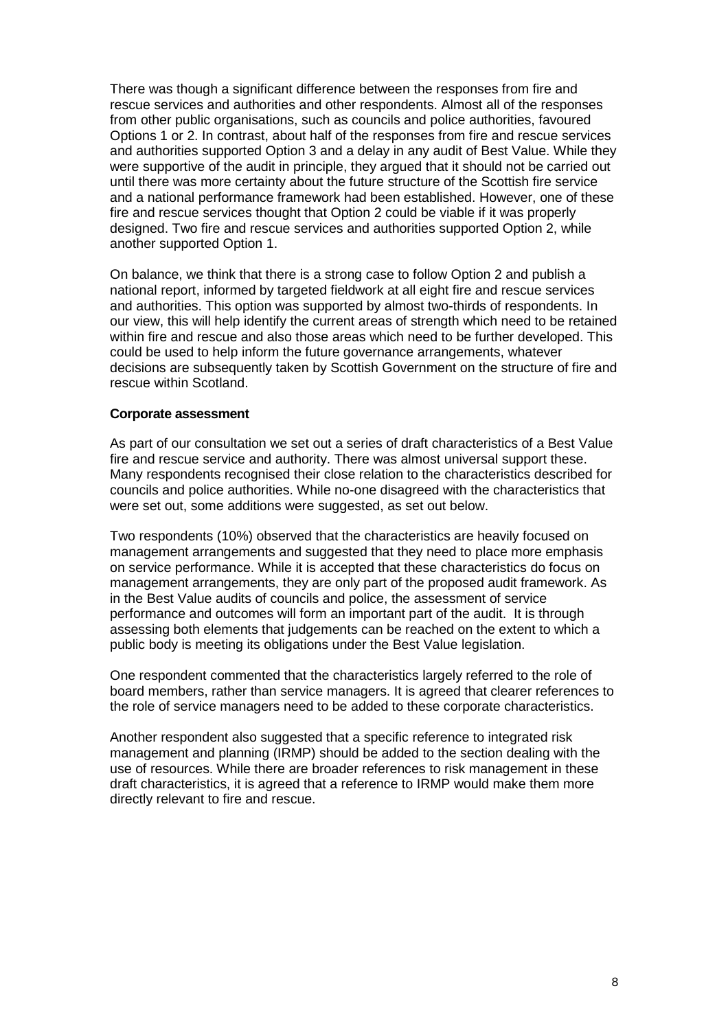were supportive of the audit in principle, they argued that it should not be carried out There was though a significant difference between the responses from fire and rescue services and authorities and other respondents. Almost all of the responses from other public organisations, such as councils and police authorities, favoured Options 1 or 2. In contrast, about half of the responses from fire and rescue services and authorities supported Option 3 and a delay in any audit of Best Value. While they until there was more certainty about the future structure of the Scottish fire service and a national performance framework had been established. However, one of these fire and rescue services thought that Option 2 could be viable if it was properly designed. Two fire and rescue services and authorities supported Option 2, while another supported Option 1.

 On balance, we think that there is a strong case to follow Option 2 and publish a national report, informed by targeted fieldwork at all eight fire and rescue services could be used to help inform the future governance arrangements, whatever and authorities. This option was supported by almost two-thirds of respondents. In our view, this will help identify the current areas of strength which need to be retained within fire and rescue and also those areas which need to be further developed. This decisions are subsequently taken by Scottish Government on the structure of fire and rescue within Scotland.

#### **Corporate assessment**

were set out, some additions were suggested, as set out below. As part of our consultation we set out a series of draft characteristics of a Best Value fire and rescue service and authority. There was almost universal support these. Many respondents recognised their close relation to the characteristics described for councils and police authorities. While no-one disagreed with the characteristics that

were set out, some additions were suggested, as set out below.<br>Two respondents (10%) observed that the characteristics are heavily focused on management arrangements and suggested that they need to place more emphasis on service performance. While it is accepted that these characteristics do focus on management arrangements, they are only part of the proposed audit framework. As in the Best Value audits of councils and police, the assessment of service performance and outcomes will form an important part of the audit. It is through assessing both elements that judgements can be reached on the extent to which a public body is meeting its obligations under the Best Value legislation.

 board members, rather than service managers. It is agreed that clearer references to One respondent commented that the characteristics largely referred to the role of the role of service managers need to be added to these corporate characteristics.

 draft characteristics, it is agreed that a reference to IRMP would make them more Another respondent also suggested that a specific reference to integrated risk management and planning (IRMP) should be added to the section dealing with the use of resources. While there are broader references to risk management in these directly relevant to fire and rescue.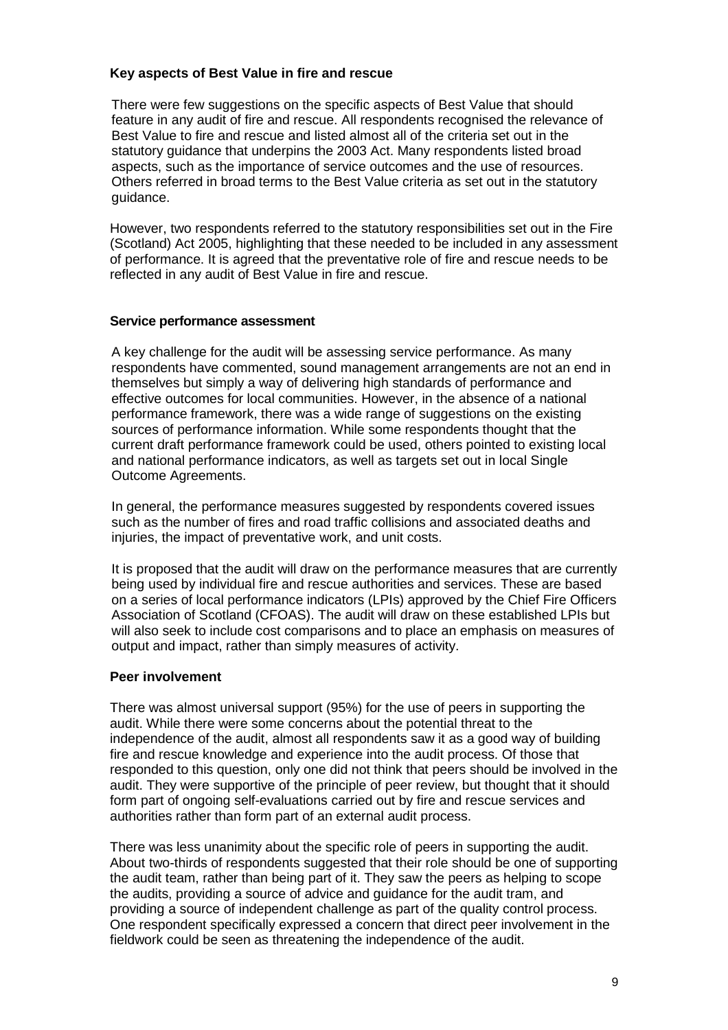#### **Key aspects of Best Value in fire and rescue**

There were few suggestions on the specific aspects of Best Value that should feature in any audit of fire and rescue. All respondents recognised the relevance of Best Value to fire and rescue and listed almost all of the criteria set out in the statutory guidance that underpins the 2003 Act. Many respondents listed broad aspects, such as the importance of service outcomes and the use of resources. Others referred in broad terms to the Best Value criteria as set out in the statutory guidance.

 reflected in any audit of Best Value in fire and rescue. However, two respondents referred to the statutory responsibilities set out in the Fire (Scotland) Act 2005, highlighting that these needed to be included in any assessment of performance. It is agreed that the preventative role of fire and rescue needs to be

#### **Service performance assessment**

 performance framework, there was a wide range of suggestions on the existing Outcome Agreements. A key challenge for the audit will be assessing service performance. As many respondents have commented, sound management arrangements are not an end in themselves but simply a way of delivering high standards of performance and effective outcomes for local communities. However, in the absence of a national sources of performance information. While some respondents thought that the current draft performance framework could be used, others pointed to existing local and national performance indicators, as well as targets set out in local Single

In general, the performance measures suggested by respondents covered issues such as the number of fires and road traffic collisions and associated deaths and injuries, the impact of preventative work, and unit costs.

 on a series of local performance indicators (LPIs) approved by the Chief Fire Officers output and impact, rather than simply measures of activity. It is proposed that the audit will draw on the performance measures that are currently being used by individual fire and rescue authorities and services. These are based Association of Scotland (CFOAS). The audit will draw on these established LPIs but will also seek to include cost comparisons and to place an emphasis on measures of

#### **Peer involvement**

 There was almost universal support (95%) for the use of peers in supporting the audit. While there were some concerns about the potential threat to the independence of the audit, almost all respondents saw it as a good way of building fire and rescue knowledge and experience into the audit process. Of those that responded to this question, only one did not think that peers should be involved in the audit. They were supportive of the principle of peer review, but thought that it should form part of ongoing self-evaluations carried out by fire and rescue services and authorities rather than form part of an external audit process.

 About two-thirds of respondents suggested that their role should be one of supporting the audit team, rather than being part of it. They saw the peers as helping to scope the audits, providing a source of advice and guidance for the audit tram, and providing a source of independent challenge as part of the quality control process. fieldwork could be seen as threatening the independence of the audit.<br>9 There was less unanimity about the specific role of peers in supporting the audit. One respondent specifically expressed a concern that direct peer involvement in the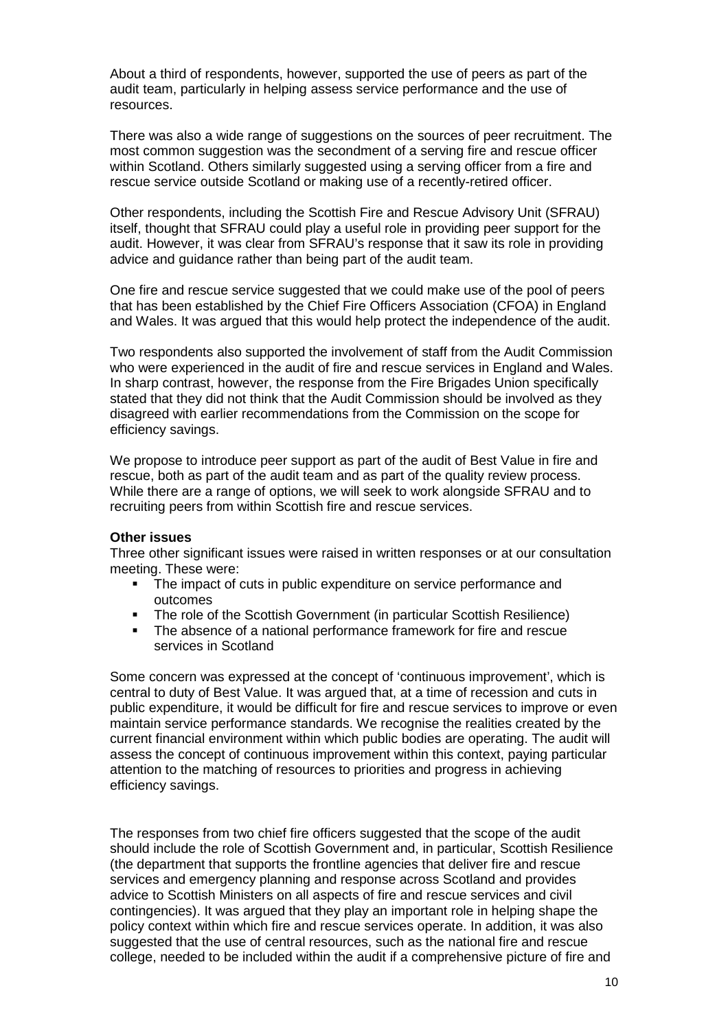About a third of respondents, however, supported the use of peers as part of the audit team, particularly in helping assess service performance and the use of resources.

 There was also a wide range of suggestions on the sources of peer recruitment. The rescue service outside Scotland or making use of a recently-retired officer. most common suggestion was the secondment of a serving fire and rescue officer within Scotland. Others similarly suggested using a serving officer from a fire and

 advice and guidance rather than being part of the audit team. Other respondents, including the Scottish Fire and Rescue Advisory Unit (SFRAU) itself, thought that SFRAU could play a useful role in providing peer support for the audit. However, it was clear from SFRAU's response that it saw its role in providing

and Wales. It was argued that this would help protect the independence of the audit. One fire and rescue service suggested that we could make use of the pool of peers that has been established by the Chief Fire Officers Association (CFOA) in England

and Wales. It was argued that this would help protect the independence of the audit.<br>Two respondents also supported the involvement of staff from the Audit Commission efficiency savings. who were experienced in the audit of fire and rescue services in England and Wales. In sharp contrast, however, the response from the Fire Brigades Union specifically stated that they did not think that the Audit Commission should be involved as they disagreed with earlier recommendations from the Commission on the scope for

 rescue, both as part of the audit team and as part of the quality review process. recruiting peers from within Scottish fire and rescue services. We propose to introduce peer support as part of the audit of Best Value in fire and While there are a range of options, we will seek to work alongside SFRAU and to

#### **Other issues**

 meeting. These were: Three other significant issues were raised in written responses or at our consultation

- The impact of cuts in public expenditure on service performance and outcomes
- The role of the Scottish Government (in particular Scottish Resilience)
- The absence of a national performance framework for fire and rescue services in Scotland

 central to duty of Best Value. It was argued that, at a time of recession and cuts in maintain service performance standards. We recognise the realities created by the assess the concept of continuous improvement within this context, paying particular efficiency savings. Some concern was expressed at the concept of 'continuous improvement', which is public expenditure, it would be difficult for fire and rescue services to improve or even current financial environment within which public bodies are operating. The audit will attention to the matching of resources to priorities and progress in achieving

 The responses from two chief fire officers suggested that the scope of the audit contingencies). It was argued that they play an important role in helping shape the college, needed to be included within the audit if a comprehensive picture of fire and should include the role of Scottish Government and, in particular, Scottish Resilience (the department that supports the frontline agencies that deliver fire and rescue services and emergency planning and response across Scotland and provides advice to Scottish Ministers on all aspects of fire and rescue services and civil policy context within which fire and rescue services operate. In addition, it was also suggested that the use of central resources, such as the national fire and rescue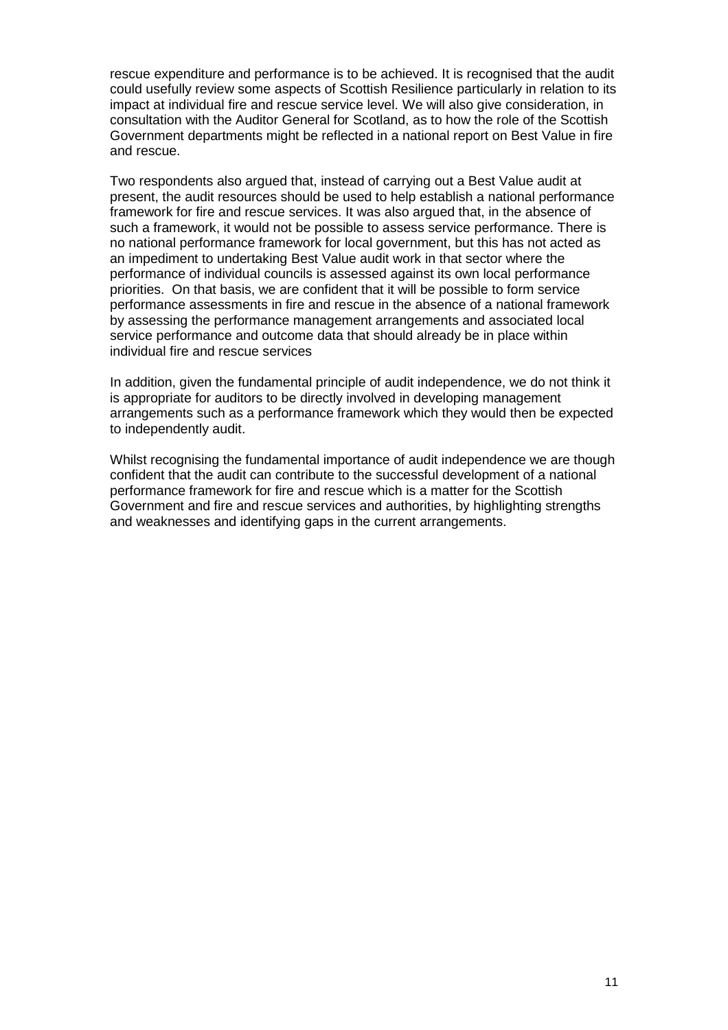consultation with the Auditor General for Scotland, as to how the role of the Scottish rescue expenditure and performance is to be achieved. It is recognised that the audit could usefully review some aspects of Scottish Resilience particularly in relation to its impact at individual fire and rescue service level. We will also give consideration, in Government departments might be reflected in a national report on Best Value in fire and rescue.

 present, the audit resources should be used to help establish a national performance priorities. On that basis, we are confident that it will be possible to form service Two respondents also argued that, instead of carrying out a Best Value audit at framework for fire and rescue services. It was also argued that, in the absence of such a framework, it would not be possible to assess service performance. There is no national performance framework for local government, but this has not acted as an impediment to undertaking Best Value audit work in that sector where the performance of individual councils is assessed against its own local performance performance assessments in fire and rescue in the absence of a national framework by assessing the performance management arrangements and associated local service performance and outcome data that should already be in place within individual fire and rescue services

to independently audit. In addition, given the fundamental principle of audit independence, we do not think it is appropriate for auditors to be directly involved in developing management arrangements such as a performance framework which they would then be expected

 confident that the audit can contribute to the successful development of a national Whilst recognising the fundamental importance of audit independence we are though performance framework for fire and rescue which is a matter for the Scottish Government and fire and rescue services and authorities, by highlighting strengths and weaknesses and identifying gaps in the current arrangements.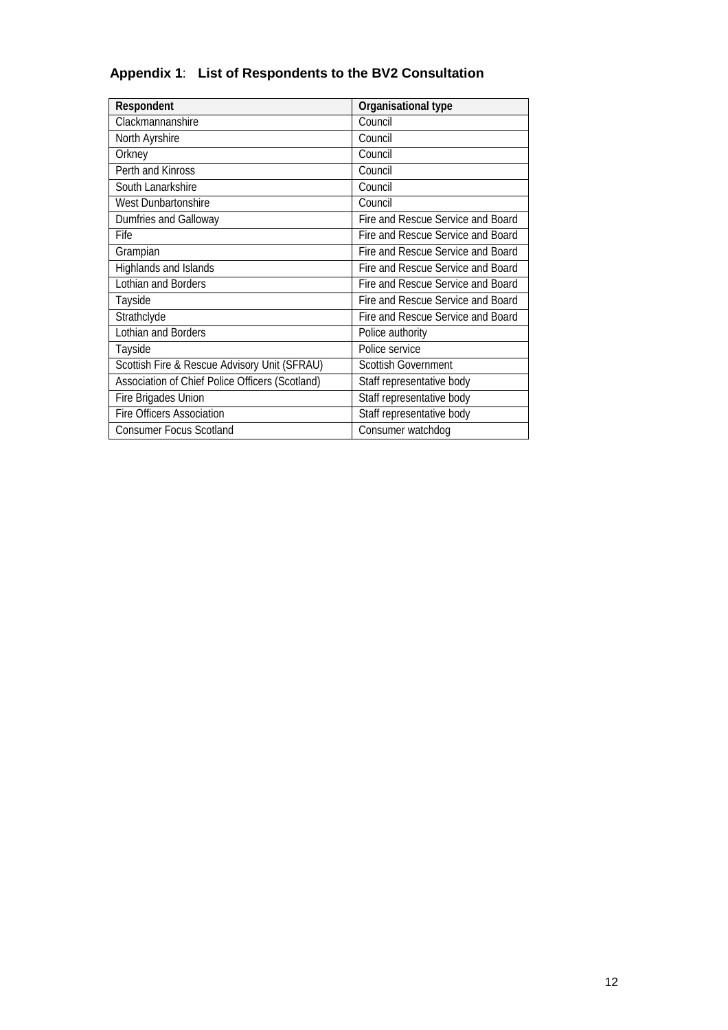### **Appendix 1**: **List of Respondents to the BV2 Consultation**

| <b>Respondent</b>                               | <b>Organisational type</b>        |
|-------------------------------------------------|-----------------------------------|
| Clackmannanshire                                | Council                           |
| North Ayrshire                                  | Council                           |
| Orkney                                          | Council                           |
| Perth and Kinross                               | Council                           |
| South Lanarkshire                               | Council                           |
| West Dunbartonshire                             | Council                           |
| Dumfries and Galloway                           | Fire and Rescue Service and Board |
| Fife                                            | Fire and Rescue Service and Board |
| Grampian                                        | Fire and Rescue Service and Board |
| Highlands and Islands                           | Fire and Rescue Service and Board |
| Lothian and Borders                             | Fire and Rescue Service and Board |
| Tayside                                         | Fire and Rescue Service and Board |
| Strathclyde                                     | Fire and Rescue Service and Board |
| Lothian and Borders                             | Police authority                  |
| Tayside                                         | Police service                    |
| Scottish Fire & Rescue Advisory Unit (SFRAU)    | <b>Scottish Government</b>        |
| Association of Chief Police Officers (Scotland) | Staff representative body         |
| Fire Brigades Union                             | Staff representative body         |
| <b>Fire Officers Association</b>                | Staff representative body         |
| <b>Consumer Focus Scotland</b>                  | Consumer watchdog                 |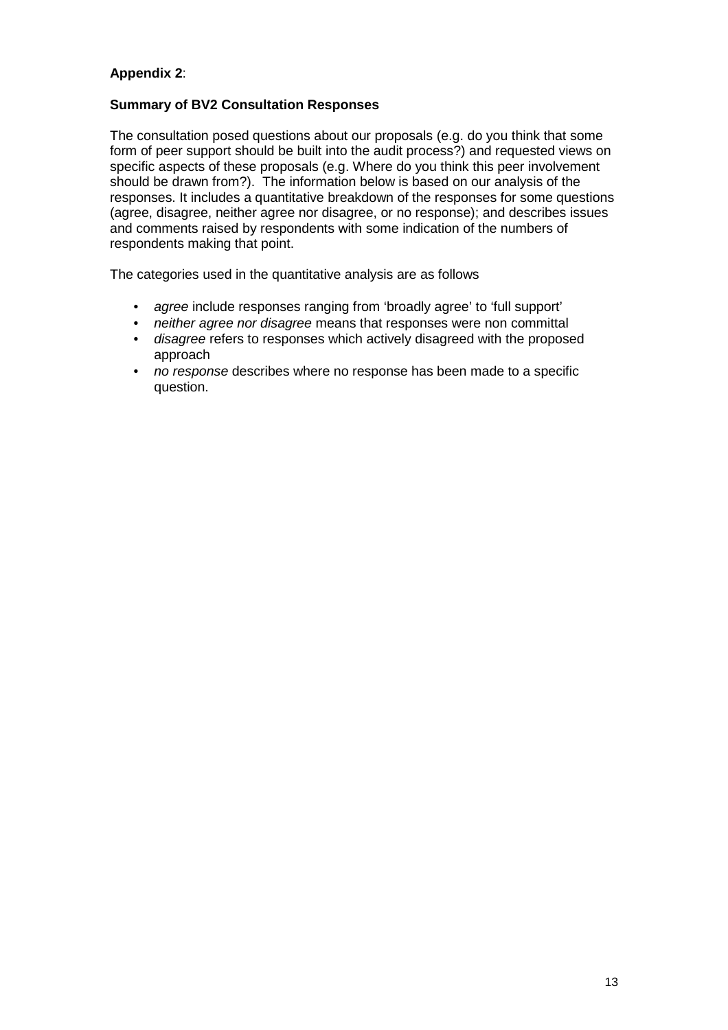#### **Appendix 2**:

#### **Summary of BV2 Consultation Responses**

The consultation posed questions about our proposals (e.g. do you think that some form of peer support should be built into the audit process?) and requested views on specific aspects of these proposals (e.g. Where do you think this peer involvement should be drawn from?). The information below is based on our analysis of the responses. It includes a quantitative breakdown of the responses for some questions (agree, disagree, neither agree nor disagree, or no response); and describes issues and comments raised by respondents with some indication of the numbers of respondents making that point.

The categories used in the quantitative analysis are as follows

- • *agree* include responses ranging from 'broadly agree' to 'full support'
- • *neither agree nor disagree* means that responses were non committal
- • *disagree* refers to responses which actively disagreed with the proposed approach
- question. • *no response* describes where no response has been made to a specific question.<br>13 April - Paris Corporation II<br>13 April - Paris Corporation II<br>13 April - Paris Corporation II<br>13 April - Paris Corporation II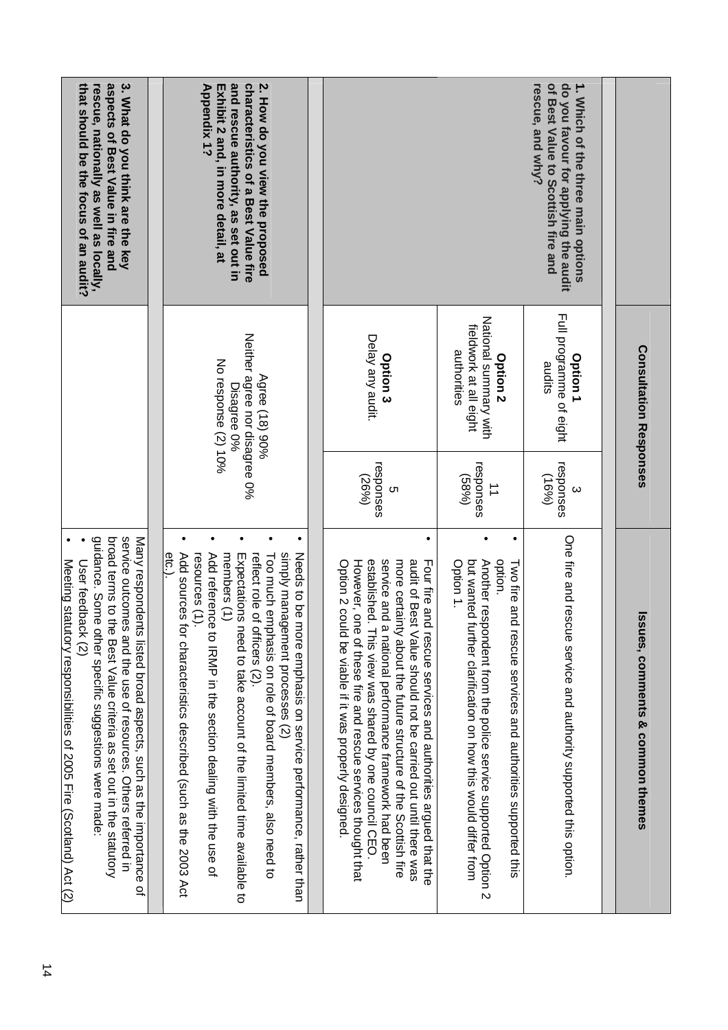|                                                                                                                                      | <b>Consultation Responses</b>                                                         |                                            | $\overline{\mathfrak{G}}$<br>sues, comments & common themes                                                                                                                                                                                                                                                                                                                                                                                     |
|--------------------------------------------------------------------------------------------------------------------------------------|---------------------------------------------------------------------------------------|--------------------------------------------|-------------------------------------------------------------------------------------------------------------------------------------------------------------------------------------------------------------------------------------------------------------------------------------------------------------------------------------------------------------------------------------------------------------------------------------------------|
|                                                                                                                                      |                                                                                       |                                            |                                                                                                                                                                                                                                                                                                                                                                                                                                                 |
| 1. Which of the three main options<br>rescue, and why?<br>of Best Value to Scottish fire and<br>do you favour for applying the audit | Full programme of eight<br>Option 1<br>sudits                                         | responses<br>(9691)<br>$\omega$            | One fire and rescue service and authority supported this option.                                                                                                                                                                                                                                                                                                                                                                                |
|                                                                                                                                      | National summary with<br>fieldwork at all eight<br>authorities<br>Option <sub>2</sub> | responses<br>(589)<br>$\overrightarrow{=}$ | but wanted<br>Another res<br>option.<br>Option 1.<br>Two fire and<br>further clarification on how this would differ from<br>pondent from the police service supported Option 2<br>rescue services and authorities supported this                                                                                                                                                                                                                |
|                                                                                                                                      | Delay any audit.<br>Option <sub>3</sub>                                               | responses<br>(26%)<br>ຕ                    | established.<br>service and<br>more certainty about the future structure of the Scottish fire<br>audit of Best Value should not be carried out until there was<br>Option 2 could be viable if it was properly designed<br>However, one of these fire and rescue services thought that<br>Four fire and rescue services and authorities argued that the<br>a national performance framework had been<br>This view was shared by one council CEO. |
| 2. How do you view the proposed<br>and rescue authority, as set out in<br>characteristics of a Best Value fire                       | Neither agree nor disagree 0%<br>Agree (18) 90%<br>Disagree 0%                        |                                            | simply management processes (2)<br>reflect role of officers (2).<br>Needs to be more emphasis on service performance, rather than<br>Expectations<br>Too much emphasis on role of board members, also need to<br>need to take account of the limited time available to                                                                                                                                                                          |
| <b>Appendix 1?</b><br>Exhibit 2 and, in more detail, at                                                                              | No response (2) 10%                                                                   |                                            | eta<br>Add sources<br>Add reterence to IRM in the section dealing with the use of<br>members (1)<br>resources (1)<br>for characteristics described (such as the 2003 Act                                                                                                                                                                                                                                                                        |
| 3. What do you think are the key<br>aspects of Best Value in fire and                                                                |                                                                                       |                                            | service outcomes and the use of resources. Others referred in<br>broad terms to the Best Value criteria as set out in the statutory<br>Many respondents listed broad aspects, such as the importance<br>Q,                                                                                                                                                                                                                                      |
| that should be the focus of an audit?<br>rescue, nationally as well as locally,                                                      |                                                                                       |                                            | guidance. Some other specific suggestions were made:<br>Meeting statutory responsibilities of 2005 Fire (Scotland) Act (2)<br>User feedback (2)                                                                                                                                                                                                                                                                                                 |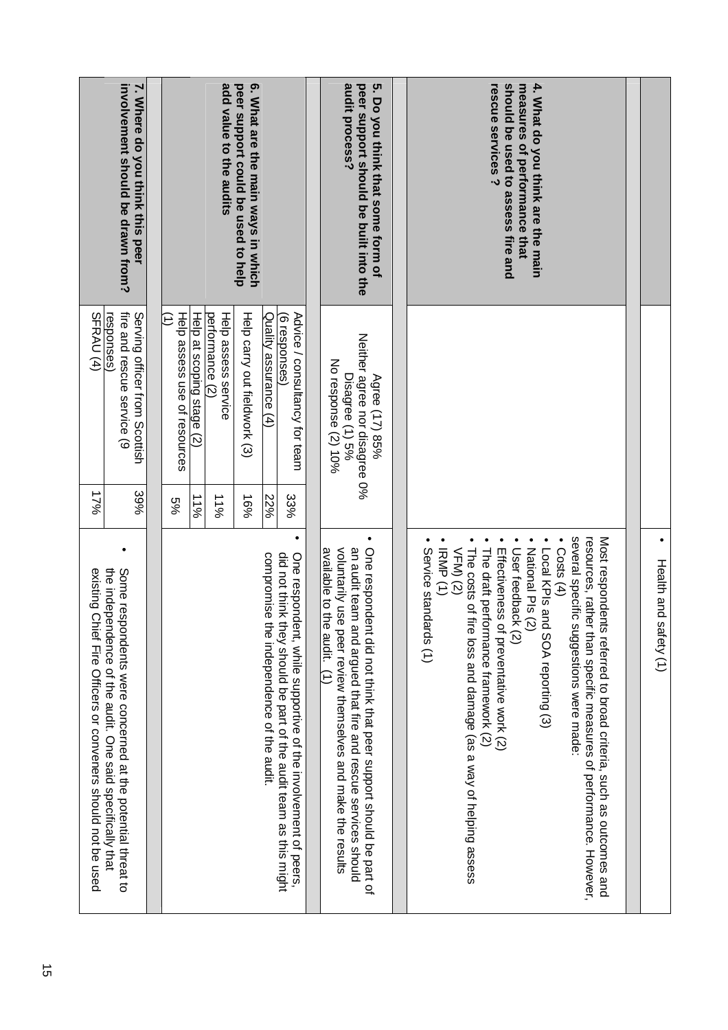|                                                                   | 7. Where do you think this peer<br>involvement should be drawn from?                                                    |                                   |                           | add value to the audits                | 6. What are the main ways in which<br>peer support could be used to help |                                              |                                                                                                                                          | 5. Do you think that some form of<br>audit process?<br>peer support should be built into the                                                                                                                                   | 4. What do you think are the main<br>should be used to assess fire and<br>rescue services ?<br>measures of performance that                                                                                                                                                                                                                                                                                                                                                           |                       |
|-------------------------------------------------------------------|-------------------------------------------------------------------------------------------------------------------------|-----------------------------------|---------------------------|----------------------------------------|--------------------------------------------------------------------------|----------------------------------------------|------------------------------------------------------------------------------------------------------------------------------------------|--------------------------------------------------------------------------------------------------------------------------------------------------------------------------------------------------------------------------------|---------------------------------------------------------------------------------------------------------------------------------------------------------------------------------------------------------------------------------------------------------------------------------------------------------------------------------------------------------------------------------------------------------------------------------------------------------------------------------------|-----------------------|
| SFRAU <sub>(4)</sub>                                              | fire and rescue service (9<br>Serving officer from Scottish<br>responses)                                               | Help assess use of resources<br>Ξ | Help at scoping stage (2) | performance (2)<br>Help assess service | Help carry out fieldwork (3)                                             | Quality assurance (4)                        | Advice / consultancy for team<br>(6 responses)                                                                                           | Neither agree nor disagree 0%<br>No response (2) 10%<br>Disagree (1) 5%<br>Agree (17) 85%                                                                                                                                      |                                                                                                                                                                                                                                                                                                                                                                                                                                                                                       |                       |
| 17%                                                               | 39%                                                                                                                     | %9                                | 21%                       | 21%                                    | 16%                                                                      | 22%                                          | 33%                                                                                                                                      |                                                                                                                                                                                                                                |                                                                                                                                                                                                                                                                                                                                                                                                                                                                                       |                       |
| existing Cl<br>lief Tire Officers or conveners should not be used | the independence of the audit. One said specifically that<br>Some respondents were concerned at the potential threat to |                                   |                           |                                        |                                                                          | compromise<br>the independence of the audit. | did not think<br>One respond<br>they should be part of the audit team as this might<br>ent, while supportive of the involvement of peers | One respondent did not think that peer support should be part of<br>an audit team and argued that fire and rescue services should<br>volutarily use peer review themselves and make the results<br>available to the audit. (1) | several specific suggestions were made:<br>resources, rather than specific measures of performance. However,<br>Most respondents referred to broad criteria, such as outcomes and<br>IRMP (1)<br>The draft performance framework $(2)$<br>The costs of fire loss and damage (as a way of helping assess<br>National Pls (2)<br>Costs $(4)$<br>Effectiveness<br>User feedback (2)<br>Service standards (1)<br>VFM) (2)<br>Local KPIs and SOA reporting (3)<br>of preventative work (2) | Health and safety (1) |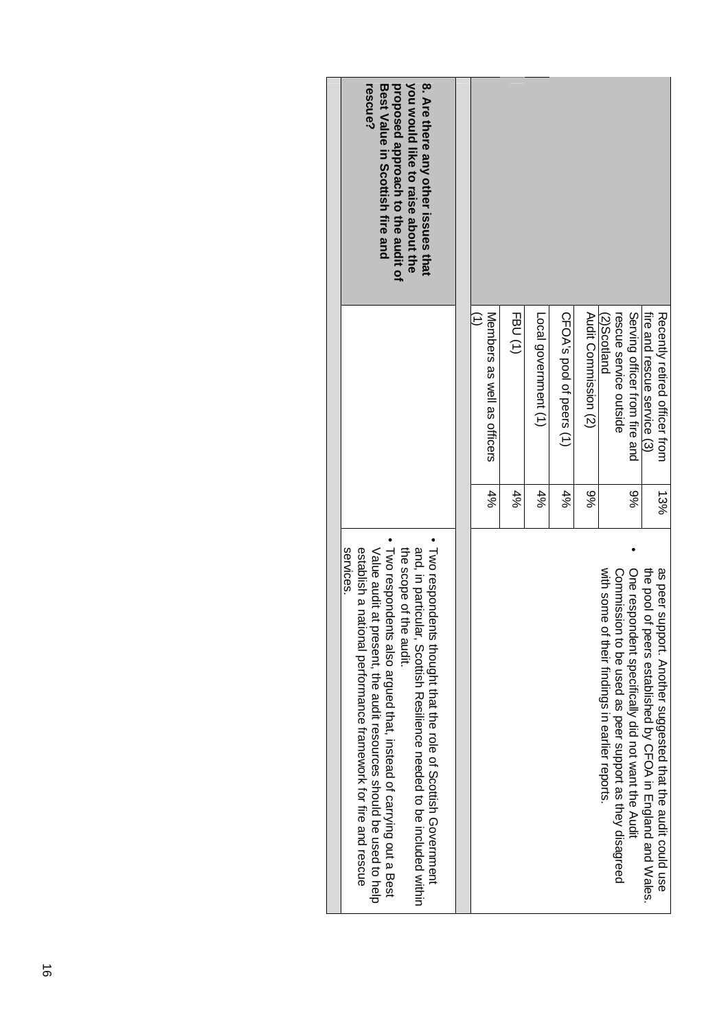| 8. Are there any other issues that<br>you would like to raise about the<br>proposed approach to the audit of<br>rescue?<br>Best Value in Scottish fire and<br>services                                                                                                                                                                                                       | Members as well as officers<br>$4\%$ | FBU(1)<br>$4\%$ | Local government (1)<br>$4\%$ | CFOA's pool of peers (1)<br>$4\%$ | Audit Commission (2)<br>9% | rescue service outside<br>2)Scotland                                                                          | Serving officer from fire and<br>%6                | fire and rescue service (3)                                    | Recently retired officer from<br>13%                             |
|------------------------------------------------------------------------------------------------------------------------------------------------------------------------------------------------------------------------------------------------------------------------------------------------------------------------------------------------------------------------------|--------------------------------------|-----------------|-------------------------------|-----------------------------------|----------------------------|---------------------------------------------------------------------------------------------------------------|----------------------------------------------------|----------------------------------------------------------------|------------------------------------------------------------------|
| Luvo respondents thought that the role of Woottish Qovernment<br>Two respondents also argued that, instead of carrying out a Best<br>establish a national performance framework for fire and rescue<br>the scope of the audit.<br>and, in particular, Scottish Resilience needed to be included within<br>Value audit at present, the audit resources should be used to help |                                      |                 |                               |                                   |                            | with some<br>Commission to be used as peer support as they disagreed<br>of their findings in earlier reports. | One respondent specifically did not want the Audit | the pool of<br>peers established by CHOA in England and Wales. | as peer su<br>ipport. Another suggested that the audit could use |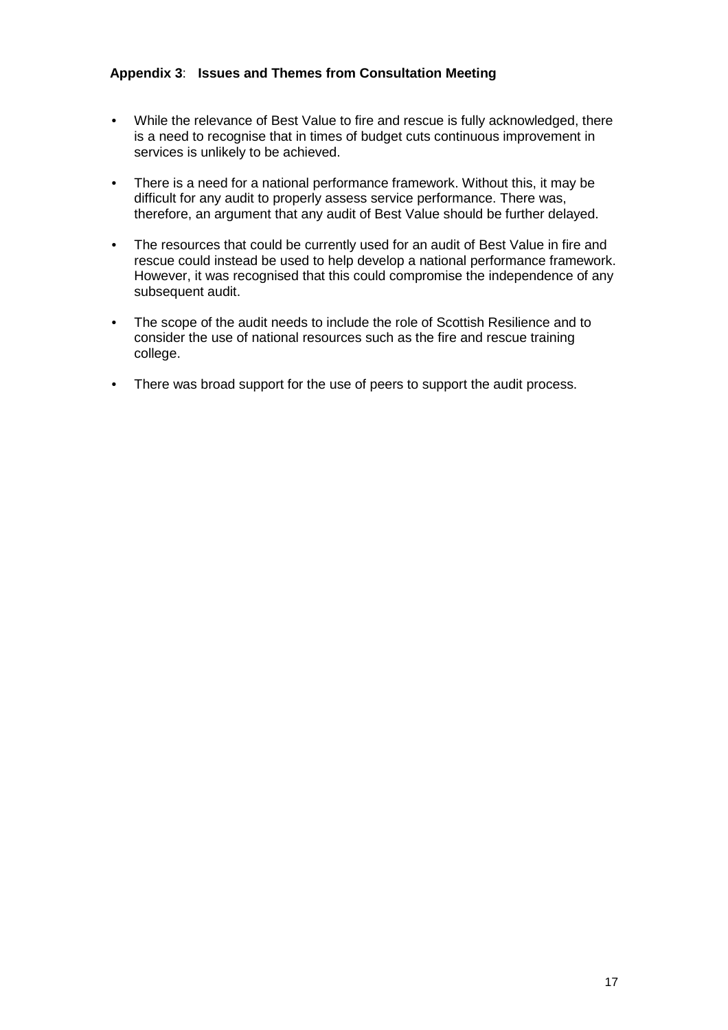#### **Appendix 3**: **Issues and Themes from Consultation Meeting**

- While the relevance of Best Value to fire and rescue is fully acknowledged, there is a need to recognise that in times of budget cuts continuous improvement in services is unlikely to be achieved.
- There is a need for a national performance framework. Without this, it may be difficult for any audit to properly assess service performance. There was, therefore, an argument that any audit of Best Value should be further delayed.
- The resources that could be currently used for an audit of Best Value in fire and rescue could instead be used to help develop a national performance framework. However, it was recognised that this could compromise the independence of any subsequent audit.
- The scope of the audit needs to include the role of Scottish Resilience and to consider the use of national resources such as the fire and rescue training college.
- There was broad support for the use of peers to support the audit process.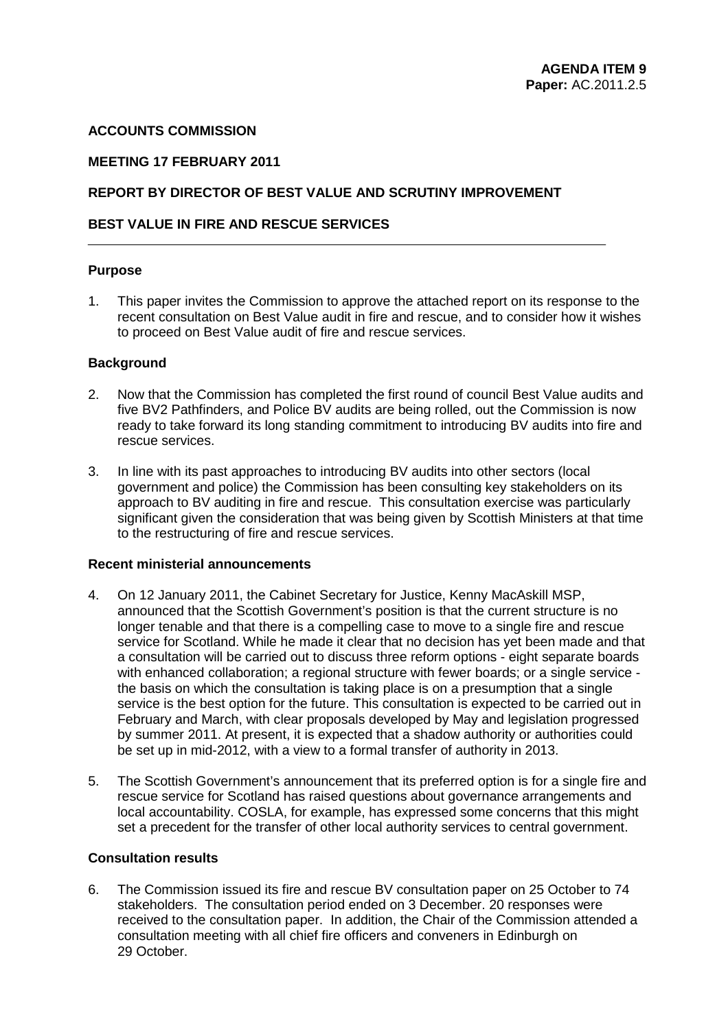#### **ACCOUNTS COMMISSION**

#### **MEETING 17 FEBRUARY 2011**

#### **REPORT BY DIRECTOR OF BEST VALUE AND SCRUTINY IMPROVEMENT**

#### **BEST VALUE IN FIRE AND RESCUE SERVICES**

#### **Purpose**

 to proceed on Best Value audit of fire and rescue services. 1. This paper invites the Commission to approve the attached report on its response to the recent consultation on Best Value audit in fire and rescue, and to consider how it wishes

#### **Background**

- five BV2 Pathfinders, and Police BV audits are being rolled, out the Commission is now ready to take forward its long standing commitment to introducing BV audits into fire and rescue services. 2. Now that the Commission has completed the first round of council Best Value audits and
- to the restructuring of fire and rescue services. 3. In line with its past approaches to introducing BV audits into other sectors (local government and police) the Commission has been consulting key stakeholders on its approach to BV auditing in fire and rescue. This consultation exercise was particularly significant given the consideration that was being given by Scottish Ministers at that time

#### **Recent ministerial announcements**

- longer tenable and that there is a compelling case to move to a single fire and rescue service is the best option for the future. This consultation is expected to be carried out in 4. On 12 January 2011, the Cabinet Secretary for Justice, Kenny MacAskill MSP, announced that the Scottish Government's position is that the current structure is no service for Scotland. While he made it clear that no decision has yet been made and that a consultation will be carried out to discuss three reform options - eight separate boards with enhanced collaboration; a regional structure with fewer boards; or a single service the basis on which the consultation is taking place is on a presumption that a single February and March, with clear proposals developed by May and legislation progressed by summer 2011. At present, it is expected that a shadow authority or authorities could be set up in mid-2012, with a view to a formal transfer of authority in 2013.
- local accountability. COSLA, for example, has expressed some concerns that this might 5. The Scottish Government's announcement that its preferred option is for a single fire and rescue service for Scotland has raised questions about governance arrangements and set a precedent for the transfer of other local authority services to central government.

#### **Consultation results**

 stakeholders. The consultation period ended on 3 December. 20 responses were 6. The Commission issued its fire and rescue BV consultation paper on 25 October to 74 received to the consultation paper. In addition, the Chair of the Commission attended a consultation meeting with all chief fire officers and conveners in Edinburgh on 29 October.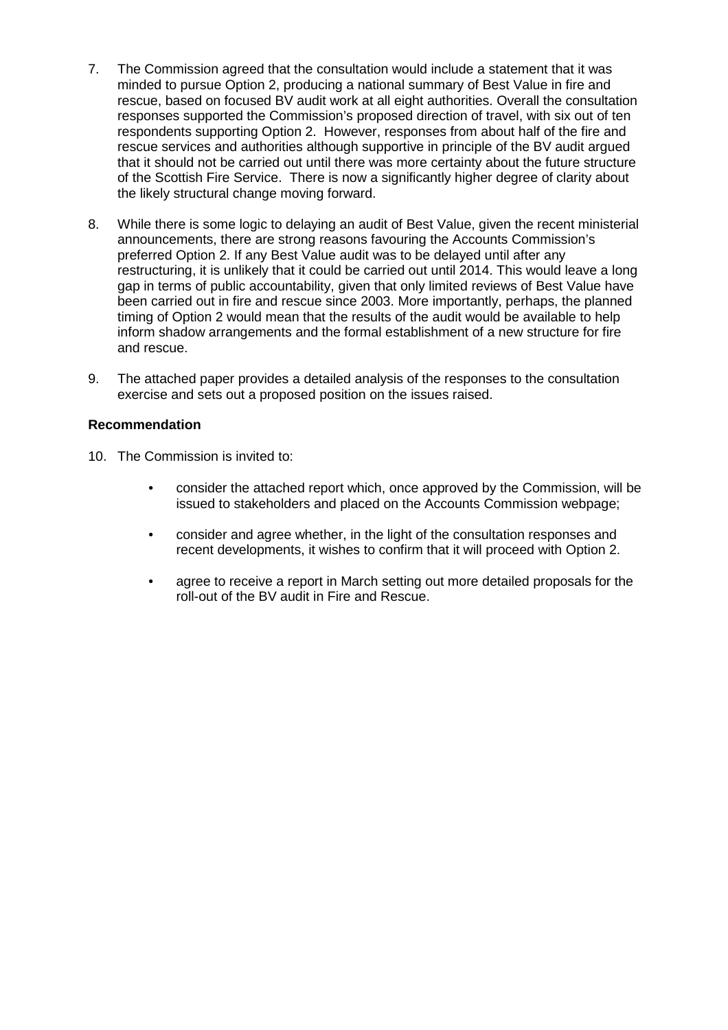- responses supported the Commission's proposed direction of travel, with six out of ten respondents supporting Option 2. However, responses from about half of the fire and of the Scottish Fire Service. There is now a significantly higher degree of clarity about 7. The Commission agreed that the consultation would include a statement that it was minded to pursue Option 2, producing a national summary of Best Value in fire and rescue, based on focused BV audit work at all eight authorities. Overall the consultation rescue services and authorities although supportive in principle of the BV audit argued that it should not be carried out until there was more certainty about the future structure the likely structural change moving forward.
- announcements, there are strong reasons favouring the Accounts Commission's inform shadow arrangements and the formal establishment of a new structure for fire 8. While there is some logic to delaying an audit of Best Value, given the recent ministerial preferred Option 2. If any Best Value audit was to be delayed until after any restructuring, it is unlikely that it could be carried out until 2014. This would leave a long gap in terms of public accountability, given that only limited reviews of Best Value have been carried out in fire and rescue since 2003. More importantly, perhaps, the planned timing of Option 2 would mean that the results of the audit would be available to help and rescue.
- exercise and sets out a proposed position on the issues raised. 9. The attached paper provides a detailed analysis of the responses to the consultation

#### **Recommendation**

- 10. The Commission is invited to:
	- consider the attached report which, once approved by the Commission, will be issued to stakeholders and placed on the Accounts Commission webpage;
	- recent developments, it wishes to confirm that it will proceed with Option 2. • consider and agree whether, in the light of the consultation responses and
	- agree to receive a report in March setting out more detailed proposals for the roll-out of the BV audit in Fire and Rescue.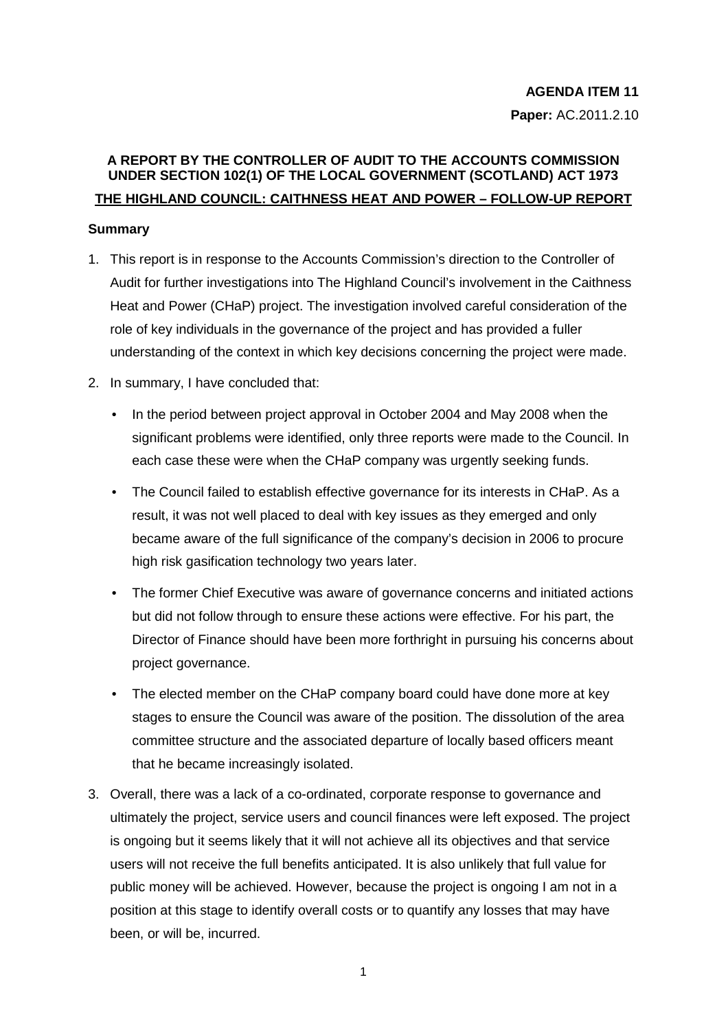### **A REPORT BY THE CONTROLLER OF AUDIT TO THE ACCOUNTS COMMISSION UNDER SECTION 102(1) OF THE LOCAL GOVERNMENT (SCOTLAND) ACT 1973 THE HIGHLAND COUNCIL: CAITHNESS HEAT AND POWER – FOLLOW-UP REPORT**

#### **Summary**

- Audit for further investigations into The Highland Council's involvement in the Caithness Heat and Power (CHaP) project. The investigation involved careful consideration of the 1. This report is in response to the Accounts Commission's direction to the Controller of role of key individuals in the governance of the project and has provided a fuller understanding of the context in which key decisions concerning the project were made.
- 2. In summary, I have concluded that:
	- significant problems were identified, only three reports were made to the Council. In • In the period between project approval in October 2004 and May 2008 when the each case these were when the CHaP company was urgently seeking funds.
	- result, it was not well placed to deal with key issues as they emerged and only high risk gasification technology two years later. • The Council failed to establish effective governance for its interests in CHaP. As a became aware of the full significance of the company's decision in 2006 to procure
	- The former Chief Executive was aware of governance concerns and initiated actions but did not follow through to ensure these actions were effective. For his part, the project governance. Director of Finance should have been more forthright in pursuing his concerns about
	- The elected member on the CHaP company board could have done more at key that he became increasingly isolated. stages to ensure the Council was aware of the position. The dissolution of the area committee structure and the associated departure of locally based officers meant
- position at this stage to identify overall costs or to quantify any losses that may have been, or will be, incurred.<br>1 3. Overall, there was a lack of a co-ordinated, corporate response to governance and ultimately the project, service users and council finances were left exposed. The project is ongoing but it seems likely that it will not achieve all its objectives and that service users will not receive the full benefits anticipated. It is also unlikely that full value for public money will be achieved. However, because the project is ongoing I am not in a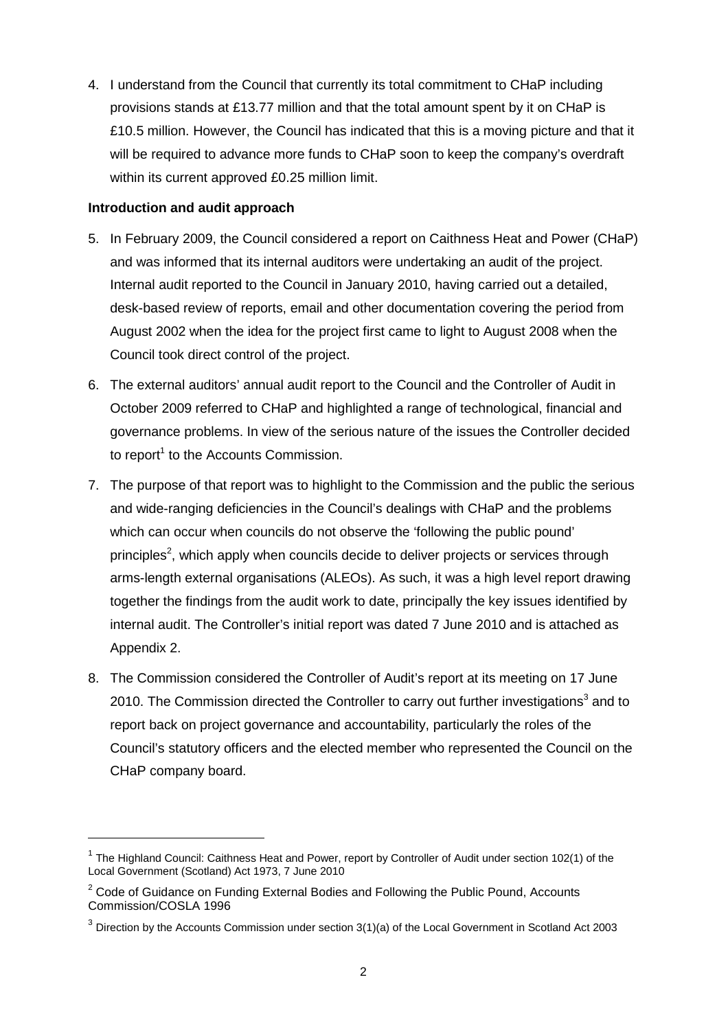<span id="page-38-0"></span> 4. I understand from the Council that currently its total commitment to CHaP including £10.5 million. However, the Council has indicated that this is a moving picture and that it provisions stands at £13.77 million and that the total amount spent by it on CHaP is will be required to advance more funds to CHaP soon to keep the company's overdraft within its current approved £0.25 million limit.

#### **Introduction and audit approach**

- and was informed that its internal auditors were undertaking an audit of the project.<br>Internal audit reported to the Council in January 2010, having carried out a detailed, August 2002 when the idea for the project first came to light to August 2008 when the Council took direct control of the project. 5. In February 2009, the Council considered a report on Caithness Heat and Power (CHaP) desk-based review of reports, email and other documentation covering the period from
- 6. The external auditors' annual audit report to the Council and the Controller of Audit in October 2009 referred to CHaP and highlighted a range of technological, financial and to report<sup>1</sup> to the Accounts Commission. governance problems. In view of the serious nature of the issues the Controller decided
- together the findings from the audit work to date, principally the key issues identified by 7. The purpose of that report was to highlight to the Commission and the public the serious and wide-ranging deficiencies in the Council's dealings with CHaP and the problems which can occur when councils do not observe the 'following the public pound' principles<sup>2</sup>, which apply when councils decide to deliver projects or services through arms-length external organisations (ALEOs). As such, it was a high level report drawing internal audit. The Controller's initial report was dated 7 June 2010 and is attached as Appendix 2.
- 8. The Commission considered the Controller of Audit's report at its meeting on 17 June 2010. The Commission directed the Controller to carry out further investigations<sup>3</sup> and to report back on project governance and accountability, particularly the roles of the Council's statutory officers and the elected member who represented the Council on the CHaP company board.

 $1$  The Highland Council: Caithness Heat and Power, report by Controller of Audit under section 102(1) of the Local Government (Scotland) Act 1973, 7 June 2010

 $2$  Code of Guidance on Funding External Bodies and Following the Public Pound, Accounts Commission/COSLA 1996

 $3$  Direction by the Accounts Commission under section  $3(1)(a)$  of the Local Government in Scotland Act 2003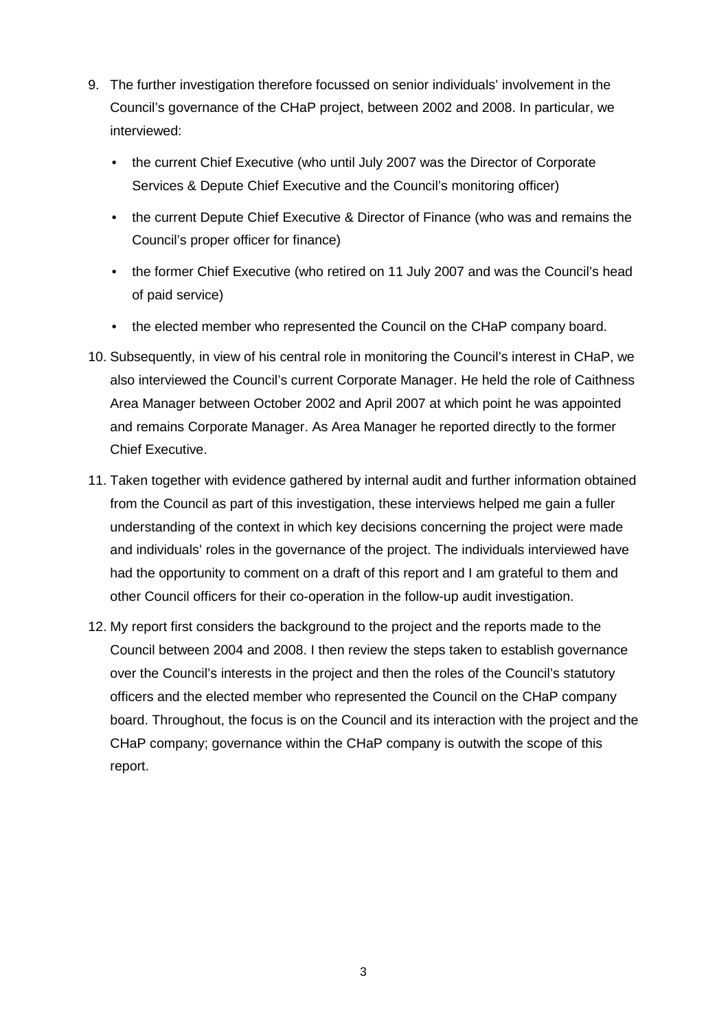- <span id="page-39-0"></span>9. The further investigation therefore focussed on senior individuals' involvement in the Council's governance of the CHaP project, between 2002 and 2008. In particular, we interviewed:
	- the current Chief Executive (who until July 2007 was the Director of Corporate Services & Depute Chief Executive and the Council's monitoring officer)
	- Council's proper officer for finance) • the current Depute Chief Executive & Director of Finance (who was and remains the
	- the former Chief Executive (who retired on 11 July 2007 and was the Council's head of paid service)
	- the elected member who represented the Council on the CHaP company board.
- and remains Corporate Manager. As Area Manager he reported directly to the former 10. Subsequently, in view of his central role in monitoring the Council's interest in CHaP, we also interviewed the Council's current Corporate Manager. He held the role of Caithness Area Manager between October 2002 and April 2007 at which point he was appointed Chief Executive.
- from the Council as part of this investigation, these interviews helped me gain a fuller and individuals' roles in the governance of the project. The individuals interviewed have other Council officers for their co-operation in the follow-up audit investigation. 11. Taken together with evidence gathered by internal audit and further information obtained understanding of the context in which key decisions concerning the project were made had the opportunity to comment on a draft of this report and I am grateful to them and
- 12. My report first considers the background to the project and the reports made to the Council between 2004 and 2008. I then review the steps taken to establish governance over the Council's interests in the project and then the roles of the Council's statutory officers and the elected member who represented the Council on the CHaP company board. Throughout, the focus is on the Council and its interaction with the project and the CHaP company; governance within the CHaP company is outwith the scope of this report.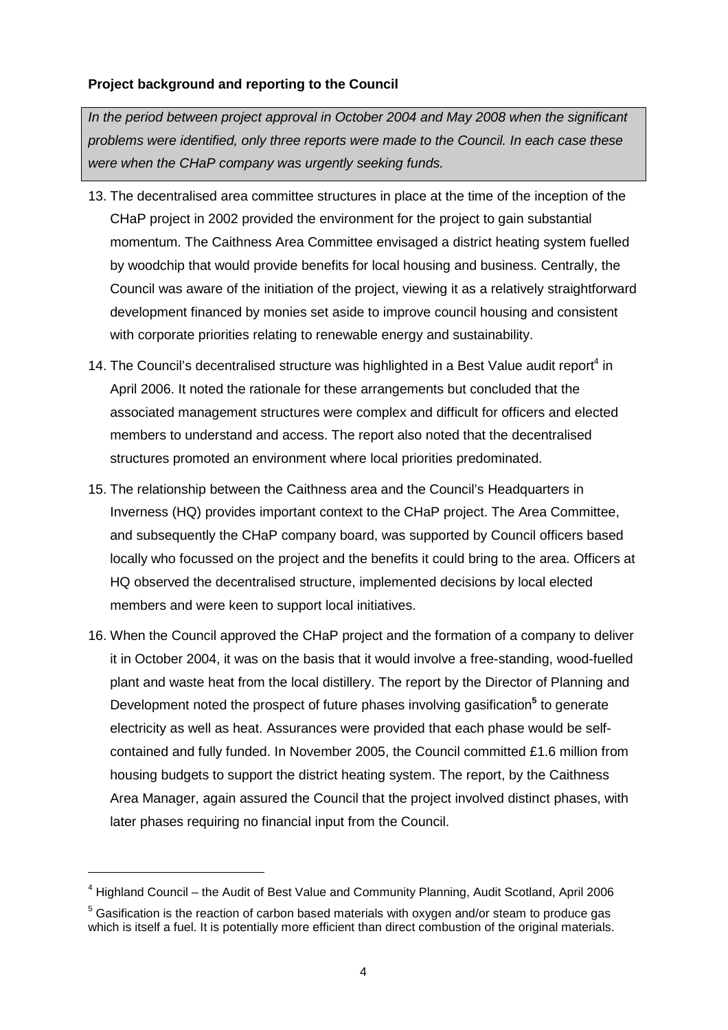#### **Project background and reporting to the Council**

*In the period between project approval in October 2004 and May 2008 when the significant problems were identified, only three reports were made to the Council. In each case these were when the CHaP company was urgently seeking funds.* 

- CHaP project in 2002 provided the environment for the project to gain substantial Council was aware of the initiation of the project, viewing it as a relatively straightforward with corporate priorities relating to renewable energy and sustainability. 13. The decentralised area committee structures in place at the time of the inception of the momentum. The Caithness Area Committee envisaged a district heating system fuelled by woodchip that would provide benefits for local housing and business. Centrally, the development financed by monies set aside to improve council housing and consistent
- April 2006. It noted the rationale for these arrangements but concluded that the 14. The Council's decentralised structure was highlighted in a Best Value audit report<sup>4</sup> in associated management structures were complex and difficult for officers and elected members to understand and access. The report also noted that the decentralised structures promoted an environment where local priorities predominated.
- members and were keen to support local initiatives. 15. The relationship between the Caithness area and the Council's Headquarters in Inverness (HQ) provides important context to the CHaP project. The Area Committee, and subsequently the CHaP company board, was supported by Council officers based locally who focussed on the project and the benefits it could bring to the area. Officers at HQ observed the decentralised structure, implemented decisions by local elected
- plant and waste heat from the local distillery. The report by the Director of Planning and Development noted the prospect of future phases involving gasification<sup>5</sup> to generate contained and fully funded. In November 2005, the Council committed £1.6 million from later phases requiring no financial input from the Council. 16. When the Council approved the CHaP project and the formation of a company to deliver it in October 2004, it was on the basis that it would involve a free-standing, wood-fuelled electricity as well as heat. Assurances were provided that each phase would be selfhousing budgets to support the district heating system. The report, by the Caithness Area Manager, again assured the Council that the project involved distinct phases, with

<sup>&</sup>lt;sup>4</sup> Highland Council – the Audit of Best Value and Community Planning, Audit Scotland, April 2006

which is itself a fuel. It is potentially more efficient than direct combustion of the original materials.<br>4  $5$  Gasification is the reaction of carbon based materials with oxygen and/or steam to produce gas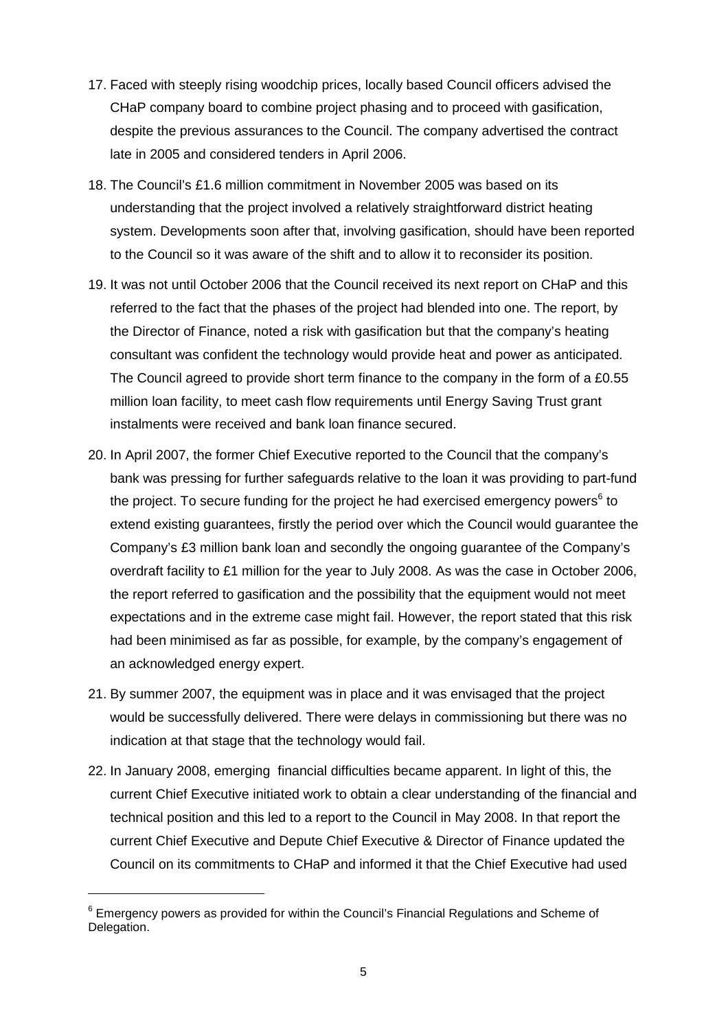- late in 2005 and considered tenders in April 2006. 17. Faced with steeply rising woodchip prices, locally based Council officers advised the CHaP company board to combine project phasing and to proceed with gasification, despite the previous assurances to the Council. The company advertised the contract
- understanding that the project involved a relatively straightforward district heating to the Council so it was aware of the shift and to allow it to reconsider its position. 18. The Council's £1.6 million commitment in November 2005 was based on its system. Developments soon after that, involving gasification, should have been reported
- referred to the fact that the phases of the project had blended into one. The report, by The Council agreed to provide short term finance to the company in the form of a £0.55 million loan facility, to meet cash flow requirements until Energy Saving Trust grant 19. It was not until October 2006 that the Council received its next report on CHaP and this the Director of Finance, noted a risk with gasification but that the company's heating consultant was confident the technology would provide heat and power as anticipated. instalments were received and bank loan finance secured.
- 20. In April 2007, the former Chief Executive reported to the Council that the company's bank was pressing for further safeguards relative to the loan it was providing to part-fund the project. To secure funding for the project he had exercised emergency powers<sup>6</sup> to the report referred to gasification and the possibility that the equipment would not meet expectations and in the extreme case might fail. However, the report stated that this risk an acknowledged energy expert. extend existing guarantees, firstly the period over which the Council would guarantee the Company's £3 million bank loan and secondly the ongoing guarantee of the Company's overdraft facility to £1 million for the year to July 2008. As was the case in October 2006, had been minimised as far as possible, for example, by the company's engagement of
- indication at that stage that the technology would fail. 21. By summer 2007, the equipment was in place and it was envisaged that the project would be successfully delivered. There were delays in commissioning but there was no
- indication at that stage that the technology would fail. 22. In January 2008, emerging financial difficulties became apparent. In light of this, the technical position and this led to a report to the Council in May 2008. In that report the current Chief Executive initiated work to obtain a clear understanding of the financial and current Chief Executive and Depute Chief Executive & Director of Finance updated the Council on its commitments to CHaP and informed it that the Chief Executive had used

 $^6$  Emergency powers as provided for within the Council's Financial Regulations and Scheme of Delegation.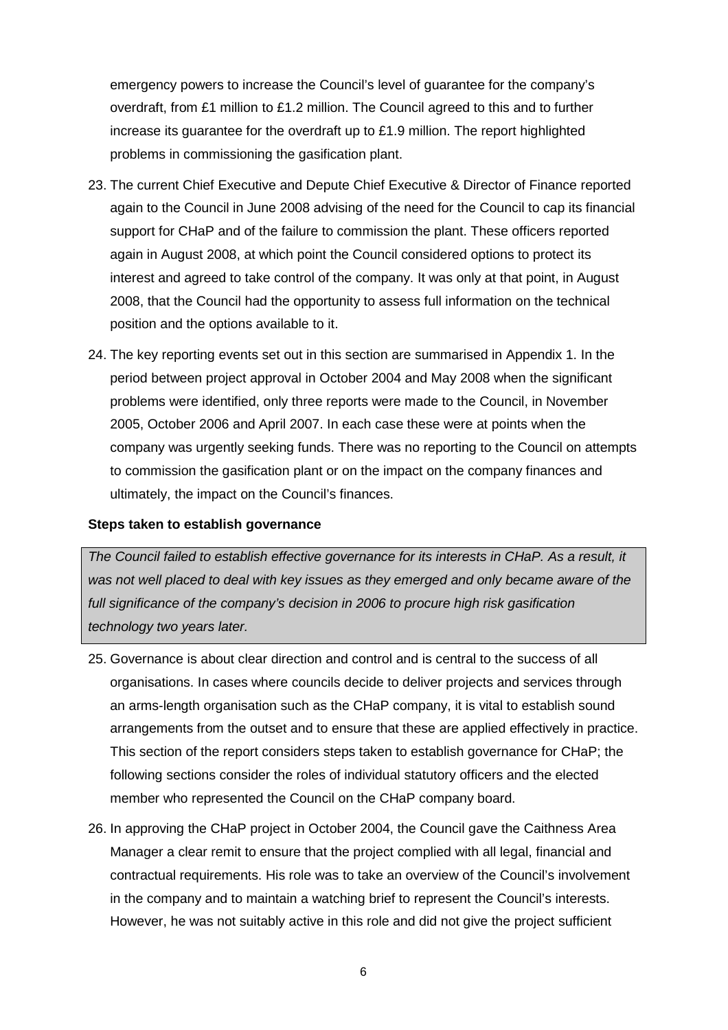emergency powers to increase the Council's level of guarantee for the company's overdraft, from £1 million to £1.2 million. The Council agreed to this and to further increase its guarantee for the overdraft up to £1.9 million. The report highlighted problems in commissioning the gasification plant.

- 23. The current Chief Executive and Depute Chief Executive & Director of Finance reported again to the Council in June 2008 advising of the need for the Council to cap its financial support for CHaP and of the failure to commission the plant. These officers reported again in August 2008, at which point the Council considered options to protect its interest and agreed to take control of the company. It was only at that point, in August 2008, that the Council had the opportunity to assess full information on the technical position and the options available to it.
- 24. The key reporting events set out in this section are summarised in Appendix 1. In the problems were identified, only three reports were made to the Council, in November 2005, October 2006 and April 2007. In each case these were at points when the company was urgently seeking funds. There was no reporting to the Council on attempts ultimately, the impact on the Council's finances. period between project approval in October 2004 and May 2008 when the significant to commission the gasification plant or on the impact on the company finances and

#### **Steps taken to establish governance**

 *technology two years later. The Council failed to establish effective governance for its interests in CHaP. As a result, it was not well placed to deal with key issues as they emerged and only became aware of the full significance of the company's decision in 2006 to procure high risk gasification* 

- arrangements from the outset and to ensure that these are applied effectively in practice. member who represented the Council on the CHaP company board. 25. Governance is about clear direction and control and is central to the success of all organisations. In cases where councils decide to deliver projects and services through an arms-length organisation such as the CHaP company, it is vital to establish sound This section of the report considers steps taken to establish governance for CHaP; the following sections consider the roles of individual statutory officers and the elected
- Manager a clear remit to ensure that the project complied with all legal, financial and 26. In approving the CHaP project in October 2004, the Council gave the Caithness Area contractual requirements. His role was to take an overview of the Council's involvement in the company and to maintain a watching brief to represent the Council's interests. However, he was not suitably active in this role and did not give the project sufficient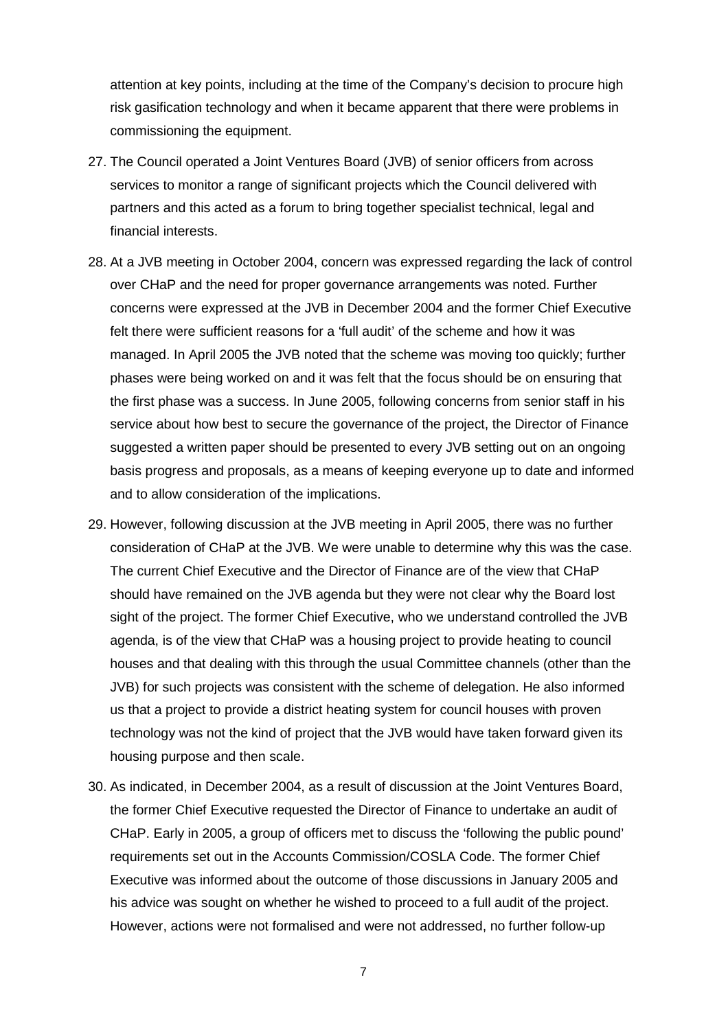attention at key points, including at the time of the Company's decision to procure high risk gasification technology and when it became apparent that there were problems in commissioning the equipment.

- partners and this acted as a forum to bring together specialist technical, legal and 27. The Council operated a Joint Ventures Board (JVB) of senior officers from across services to monitor a range of significant projects which the Council delivered with financial interests.
- over CHaP and the need for proper governance arrangements was noted. Further managed. In April 2005 the JVB noted that the scheme was moving too quickly; further 28. At a JVB meeting in October 2004, concern was expressed regarding the lack of control concerns were expressed at the JVB in December 2004 and the former Chief Executive felt there were sufficient reasons for a 'full audit' of the scheme and how it was phases were being worked on and it was felt that the focus should be on ensuring that the first phase was a success. In June 2005, following concerns from senior staff in his service about how best to secure the governance of the project, the Director of Finance suggested a written paper should be presented to every JVB setting out on an ongoing basis progress and proposals, as a means of keeping everyone up to date and informed and to allow consideration of the implications.
- sight of the project. The former Chief Executive, who we understand controlled the JVB JVB) for such projects was consistent with the scheme of delegation. He also informed 29. However, following discussion at the JVB meeting in April 2005, there was no further consideration of CHaP at the JVB. We were unable to determine why this was the case. The current Chief Executive and the Director of Finance are of the view that CHaP should have remained on the JVB agenda but they were not clear why the Board lost agenda, is of the view that CHaP was a housing project to provide heating to council houses and that dealing with this through the usual Committee channels (other than the us that a project to provide a district heating system for council houses with proven technology was not the kind of project that the JVB would have taken forward given its housing purpose and then scale.
- requirements set out in the Accounts Commission/COSLA Code. The former Chief his advice was sought on whether he wished to proceed to a full audit of the project. However, actions were not formalised and were not addressed, no further follow-up 30. As indicated, in December 2004, as a result of discussion at the Joint Ventures Board, the former Chief Executive requested the Director of Finance to undertake an audit of CHaP. Early in 2005, a group of officers met to discuss the 'following the public pound' Executive was informed about the outcome of those discussions in January 2005 and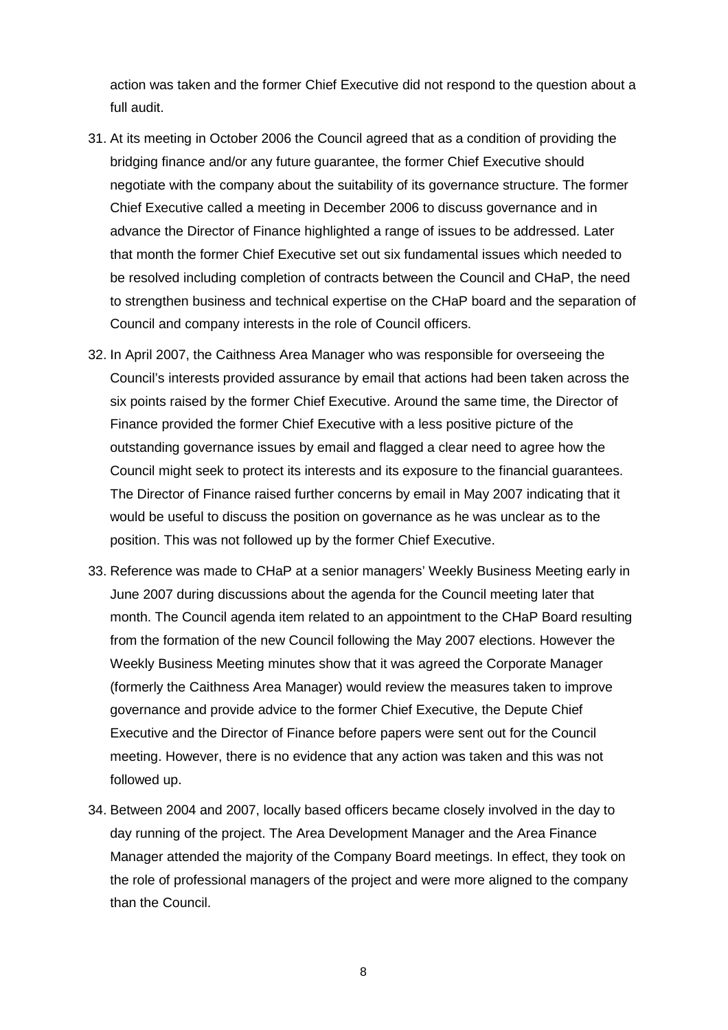action was taken and the former Chief Executive did not respond to the question about a full audit.

- negotiate with the company about the suitability of its governance structure. The former 31. At its meeting in October 2006 the Council agreed that as a condition of providing the bridging finance and/or any future guarantee, the former Chief Executive should Chief Executive called a meeting in December 2006 to discuss governance and in advance the Director of Finance highlighted a range of issues to be addressed. Later that month the former Chief Executive set out six fundamental issues which needed to be resolved including completion of contracts between the Council and CHaP, the need to strengthen business and technical expertise on the CHaP board and the separation of Council and company interests in the role of Council officers.
- Council might seek to protect its interests and its exposure to the financial guarantees. would be useful to discuss the position on governance as he was unclear as to the position. This was not followed up by the former Chief Executive. 32. In April 2007, the Caithness Area Manager who was responsible for overseeing the Council's interests provided assurance by email that actions had been taken across the six points raised by the former Chief Executive. Around the same time, the Director of Finance provided the former Chief Executive with a less positive picture of the outstanding governance issues by email and flagged a clear need to agree how the The Director of Finance raised further concerns by email in May 2007 indicating that it
- Weekly Business Meeting minutes show that it was agreed the Corporate Manager Executive and the Director of Finance before papers were sent out for the Council followed up. 33. Reference was made to CHaP at a senior managers' Weekly Business Meeting early in June 2007 during discussions about the agenda for the Council meeting later that month. The Council agenda item related to an appointment to the CHaP Board resulting from the formation of the new Council following the May 2007 elections. However the (formerly the Caithness Area Manager) would review the measures taken to improve governance and provide advice to the former Chief Executive, the Depute Chief meeting. However, there is no evidence that any action was taken and this was not
- day running of the project. The Area Development Manager and the Area Finance Manager attended the majority of the Company Board meetings. In effect, they took on 34. Between 2004 and 2007, locally based officers became closely involved in the day to the role of professional managers of the project and were more aligned to the company than the Council.

8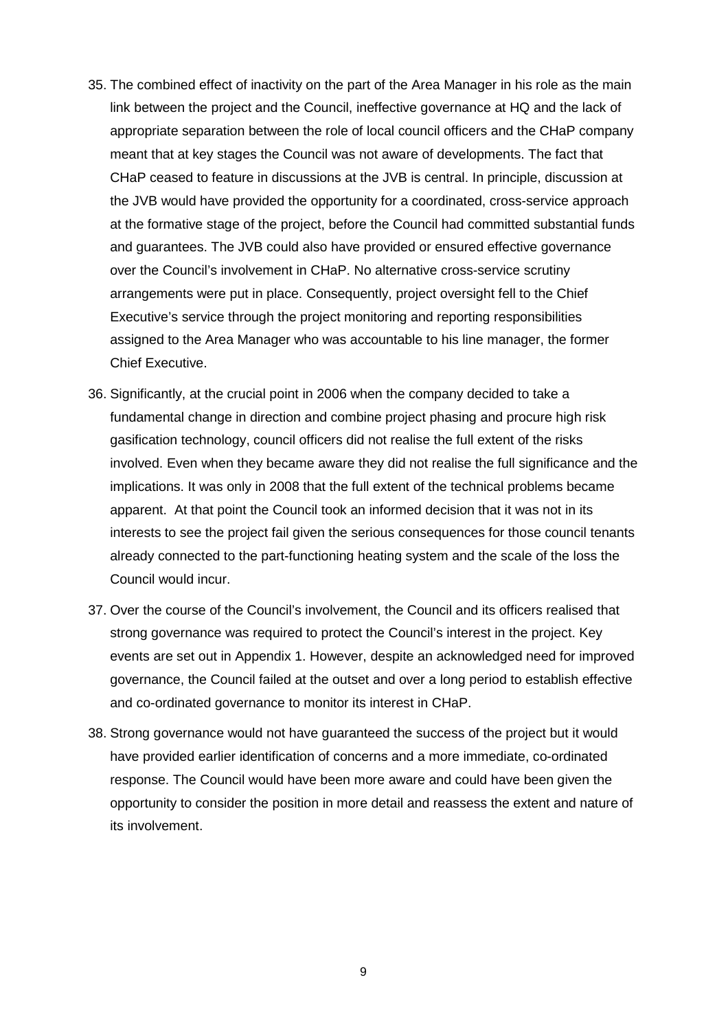- meant that at key stages the Council was not aware of developments. The fact that arrangements were put in place. Consequently, project oversight fell to the Chief Chief Executive. 35. The combined effect of inactivity on the part of the Area Manager in his role as the main link between the project and the Council, ineffective governance at HQ and the lack of appropriate separation between the role of local council officers and the CHaP company CHaP ceased to feature in discussions at the JVB is central. In principle, discussion at the JVB would have provided the opportunity for a coordinated, cross-service approach at the formative stage of the project, before the Council had committed substantial funds and guarantees. The JVB could also have provided or ensured effective governance over the Council's involvement in CHaP. No alternative cross-service scrutiny Executive's service through the project monitoring and reporting responsibilities assigned to the Area Manager who was accountable to his line manager, the former
- gasification technology, council officers did not realise the full extent of the risks Council would incur. 36. Significantly, at the crucial point in 2006 when the company decided to take a fundamental change in direction and combine project phasing and procure high risk involved. Even when they became aware they did not realise the full significance and the implications. It was only in 2008 that the full extent of the technical problems became apparent. At that point the Council took an informed decision that it was not in its interests to see the project fail given the serious consequences for those council tenants already connected to the part-functioning heating system and the scale of the loss the
- 37. Over the course of the Council's involvement, the Council and its officers realised that strong governance was required to protect the Council's interest in the project. Key events are set out in Appendix 1. However, despite an acknowledged need for improved governance, the Council failed at the outset and over a long period to establish effective and co-ordinated governance to monitor its interest in CHaP.
- 38. Strong governance would not have guaranteed the success of the project but it would have provided earlier identification of concerns and a more immediate, co-ordinated response. The Council would have been more aware and could have been given the opportunity to consider the position in more detail and reassess the extent and nature of its involvement.

9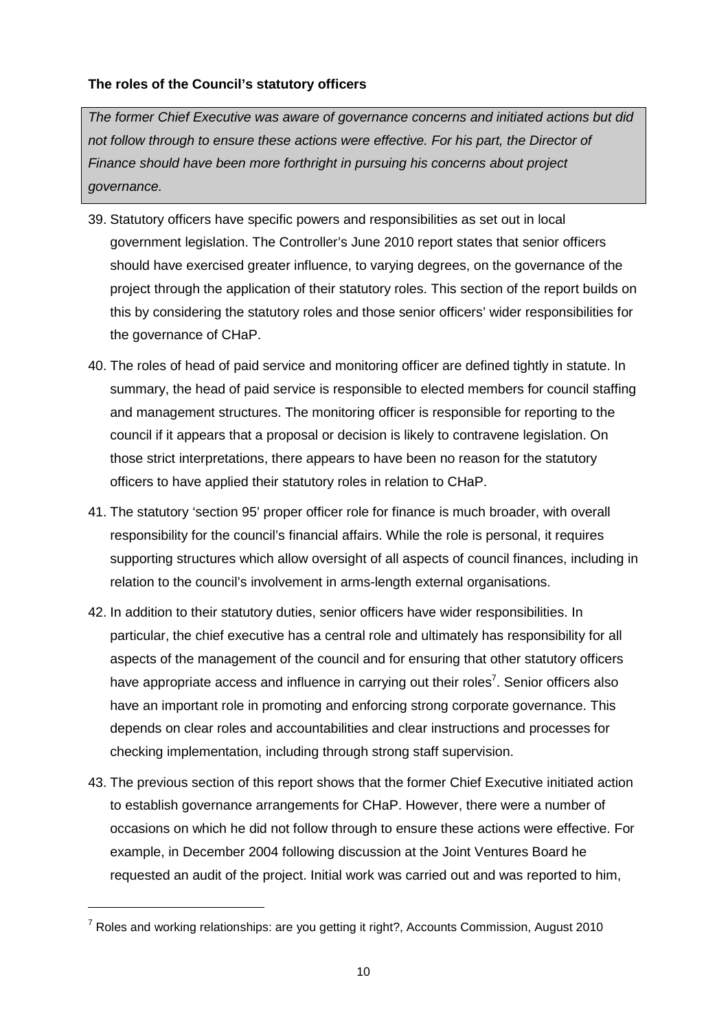#### **The roles of the Council's statutory officers**

 *not follow through to ensure these actions were effective. For his part, the Director of The former Chief Executive was aware of governance concerns and initiated actions but did Finance should have been more forthright in pursuing his concerns about project governance.* 

- 39. Statutory officers have specific powers and responsibilities as set out in local government legislation. The Controller's June 2010 report states that senior officers should have exercised greater influence, to varying degrees, on the governance of the project through the application of their statutory roles. This section of the report builds on this by considering the statutory roles and those senior officers' wider responsibilities for the governance of CHaP.
- council if it appears that a proposal or decision is likely to contravene legislation. On officers to have applied their statutory roles in relation to CHaP. 40. The roles of head of paid service and monitoring officer are defined tightly in statute. In summary, the head of paid service is responsible to elected members for council staffing and management structures. The monitoring officer is responsible for reporting to the those strict interpretations, there appears to have been no reason for the statutory
- 41. The statutory 'section 95' proper officer role for finance is much broader, with overall relation to the council's involvement in arms-length external organisations. responsibility for the council's financial affairs. While the role is personal, it requires supporting structures which allow oversight of all aspects of council finances, including in
- relation to the council's involvement in arms-length external organisations. 42. In addition to their statutory duties, senior officers have wider responsibilities. In have an important role in promoting and enforcing strong corporate governance. This checking implementation, including through strong staff supervision. particular, the chief executive has a central role and ultimately has responsibility for all aspects of the management of the council and for ensuring that other statutory officers have appropriate access and influence in carrying out their roles<sup>7</sup>. Senior officers also depends on clear roles and accountabilities and clear instructions and processes for
- requested an audit of the project. Initial work was carried out and was reported to him, 43. The previous section of this report shows that the former Chief Executive initiated action to establish governance arrangements for CHaP. However, there were a number of occasions on which he did not follow through to ensure these actions were effective. For example, in December 2004 following discussion at the Joint Ventures Board he

 $<sup>7</sup>$  Roles and working relationships: are you getting it right?, Accounts Commission, August 2010</sup>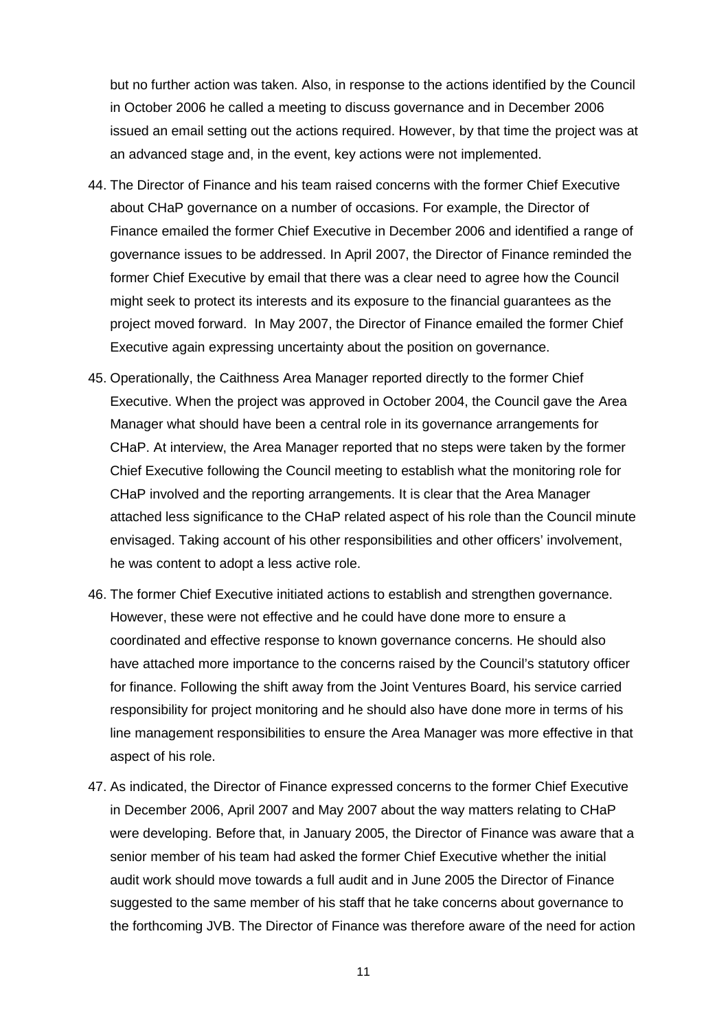but no further action was taken. Also, in response to the actions identified by the Council in October 2006 he called a meeting to discuss governance and in December 2006 issued an email setting out the actions required. However, by that time the project was at an advanced stage and, in the event, key actions were not implemented.

- governance issues to be addressed. In April 2007, the Director of Finance reminded the might seek to protect its interests and its exposure to the financial guarantees as the Executive again expressing uncertainty about the position on governance. Executive again expressing uncertainty about the position on governance. 45. Operationally, the Caithness Area Manager reported directly to the former Chief 44. The Director of Finance and his team raised concerns with the former Chief Executive about CHaP governance on a number of occasions. For example, the Director of Finance emailed the former Chief Executive in December 2006 and identified a range of former Chief Executive by email that there was a clear need to agree how the Council project moved forward. In May 2007, the Director of Finance emailed the former Chief
- Chief Executive following the Council meeting to establish what the monitoring role for envisaged. Taking account of his other responsibilities and other officers' involvement, he was content to adopt a less active role. Executive. When the project was approved in October 2004, the Council gave the Area Manager what should have been a central role in its governance arrangements for CHaP. At interview, the Area Manager reported that no steps were taken by the former CHaP involved and the reporting arrangements. It is clear that the Area Manager attached less significance to the CHaP related aspect of his role than the Council minute
- aspect of his role. 46. The former Chief Executive initiated actions to establish and strengthen governance. However, these were not effective and he could have done more to ensure a coordinated and effective response to known governance concerns. He should also have attached more importance to the concerns raised by the Council's statutory officer for finance. Following the shift away from the Joint Ventures Board, his service carried responsibility for project monitoring and he should also have done more in terms of his line management responsibilities to ensure the Area Manager was more effective in that
- 47. As indicated, the Director of Finance expressed concerns to the former Chief Executive senior member of his team had asked the former Chief Executive whether the initial in December 2006, April 2007 and May 2007 about the way matters relating to CHaP were developing. Before that, in January 2005, the Director of Finance was aware that a audit work should move towards a full audit and in June 2005 the Director of Finance suggested to the same member of his staff that he take concerns about governance to the forthcoming JVB. The Director of Finance was therefore aware of the need for action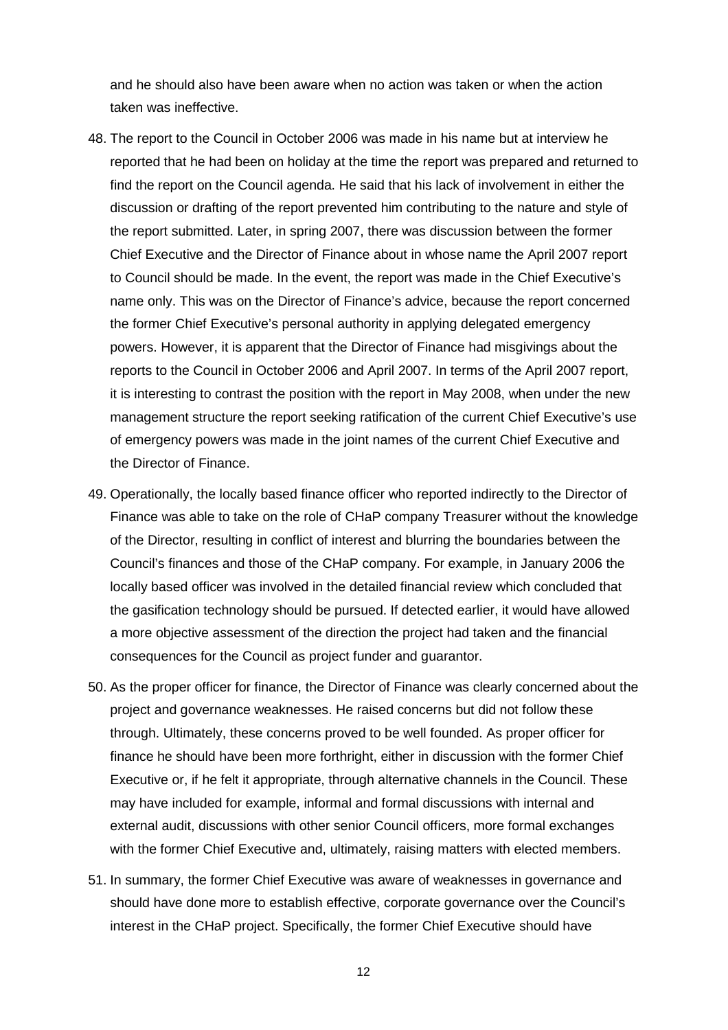<span id="page-48-0"></span>and he should also have been aware when no action was taken or when the action taken was ineffective.

- find the report on the Council agenda. He said that his lack of involvement in either the to Council should be made. In the event, the report was made in the Chief Executive's reports to the Council in October 2006 and April 2007. In terms of the April 2007 report, it is interesting to contrast the position with the report in May 2008, when under the new 48. The report to the Council in October 2006 was made in his name but at interview he reported that he had been on holiday at the time the report was prepared and returned to discussion or drafting of the report prevented him contributing to the nature and style of the report submitted. Later, in spring 2007, there was discussion between the former Chief Executive and the Director of Finance about in whose name the April 2007 report name only. This was on the Director of Finance's advice, because the report concerned the former Chief Executive's personal authority in applying delegated emergency powers. However, it is apparent that the Director of Finance had misgivings about the management structure the report seeking ratification of the current Chief Executive's use of emergency powers was made in the joint names of the current Chief Executive and the Director of Finance.
- the gasification technology should be pursued. If detected earlier, it would have allowed 49. Operationally, the locally based finance officer who reported indirectly to the Director of Finance was able to take on the role of CHaP company Treasurer without the knowledge of the Director, resulting in conflict of interest and blurring the boundaries between the Council's finances and those of the CHaP company. For example, in January 2006 the locally based officer was involved in the detailed financial review which concluded that a more objective assessment of the direction the project had taken and the financial consequences for the Council as project funder and guarantor.
- 50. As the proper officer for finance, the Director of Finance was clearly concerned about the through. Ultimately, these concerns proved to be well founded. As proper officer for with the former Chief Executive and, ultimately, raising matters with elected members. project and governance weaknesses. He raised concerns but did not follow these finance he should have been more forthright, either in discussion with the former Chief Executive or, if he felt it appropriate, through alternative channels in the Council. These may have included for example, informal and formal discussions with internal and external audit, discussions with other senior Council officers, more formal exchanges
- 51. In summary, the former Chief Executive was aware of weaknesses in governance and should have done more to establish effective, corporate governance over the Council's interest in the CHaP project. Specifically, the former Chief Executive should have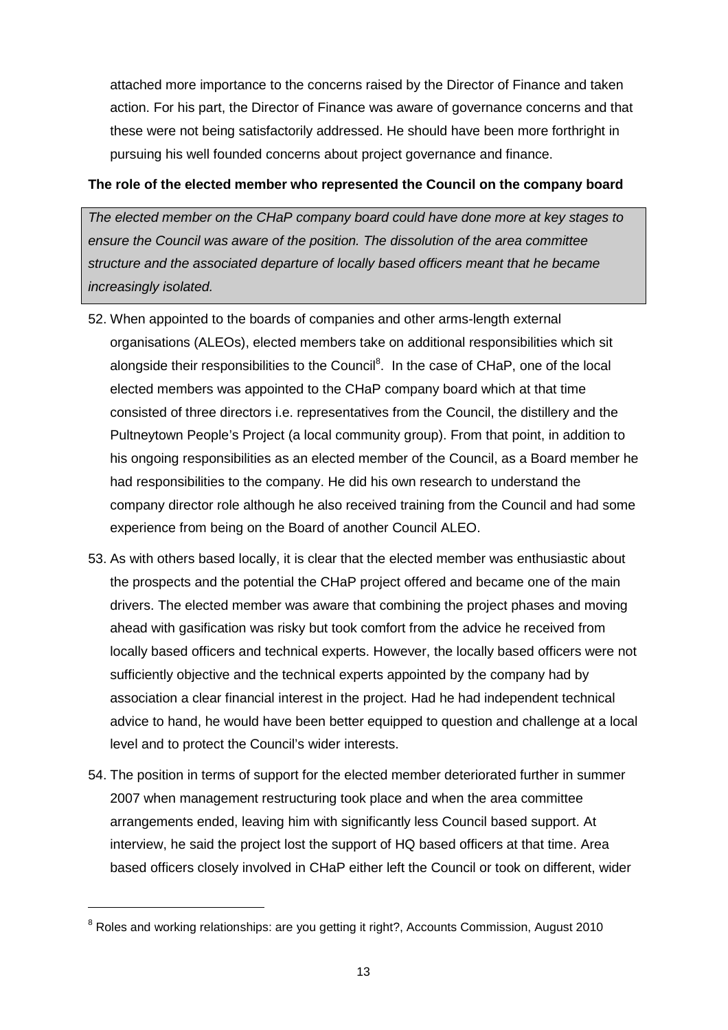pursuing his well founded concerns about project governance and finance. attached more importance to the concerns raised by the Director of Finance and taken action. For his part, the Director of Finance was aware of governance concerns and that these were not being satisfactorily addressed. He should have been more forthright in

#### **The role of the elected member who represented the Council on the company board**

*The elected member on the CHaP company board could have done more at key stages to ensure the Council was aware of the position. The dissolution of the area committee structure and the associated departure of locally based officers meant that he became increasingly isolated.* 

- his ongoing responsibilities as an elected member of the Council, as a Board member he experience from being on the Board of another Council ALEO. 52. When appointed to the boards of companies and other arms-length external organisations (ALEOs), elected members take on additional responsibilities which sit alongside their responsibilities to the Council<sup>8</sup>. In the case of CHaP, one of the local elected members was appointed to the CHaP company board which at that time consisted of three directors i.e. representatives from the Council, the distillery and the Pultneytown People's Project (a local community group). From that point, in addition to had responsibilities to the company. He did his own research to understand the company director role although he also received training from the Council and had some
- the prospects and the potential the CHaP project offered and became one of the main ahead with gasification was risky but took comfort from the advice he received from 53. As with others based locally, it is clear that the elected member was enthusiastic about drivers. The elected member was aware that combining the project phases and moving locally based officers and technical experts. However, the locally based officers were not sufficiently objective and the technical experts appointed by the company had by association a clear financial interest in the project. Had he had independent technical advice to hand, he would have been better equipped to question and challenge at a local level and to protect the Council's wider interests.
- 54. The position in terms of support for the elected member deteriorated further in summer 2007 when management restructuring took place and when the area committee arrangements ended, leaving him with significantly less Council based support. At interview, he said the project lost the support of HQ based officers at that time. Area based officers closely involved in CHaP either left the Council or took on different, wider

 $8$  Roles and working relationships: are you getting it right?, Accounts Commission, August 2010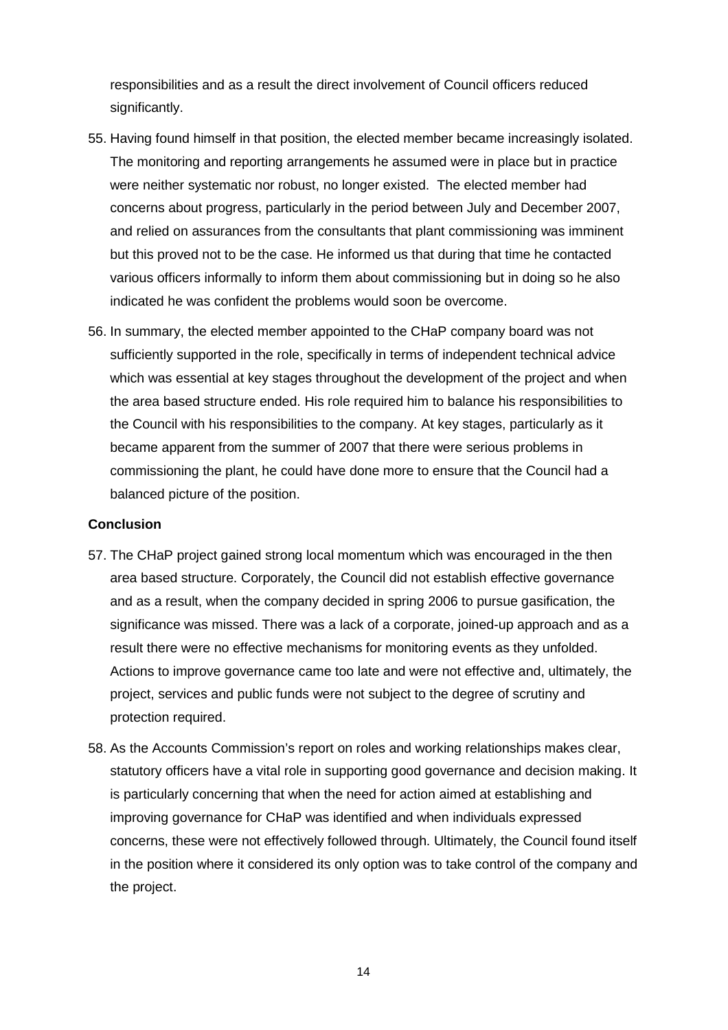responsibilities and as a result the direct involvement of Council officers reduced significantly.

- were neither systematic nor robust, no longer existed. The elected member had but this proved not to be the case. He informed us that during that time he contacted 55. Having found himself in that position, the elected member became increasingly isolated. The monitoring and reporting arrangements he assumed were in place but in practice concerns about progress, particularly in the period between July and December 2007, and relied on assurances from the consultants that plant commissioning was imminent various officers informally to inform them about commissioning but in doing so he also indicated he was confident the problems would soon be overcome.
- which was essential at key stages throughout the development of the project and when 56. In summary, the elected member appointed to the CHaP company board was not sufficiently supported in the role, specifically in terms of independent technical advice the area based structure ended. His role required him to balance his responsibilities to the Council with his responsibilities to the company. At key stages, particularly as it became apparent from the summer of 2007 that there were serious problems in commissioning the plant, he could have done more to ensure that the Council had a balanced picture of the position.

#### **Conclusion**

- 57. The CHaP project gained strong local momentum which was encouraged in the then area based structure. Corporately, the Council did not establish effective governance and as a result, when the company decided in spring 2006 to pursue gasification, the significance was missed. There was a lack of a corporate, joined-up approach and as a result there were no effective mechanisms for monitoring events as they unfolded. Actions to improve governance came too late and were not effective and, ultimately, the project, services and public funds were not subject to the degree of scrutiny and protection required.
- the project. 58. As the Accounts Commission's report on roles and working relationships makes clear, statutory officers have a vital role in supporting good governance and decision making. It is particularly concerning that when the need for action aimed at establishing and improving governance for CHaP was identified and when individuals expressed concerns, these were not effectively followed through. Ultimately, the Council found itself in the position where it considered its only option was to take control of the company and the project.<br>
14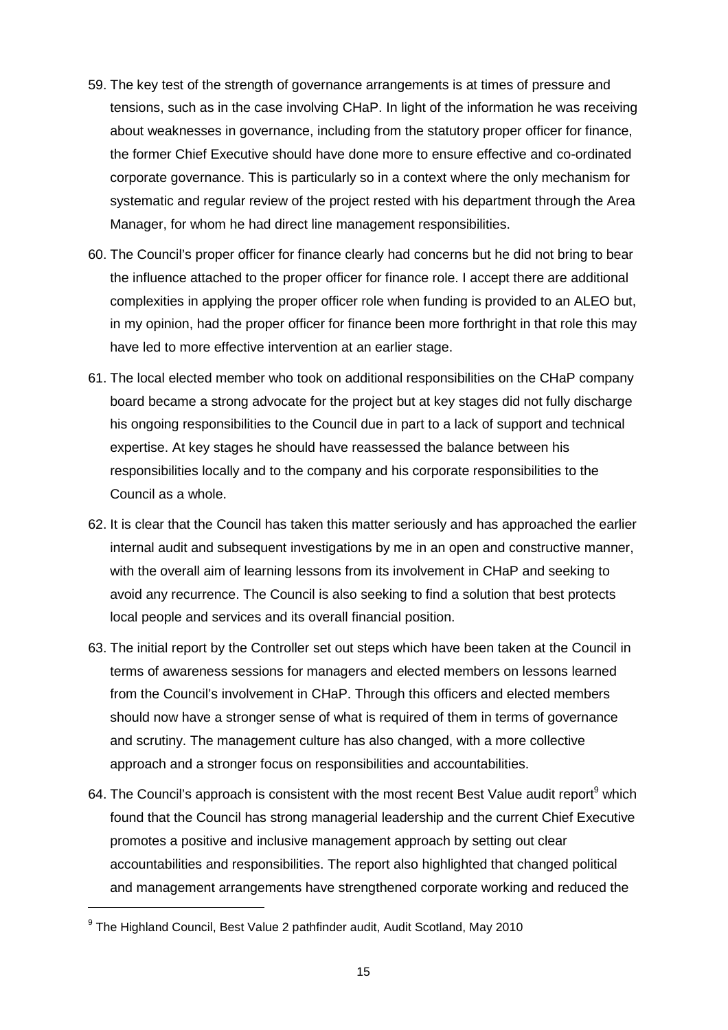- 59. The key test of the strength of governance arrangements is at times of pressure and about weaknesses in governance, including from the statutory proper officer for finance, corporate governance. This is particularly so in a context where the only mechanism for systematic and regular review of the project rested with his department through the Area tensions, such as in the case involving CHaP. In light of the information he was receiving the former Chief Executive should have done more to ensure effective and co-ordinated Manager, for whom he had direct line management responsibilities.
- the influence attached to the proper officer for finance role. I accept there are additional in my opinion, had the proper officer for finance been more forthright in that role this may 60. The Council's proper officer for finance clearly had concerns but he did not bring to bear complexities in applying the proper officer role when funding is provided to an ALEO but, have led to more effective intervention at an earlier stage.
- 61. The local elected member who took on additional responsibilities on the CHaP company board became a strong advocate for the project but at key stages did not fully discharge his ongoing responsibilities to the Council due in part to a lack of support and technical expertise. At key stages he should have reassessed the balance between his responsibilities locally and to the company and his corporate responsibilities to the Council as a whole.
- 62. It is clear that the Council has taken this matter seriously and has approached the earlier internal audit and subsequent investigations by me in an open and constructive manner, with the overall aim of learning lessons from its involvement in CHaP and seeking to avoid any recurrence. The Council is also seeking to find a solution that best protects local people and services and its overall financial position.
- 63. The initial report by the Controller set out steps which have been taken at the Council in approach and a stronger focus on responsibilities and accountabilities. terms of awareness sessions for managers and elected members on lessons learned from the Council's involvement in CHaP. Through this officers and elected members should now have a stronger sense of what is required of them in terms of governance and scrutiny. The management culture has also changed, with a more collective
- promotes a positive and inclusive management approach by setting out clear approach and a stronger focus on responsibilities and accountabilities.<br>64. The Council's approach is consistent with the most recent Best Value audit report<sup>9</sup> which found that the Council has strong managerial leadership and the current Chief Executive accountabilities and responsibilities. The report also highlighted that changed political and management arrangements have strengthened corporate working and reduced the

<sup>&</sup>lt;sup>9</sup> The Highland Council, Best Value 2 pathfinder audit, Audit Scotland, May 2010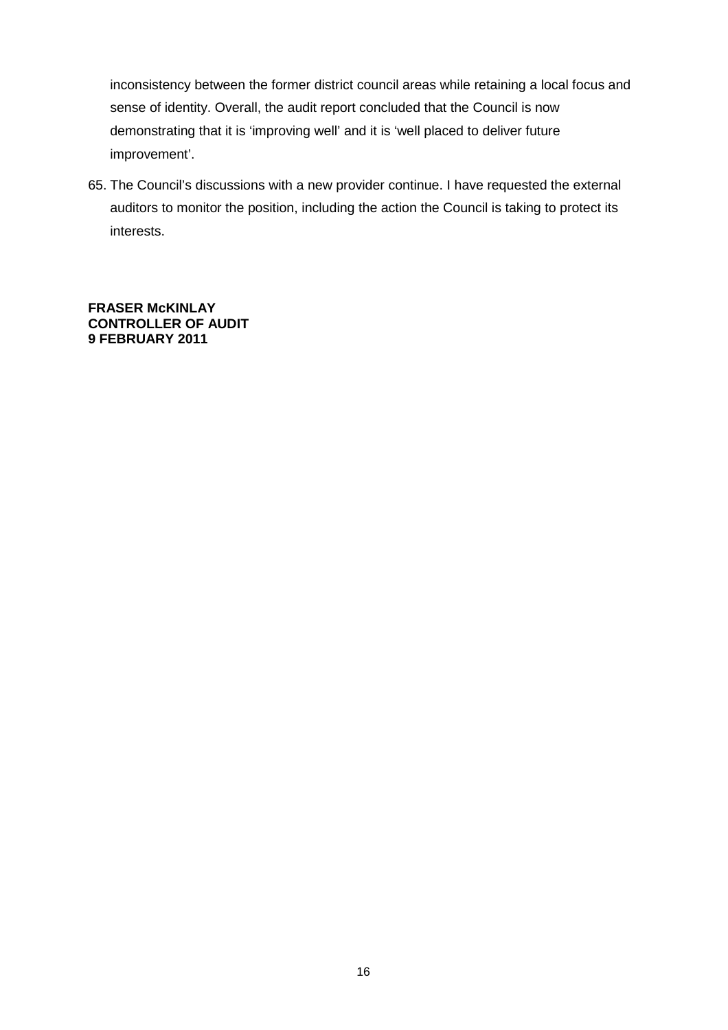<span id="page-52-0"></span> demonstrating that it is 'improving well' and it is 'well placed to deliver future inconsistency between the former district council areas while retaining a local focus and sense of identity. Overall, the audit report concluded that the Council is now improvement'.

 65. The Council's discussions with a new provider continue. I have requested the external auditors to monitor the position, including the action the Council is taking to protect its interests.

 **CONTROLLER OF AUDIT 9 FEBRUARY 2011 FRASER McKINLAY**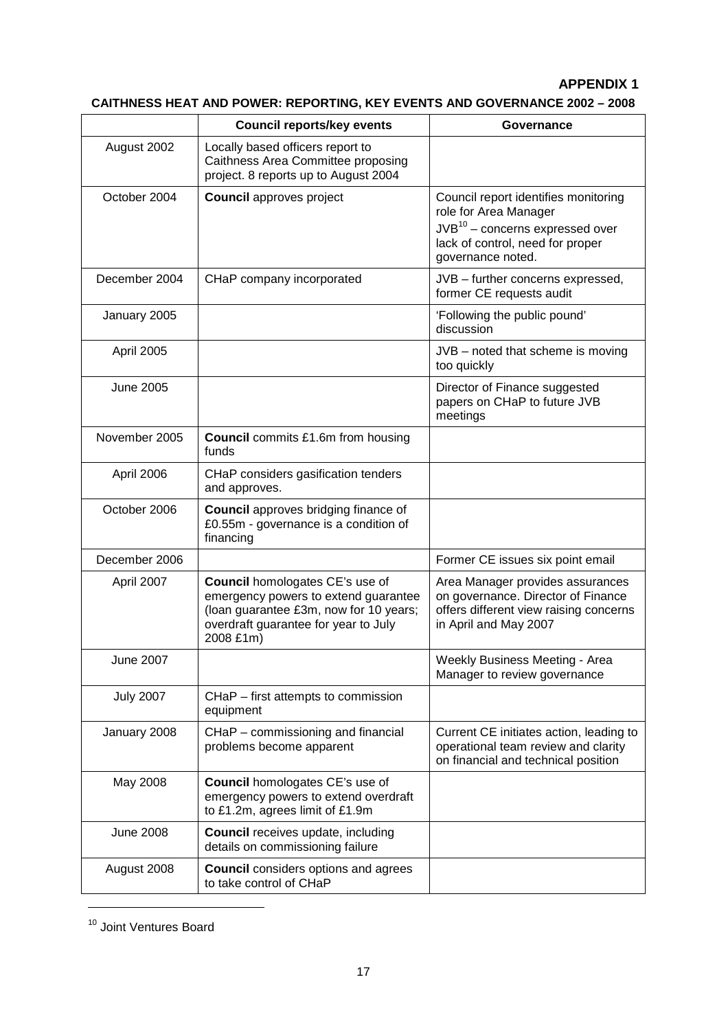#### **APPENDIX 1**

### **CAITHNESS HEAT AND POWER: REPORTING, KEY EVENTS AND GOVERNANCE 2002 – 2008**

| August 2002<br>Locally based officers report to<br>Caithness Area Committee proposing<br>project. 8 reports up to August 2004<br>October 2004<br><b>Council approves project</b><br>Council report identifies monitoring<br>role for Area Manager<br>$JVB10$ – concerns expressed over<br>lack of control, need for proper<br>governance noted.<br>December 2004<br>CHaP company incorporated<br>JVB - further concerns expressed,<br>former CE requests audit<br>'Following the public pound'<br>January 2005<br>discussion<br>April 2005<br>JVB - noted that scheme is moving<br>too quickly<br>Director of Finance suggested<br>June 2005<br>papers on CHaP to future JVB<br>meetings<br>November 2005<br><b>Council</b> commits £1.6m from housing<br>funds<br>CHaP considers gasification tenders<br>April 2006<br>and approves.<br>October 2006<br><b>Council</b> approves bridging finance of<br>£0.55m - governance is a condition of<br>financing<br>December 2006<br>Former CE issues six point email<br><b>Council</b> homologates CE's use of<br>April 2007<br>Area Manager provides assurances<br>on governance. Director of Finance<br>emergency powers to extend guarantee<br>(loan guarantee £3m, now for 10 years;<br>offers different view raising concerns<br>overdraft guarantee for year to July<br>in April and May 2007<br>2008 £1m)<br>Weekly Business Meeting - Area<br><b>June 2007</b><br>Manager to review governance<br><b>July 2007</b><br>CHaP - first attempts to commission<br>equipment<br>CHaP - commissioning and financial<br>Current CE initiates action, leading to<br>January 2008<br>problems become apparent<br>operational team review and clarity<br>on financial and technical position<br><b>Council</b> homologates CE's use of<br>May 2008<br>emergency powers to extend overdraft<br>to £1.2m, agrees limit of £1.9m<br><b>June 2008</b><br><b>Council</b> receives update, including<br>details on commissioning failure<br><b>Council</b> considers options and agrees<br>August 2008<br>to take control of CHaP | <b>Council reports/key events</b> | Governance |
|---------------------------------------------------------------------------------------------------------------------------------------------------------------------------------------------------------------------------------------------------------------------------------------------------------------------------------------------------------------------------------------------------------------------------------------------------------------------------------------------------------------------------------------------------------------------------------------------------------------------------------------------------------------------------------------------------------------------------------------------------------------------------------------------------------------------------------------------------------------------------------------------------------------------------------------------------------------------------------------------------------------------------------------------------------------------------------------------------------------------------------------------------------------------------------------------------------------------------------------------------------------------------------------------------------------------------------------------------------------------------------------------------------------------------------------------------------------------------------------------------------------------------------------------------------------------------------------------------------------------------------------------------------------------------------------------------------------------------------------------------------------------------------------------------------------------------------------------------------------------------------------------------------------------------------------------------------------------------------------------------------------------------------------------------------------------|-----------------------------------|------------|
|                                                                                                                                                                                                                                                                                                                                                                                                                                                                                                                                                                                                                                                                                                                                                                                                                                                                                                                                                                                                                                                                                                                                                                                                                                                                                                                                                                                                                                                                                                                                                                                                                                                                                                                                                                                                                                                                                                                                                                                                                                                                     |                                   |            |
|                                                                                                                                                                                                                                                                                                                                                                                                                                                                                                                                                                                                                                                                                                                                                                                                                                                                                                                                                                                                                                                                                                                                                                                                                                                                                                                                                                                                                                                                                                                                                                                                                                                                                                                                                                                                                                                                                                                                                                                                                                                                     |                                   |            |
|                                                                                                                                                                                                                                                                                                                                                                                                                                                                                                                                                                                                                                                                                                                                                                                                                                                                                                                                                                                                                                                                                                                                                                                                                                                                                                                                                                                                                                                                                                                                                                                                                                                                                                                                                                                                                                                                                                                                                                                                                                                                     |                                   |            |
|                                                                                                                                                                                                                                                                                                                                                                                                                                                                                                                                                                                                                                                                                                                                                                                                                                                                                                                                                                                                                                                                                                                                                                                                                                                                                                                                                                                                                                                                                                                                                                                                                                                                                                                                                                                                                                                                                                                                                                                                                                                                     |                                   |            |
|                                                                                                                                                                                                                                                                                                                                                                                                                                                                                                                                                                                                                                                                                                                                                                                                                                                                                                                                                                                                                                                                                                                                                                                                                                                                                                                                                                                                                                                                                                                                                                                                                                                                                                                                                                                                                                                                                                                                                                                                                                                                     |                                   |            |
|                                                                                                                                                                                                                                                                                                                                                                                                                                                                                                                                                                                                                                                                                                                                                                                                                                                                                                                                                                                                                                                                                                                                                                                                                                                                                                                                                                                                                                                                                                                                                                                                                                                                                                                                                                                                                                                                                                                                                                                                                                                                     |                                   |            |
|                                                                                                                                                                                                                                                                                                                                                                                                                                                                                                                                                                                                                                                                                                                                                                                                                                                                                                                                                                                                                                                                                                                                                                                                                                                                                                                                                                                                                                                                                                                                                                                                                                                                                                                                                                                                                                                                                                                                                                                                                                                                     |                                   |            |
|                                                                                                                                                                                                                                                                                                                                                                                                                                                                                                                                                                                                                                                                                                                                                                                                                                                                                                                                                                                                                                                                                                                                                                                                                                                                                                                                                                                                                                                                                                                                                                                                                                                                                                                                                                                                                                                                                                                                                                                                                                                                     |                                   |            |
|                                                                                                                                                                                                                                                                                                                                                                                                                                                                                                                                                                                                                                                                                                                                                                                                                                                                                                                                                                                                                                                                                                                                                                                                                                                                                                                                                                                                                                                                                                                                                                                                                                                                                                                                                                                                                                                                                                                                                                                                                                                                     |                                   |            |
|                                                                                                                                                                                                                                                                                                                                                                                                                                                                                                                                                                                                                                                                                                                                                                                                                                                                                                                                                                                                                                                                                                                                                                                                                                                                                                                                                                                                                                                                                                                                                                                                                                                                                                                                                                                                                                                                                                                                                                                                                                                                     |                                   |            |
|                                                                                                                                                                                                                                                                                                                                                                                                                                                                                                                                                                                                                                                                                                                                                                                                                                                                                                                                                                                                                                                                                                                                                                                                                                                                                                                                                                                                                                                                                                                                                                                                                                                                                                                                                                                                                                                                                                                                                                                                                                                                     |                                   |            |
|                                                                                                                                                                                                                                                                                                                                                                                                                                                                                                                                                                                                                                                                                                                                                                                                                                                                                                                                                                                                                                                                                                                                                                                                                                                                                                                                                                                                                                                                                                                                                                                                                                                                                                                                                                                                                                                                                                                                                                                                                                                                     |                                   |            |
|                                                                                                                                                                                                                                                                                                                                                                                                                                                                                                                                                                                                                                                                                                                                                                                                                                                                                                                                                                                                                                                                                                                                                                                                                                                                                                                                                                                                                                                                                                                                                                                                                                                                                                                                                                                                                                                                                                                                                                                                                                                                     |                                   |            |
|                                                                                                                                                                                                                                                                                                                                                                                                                                                                                                                                                                                                                                                                                                                                                                                                                                                                                                                                                                                                                                                                                                                                                                                                                                                                                                                                                                                                                                                                                                                                                                                                                                                                                                                                                                                                                                                                                                                                                                                                                                                                     |                                   |            |
|                                                                                                                                                                                                                                                                                                                                                                                                                                                                                                                                                                                                                                                                                                                                                                                                                                                                                                                                                                                                                                                                                                                                                                                                                                                                                                                                                                                                                                                                                                                                                                                                                                                                                                                                                                                                                                                                                                                                                                                                                                                                     |                                   |            |
|                                                                                                                                                                                                                                                                                                                                                                                                                                                                                                                                                                                                                                                                                                                                                                                                                                                                                                                                                                                                                                                                                                                                                                                                                                                                                                                                                                                                                                                                                                                                                                                                                                                                                                                                                                                                                                                                                                                                                                                                                                                                     |                                   |            |
|                                                                                                                                                                                                                                                                                                                                                                                                                                                                                                                                                                                                                                                                                                                                                                                                                                                                                                                                                                                                                                                                                                                                                                                                                                                                                                                                                                                                                                                                                                                                                                                                                                                                                                                                                                                                                                                                                                                                                                                                                                                                     |                                   |            |

<sup>&</sup>lt;sup>10</sup> Joint Ventures Board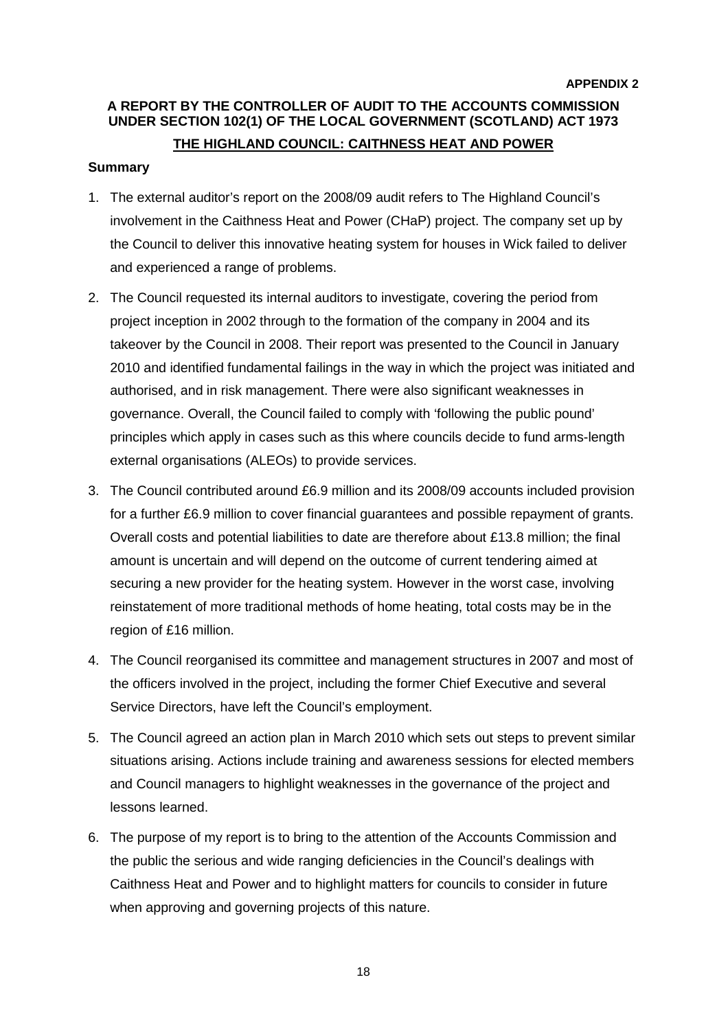### **A REPORT BY THE CONTROLLER OF AUDIT TO THE ACCOUNTS COMMISSION UNDER SECTION 102(1) OF THE LOCAL GOVERNMENT (SCOTLAND) ACT 1973 THE HIGHLAND COUNCIL: CAITHNESS HEAT AND POWER**

#### **Summary**

- 1. The external auditor's report on the 2008/09 audit refers to The Highland Council's involvement in the Caithness Heat and Power (CHaP) project. The company set up by the Council to deliver this innovative heating system for houses in Wick failed to deliver and experienced a range of problems.
- 2. The Council requested its internal auditors to investigate, covering the period from project inception in 2002 through to the formation of the company in 2004 and its takeover by the Council in 2008. Their report was presented to the Council in January 2010 and identified fundamental failings in the way in which the project was initiated and authorised, and in risk management. There were also significant weaknesses in governance. Overall, the Council failed to comply with 'following the public pound' principles which apply in cases such as this where councils decide to fund arms-length external organisations (ALEOs) to provide services.
- for a further £6.9 million to cover financial guarantees and possible repayment of grants. Overall costs and potential liabilities to date are therefore about £13.8 million; the final 3. The Council contributed around £6.9 million and its 2008/09 accounts included provision amount is uncertain and will depend on the outcome of current tendering aimed at securing a new provider for the heating system. However in the worst case, involving reinstatement of more traditional methods of home heating, total costs may be in the region of £16 million.
- 4. The Council reorganised its committee and management structures in 2007 and most of the officers involved in the project, including the former Chief Executive and several Service Directors, have left the Council's employment.
- 5. The Council agreed an action plan in March 2010 which sets out steps to prevent similar situations arising. Actions include training and awareness sessions for elected members and Council managers to highlight weaknesses in the governance of the project and lessons learned.
- 6. The purpose of my report is to bring to the attention of the Accounts Commission and when approving and governing projects of this nature. the public the serious and wide ranging deficiencies in the Council's dealings with Caithness Heat and Power and to highlight matters for councils to consider in future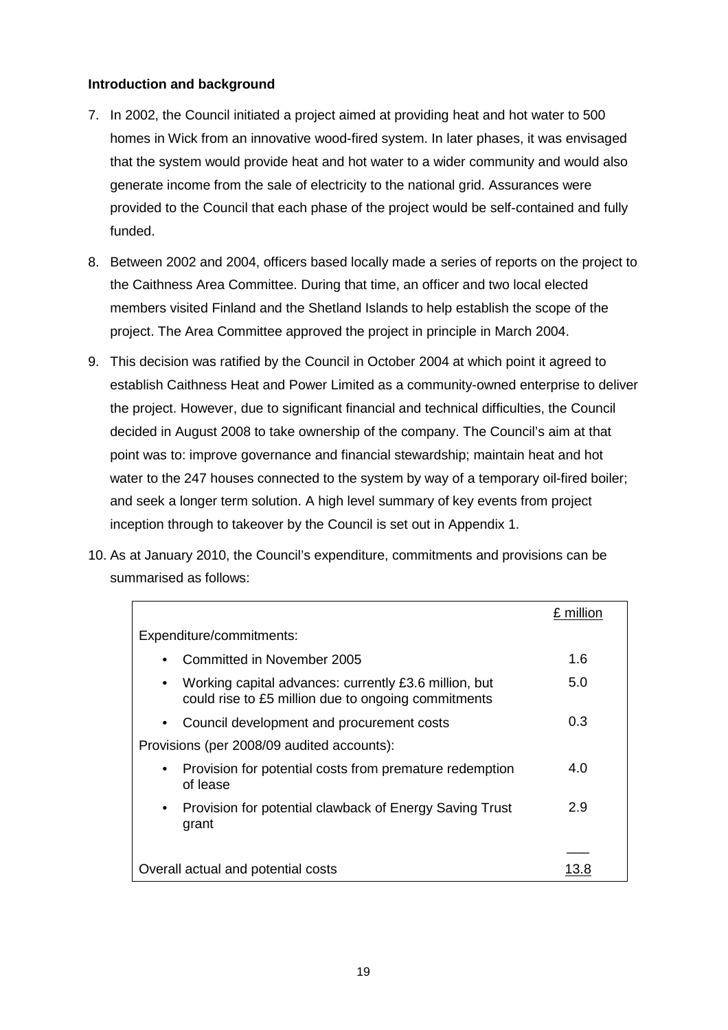#### **Introduction and background**

- homes in Wick from an innovative wood-fired system. In later phases, it was envisaged 7. In 2002, the Council initiated a project aimed at providing heat and hot water to 500 that the system would provide heat and hot water to a wider community and would also generate income from the sale of electricity to the national grid. Assurances were provided to the Council that each phase of the project would be self-contained and fully funded.
- 8. Between 2002 and 2004, officers based locally made a series of reports on the project to the Caithness Area Committee. During that time, an officer and two local elected members visited Finland and the Shetland Islands to help establish the scope of the project. The Area Committee approved the project in principle in March 2004.
- and seek a longer term solution. A high level summary of key events from project 9. This decision was ratified by the Council in October 2004 at which point it agreed to establish Caithness Heat and Power Limited as a community-owned enterprise to deliver the project. However, due to significant financial and technical difficulties, the Council decided in August 2008 to take ownership of the company. The Council's aim at that point was to: improve governance and financial stewardship; maintain heat and hot water to the 247 houses connected to the system by way of a temporary oil-fired boiler; inception through to takeover by the Council is set out in Appendix 1.
- 10. As at January 2010, the Council's expenditure, commitments and provisions can be summarised as follows:

|                                                                                                                           | £ million |
|---------------------------------------------------------------------------------------------------------------------------|-----------|
| Expenditure/commitments:                                                                                                  |           |
| Committed in November 2005<br>$\bullet$                                                                                   | 1.6       |
| Working capital advances: currently £3.6 million, but<br>$\bullet$<br>could rise to £5 million due to ongoing commitments | 5.0       |
| Council development and procurement costs<br>$\bullet$                                                                    | 0.3       |
| Provisions (per 2008/09 audited accounts):                                                                                |           |
| Provision for potential costs from premature redemption<br>$\bullet$<br>of lease                                          | 4.0       |
| Provision for potential clawback of Energy Saving Trust<br>$\bullet$<br>grant                                             | 2.9       |
|                                                                                                                           |           |
| Overall actual and potential costs                                                                                        |           |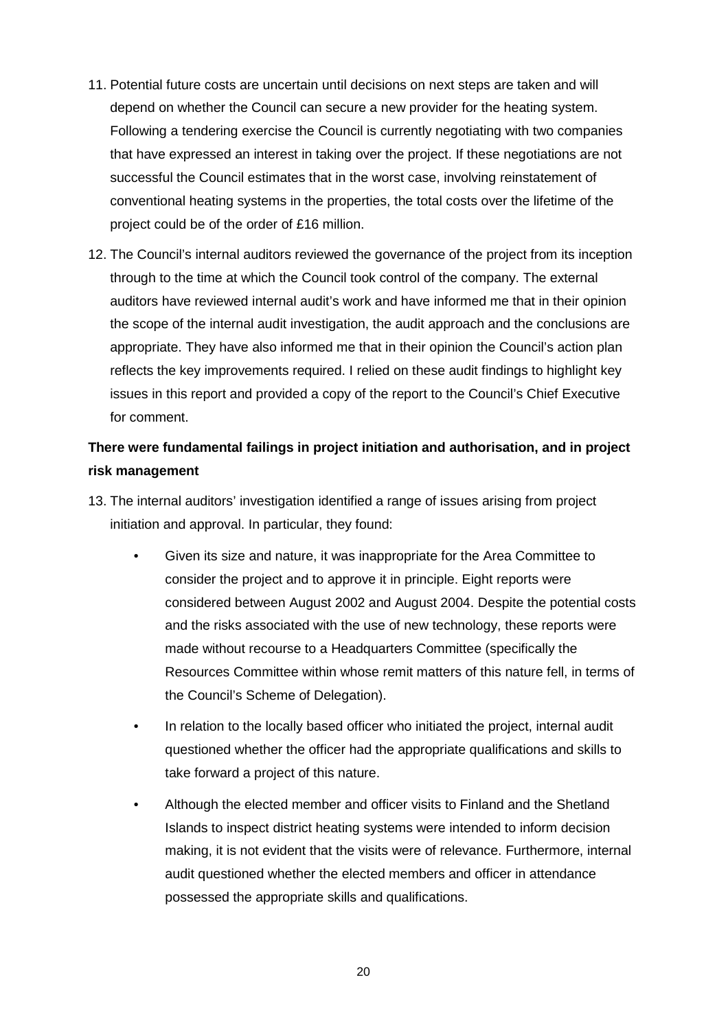- that have expressed an interest in taking over the project. If these negotiations are not project could be of the order of £16 million. 11. Potential future costs are uncertain until decisions on next steps are taken and will depend on whether the Council can secure a new provider for the heating system. Following a tendering exercise the Council is currently negotiating with two companies successful the Council estimates that in the worst case, involving reinstatement of conventional heating systems in the properties, the total costs over the lifetime of the
- reflects the key improvements required. I relied on these audit findings to highlight key for comment. 12. The Council's internal auditors reviewed the governance of the project from its inception through to the time at which the Council took control of the company. The external auditors have reviewed internal audit's work and have informed me that in their opinion the scope of the internal audit investigation, the audit approach and the conclusions are appropriate. They have also informed me that in their opinion the Council's action plan issues in this report and provided a copy of the report to the Council's Chief Executive

### **There were fundamental failings in project initiation and authorisation, and in project risk management**

- 13. The internal auditors' investigation identified a range of issues arising from project initiation and approval. In particular, they found:
	- Given its size and nature, it was inappropriate for the Area Committee to consider the project and to approve it in principle. Eight reports were Resources Committee within whose remit matters of this nature fell, in terms of the Council's Scheme of Delegation). considered between August 2002 and August 2004. Despite the potential costs and the risks associated with the use of new technology, these reports were made without recourse to a Headquarters Committee (specifically the
	- take forward a project of this nature. In relation to the locally based officer who initiated the project, internal audit questioned whether the officer had the appropriate qualifications and skills to
	- audit questioned whether the elected members and officer in attendance possessed the appropriate skills and qualifications.<br>20 Although the elected member and officer visits to Finland and the Shetland Islands to inspect district heating systems were intended to inform decision making, it is not evident that the visits were of relevance. Furthermore, internal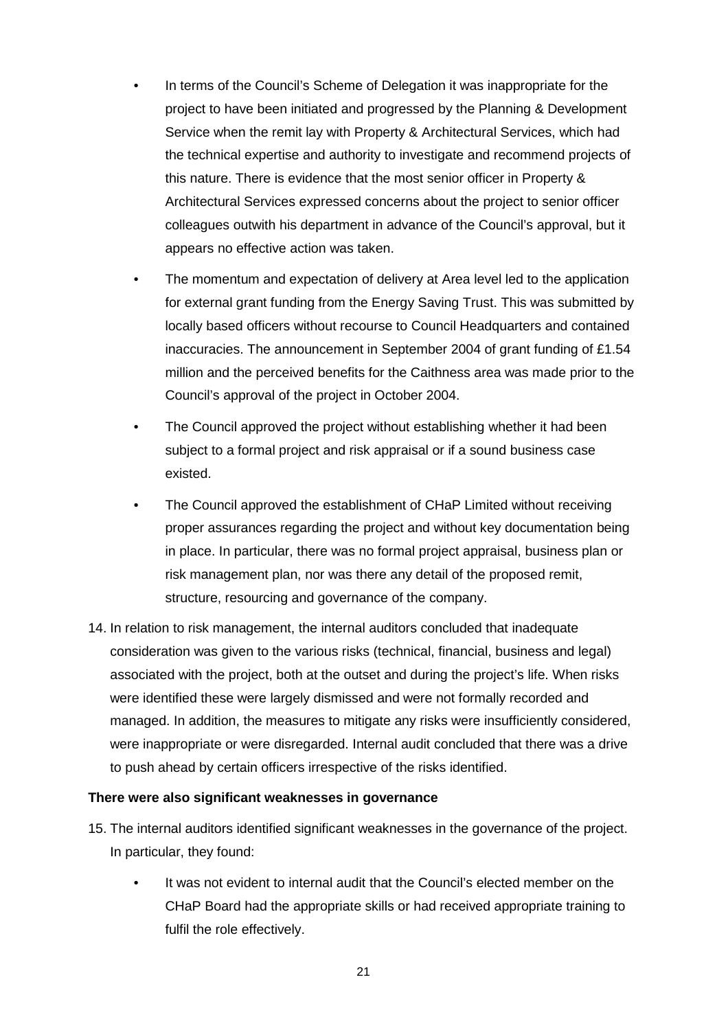- <span id="page-57-0"></span> Architectural Services expressed concerns about the project to senior officer In terms of the Council's Scheme of Delegation it was inappropriate for the project to have been initiated and progressed by the Planning & Development Service when the remit lay with Property & Architectural Services, which had the technical expertise and authority to investigate and recommend projects of this nature. There is evidence that the most senior officer in Property & colleagues outwith his department in advance of the Council's approval, but it appears no effective action was taken.
- for external grant funding from the Energy Saving Trust. This was submitted by inaccuracies. The announcement in September 2004 of grant funding of £1.54 The momentum and expectation of delivery at Area level led to the application locally based officers without recourse to Council Headquarters and contained million and the perceived benefits for the Caithness area was made prior to the Council's approval of the project in October 2004.
- subject to a formal project and risk appraisal or if a sound business case The Council approved the project without establishing whether it had been existed.
- structure, resourcing and governance of the company. The Council approved the establishment of CHaP Limited without receiving proper assurances regarding the project and without key documentation being in place. In particular, there was no formal project appraisal, business plan or risk management plan, nor was there any detail of the proposed remit,
- were identified these were largely dismissed and were not formally recorded and 14. In relation to risk management, the internal auditors concluded that inadequate consideration was given to the various risks (technical, financial, business and legal) associated with the project, both at the outset and during the project's life. When risks managed. In addition, the measures to mitigate any risks were insufficiently considered, were inappropriate or were disregarded. Internal audit concluded that there was a drive to push ahead by certain officers irrespective of the risks identified.

#### **There were also significant weaknesses in governance**

- 15. The internal auditors identified significant weaknesses in the governance of the project. In particular, they found:
	- CHaP Board had the appropriate skills or had received appropriate training to It was not evident to internal audit that the Council's elected member on the fulfil the role effectively.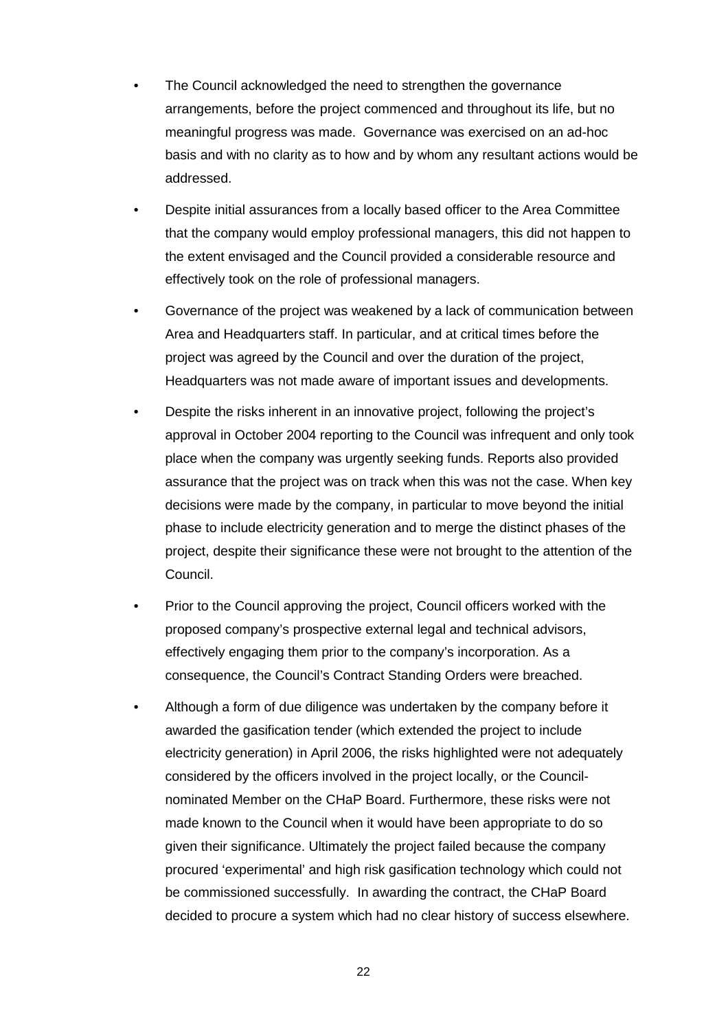- The Council acknowledged the need to strengthen the governance arrangements, before the project commenced and throughout its life, but no meaningful progress was made. Governance was exercised on an ad-hoc basis and with no clarity as to how and by whom any resultant actions would be addressed.
- Despite initial assurances from a locally based officer to the Area Committee that the company would employ professional managers, this did not happen to the extent envisaged and the Council provided a considerable resource and effectively took on the role of professional managers.
- project was agreed by the Council and over the duration of the project, • Governance of the project was weakened by a lack of communication between Area and Headquarters staff. In particular, and at critical times before the Headquarters was not made aware of important issues and developments.
- decisions were made by the company, in particular to move beyond the initial Council. Despite the risks inherent in an innovative project, following the project's approval in October 2004 reporting to the Council was infrequent and only took place when the company was urgently seeking funds. Reports also provided assurance that the project was on track when this was not the case. When key phase to include electricity generation and to merge the distinct phases of the project, despite their significance these were not brought to the attention of the
- effectively engaging them prior to the company's incorporation. As a Prior to the Council approving the project, Council officers worked with the proposed company's prospective external legal and technical advisors, consequence, the Council's Contract Standing Orders were breached.
- be commissioned successfully. In awarding the contract, the CHaP Board Although a form of due diligence was undertaken by the company before it awarded the gasification tender (which extended the project to include electricity generation) in April 2006, the risks highlighted were not adequately considered by the officers involved in the project locally, or the Councilnominated Member on the CHaP Board. Furthermore, these risks were not made known to the Council when it would have been appropriate to do so given their significance. Ultimately the project failed because the company procured 'experimental' and high risk gasification technology which could not decided to procure a system which had no clear history of success elsewhere.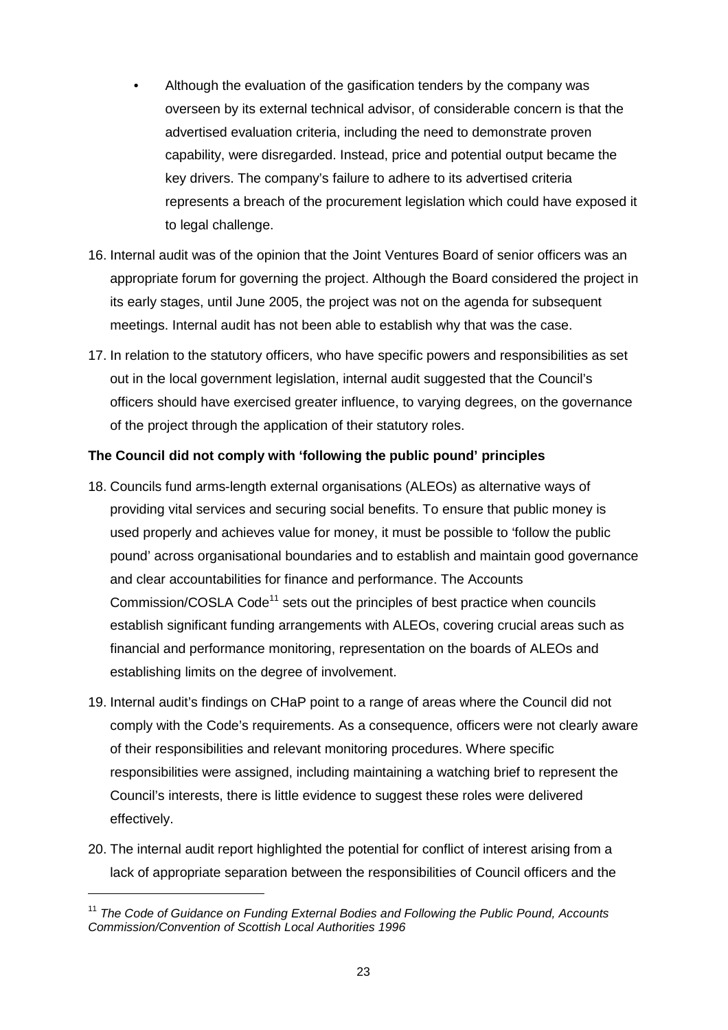- key drivers. The company's failure to adhere to its advertised criteria Although the evaluation of the gasification tenders by the company was overseen by its external technical advisor, of considerable concern is that the advertised evaluation criteria, including the need to demonstrate proven capability, were disregarded. Instead, price and potential output became the represents a breach of the procurement legislation which could have exposed it to legal challenge.
- appropriate forum for governing the project. Although the Board considered the project in 16. Internal audit was of the opinion that the Joint Ventures Board of senior officers was an its early stages, until June 2005, the project was not on the agenda for subsequent meetings. Internal audit has not been able to establish why that was the case.
- 17. In relation to the statutory officers, who have specific powers and responsibilities as set out in the local government legislation, internal audit suggested that the Council's officers should have exercised greater influence, to varying degrees, on the governance of the project through the application of their statutory roles.

#### **The Council did not comply with 'following the public pound' principles**

- 18. Councils fund arms-length external organisations (ALEOs) as alternative ways of providing vital services and securing social benefits. To ensure that public money is used properly and achieves value for money, it must be possible to 'follow the public pound' across organisational boundaries and to establish and maintain good governance and clear accountabilities for finance and performance. The Accounts Commission/COSLA Code<sup>11</sup> sets out the principles of best practice when councils establish significant funding arrangements with ALEOs, covering crucial areas such as financial and performance monitoring, representation on the boards of ALEOs and establishing limits on the degree of involvement.
- 19. Internal audit's findings on CHaP point to a range of areas where the Council did not responsibilities were assigned, including maintaining a watching brief to represent the effectively. comply with the Code's requirements. As a consequence, officers were not clearly aware of their responsibilities and relevant monitoring procedures. Where specific Council's interests, there is little evidence to suggest these roles were delivered
- effectively. 20. The internal audit report highlighted the potential for conflict of interest arising from a lack of appropriate separation between the responsibilities of Council officers and the

 *Commission/Convention of Scottish Local Authorities 1996*  <sup>11</sup>*The Code of Guidance on Funding External Bodies and Following the Public Pound, Accounts*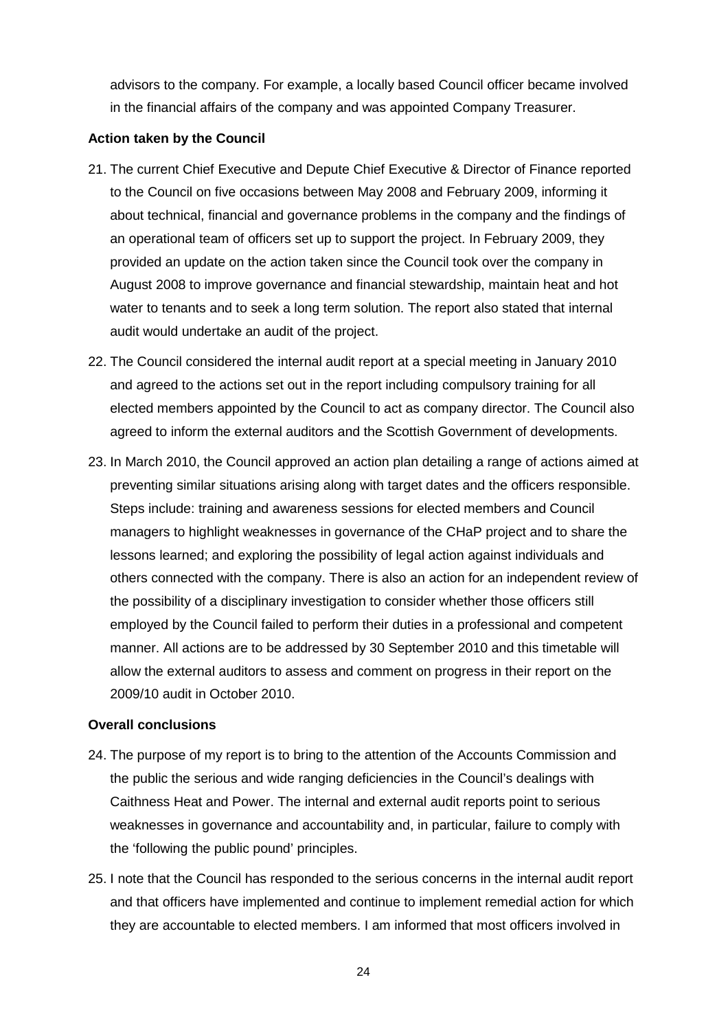in the financial affairs of the company and was appointed Company Treasurer. advisors to the company. For example, a locally based Council officer became involved

#### **Action taken by the Council**

- about technical, financial and governance problems in the company and the findings of an operational team of officers set up to support the project. In February 2009, they audit would undertake an audit of the project. 21. The current Chief Executive and Depute Chief Executive & Director of Finance reported to the Council on five occasions between May 2008 and February 2009, informing it provided an update on the action taken since the Council took over the company in August 2008 to improve governance and financial stewardship, maintain heat and hot water to tenants and to seek a long term solution. The report also stated that internal
- agreed to inform the external auditors and the Scottish Government of developments. 22. The Council considered the internal audit report at a special meeting in January 2010 and agreed to the actions set out in the report including compulsory training for all elected members appointed by the Council to act as company director. The Council also
- Steps include: training and awareness sessions for elected members and Council managers to highlight weaknesses in governance of the CHaP project and to share the others connected with the company. There is also an action for an independent review of 23. In March 2010, the Council approved an action plan detailing a range of actions aimed at preventing similar situations arising along with target dates and the officers responsible. lessons learned; and exploring the possibility of legal action against individuals and the possibility of a disciplinary investigation to consider whether those officers still employed by the Council failed to perform their duties in a professional and competent manner. All actions are to be addressed by 30 September 2010 and this timetable will allow the external auditors to assess and comment on progress in their report on the 2009/10 audit in October 2010.

#### **Overall conclusions**

- 24. The purpose of my report is to bring to the attention of the Accounts Commission and Caithness Heat and Power. The internal and external audit reports point to serious weaknesses in governance and accountability and, in particular, failure to comply with the public the serious and wide ranging deficiencies in the Council's dealings with the 'following the public pound' principles.
- 25. I note that the Council has responded to the serious concerns in the internal audit report and that officers have implemented and continue to implement remedial action for which they are accountable to elected members. I am informed that most officers involved in

24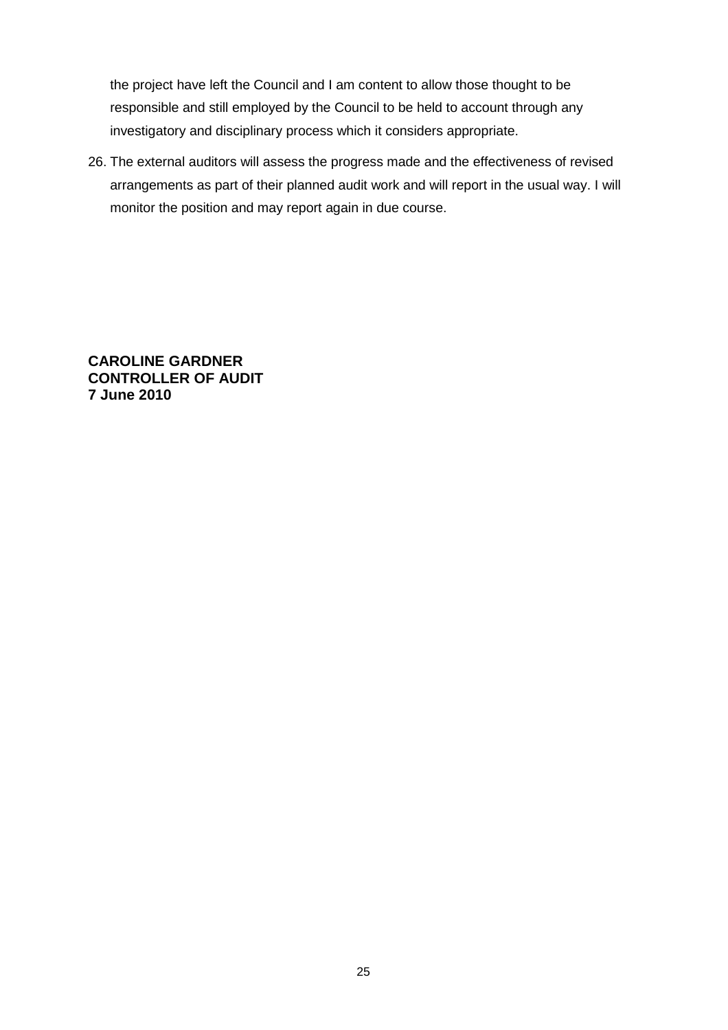the project have left the Council and I am content to allow those thought to be investigatory and disciplinary process which it considers appropriate. responsible and still employed by the Council to be held to account through any

26. The external auditors will assess the progress made and the effectiveness of revised arrangements as part of their planned audit work and will report in the usual way. I will monitor the position and may report again in due course.

**CAROLINE GARDNER CONTROLLER OF AUDIT 7 June 2010**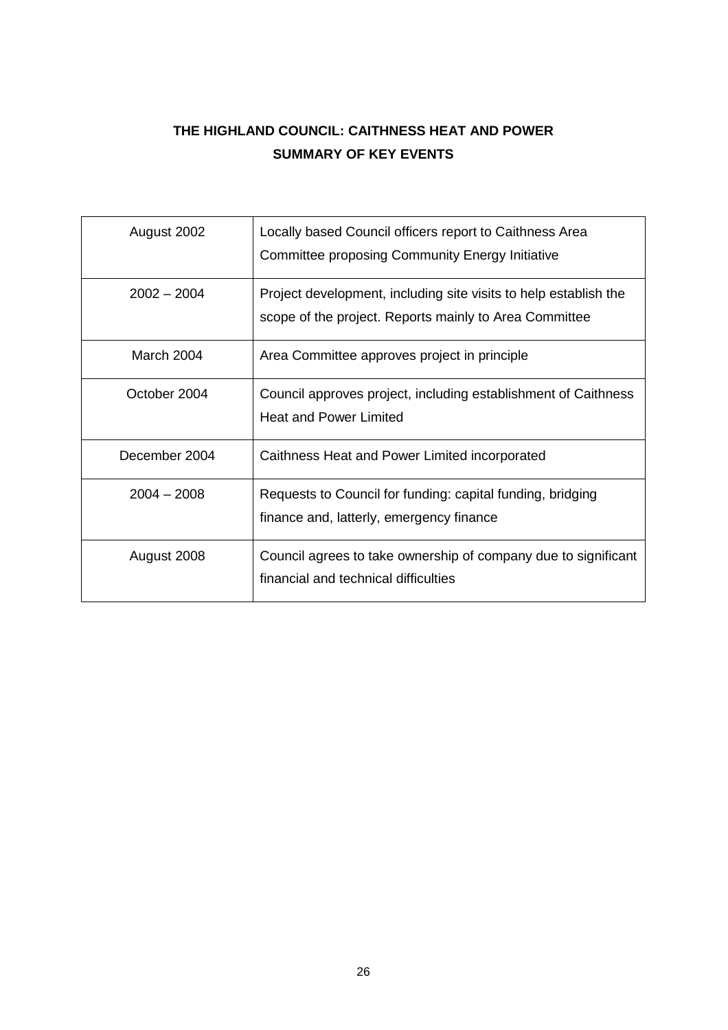## **THE HIGHLAND COUNCIL: CAITHNESS HEAT AND POWER SUMMARY OF KEY EVENTS**

| August 2002   | Locally based Council officers report to Caithness Area<br>Committee proposing Community Energy Initiative                 |
|---------------|----------------------------------------------------------------------------------------------------------------------------|
| $2002 - 2004$ | Project development, including site visits to help establish the<br>scope of the project. Reports mainly to Area Committee |
| March 2004    | Area Committee approves project in principle                                                                               |
| October 2004  | Council approves project, including establishment of Caithness<br><b>Heat and Power Limited</b>                            |
| December 2004 | Caithness Heat and Power Limited incorporated                                                                              |
| $2004 - 2008$ | Requests to Council for funding: capital funding, bridging<br>finance and, latterly, emergency finance                     |
| August 2008   | Council agrees to take ownership of company due to significant<br>financial and technical difficulties                     |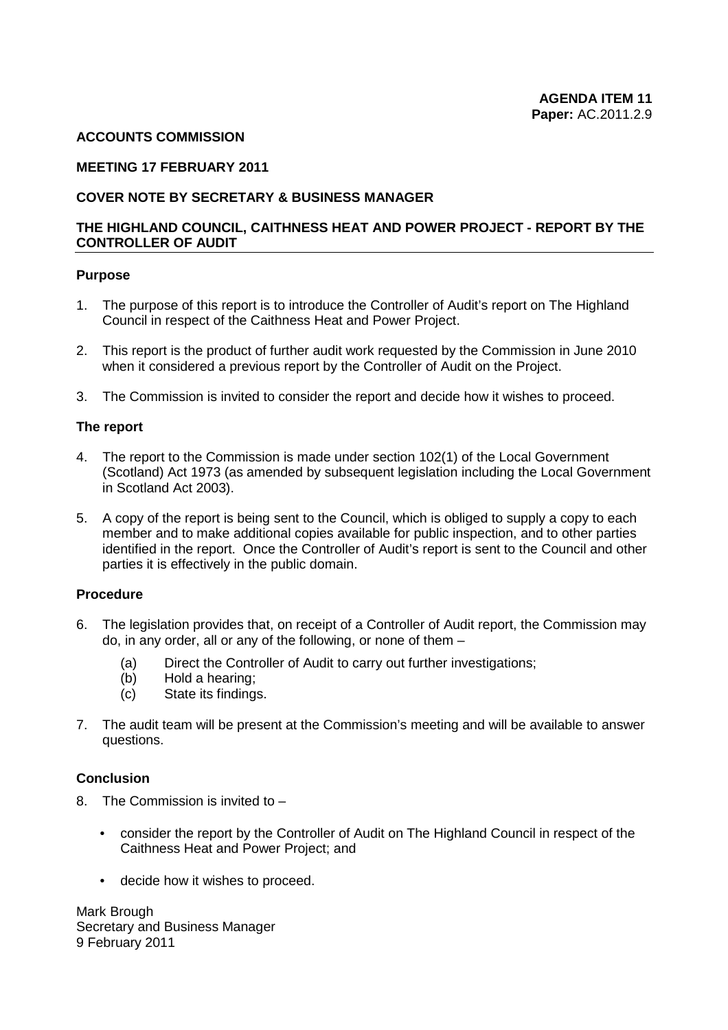#### **ACCOUNTS COMMISSION**

#### **MEETING 17 FEBRUARY 2011**

#### **COVER NOTE BY SECRETARY & BUSINESS MANAGER**

#### **CONTROLLER OF AUDIT THE HIGHLAND COUNCIL, CAITHNESS HEAT AND POWER PROJECT - REPORT BY THE**

#### **Purpose**

- Council in respect of the Caithness Heat and Power Project. 1. The purpose of this report is to introduce the Controller of Audit's report on The Highland
- 2. This report is the product of further audit work requested by the Commission in June 2010 when it considered a previous report by the Controller of Audit on the Project.
- 3. The Commission is invited to consider the report and decide how it wishes to proceed.

#### **The report**

- in Scotland Act 2003). 4. The report to the Commission is made under section 102(1) of the Local Government (Scotland) Act 1973 (as amended by subsequent legislation including the Local Government
- in Scotland Act 2003). 5. A copy of the report is being sent to the Council, which is obliged to supply a copy to each identified in the report. Once the Controller of Audit's report is sent to the Council and other member and to make additional copies available for public inspection, and to other parties parties it is effectively in the public domain.

#### **Procedure**

- 6. The legislation provides that, on receipt of a Controller of Audit report, the Commission may do, in any order, all or any of the following, or none of them –
	- (a) Direct the Controller of Audit to carry out further investigations;
	- (b) Hold a hearing;
	- (c) State its findings.
- 7. The audit team will be present at the Commission's meeting and will be available to answer questions.

#### **Conclusion**

- 8. The Commission is invited to
	- consider the report by the Controller of Audit on The Highland Council in respect of the Caithness Heat and Power Project; and
	- • decide how it wishes to proceed.

Mark Brough Secretary and Business Manager 9 February 2011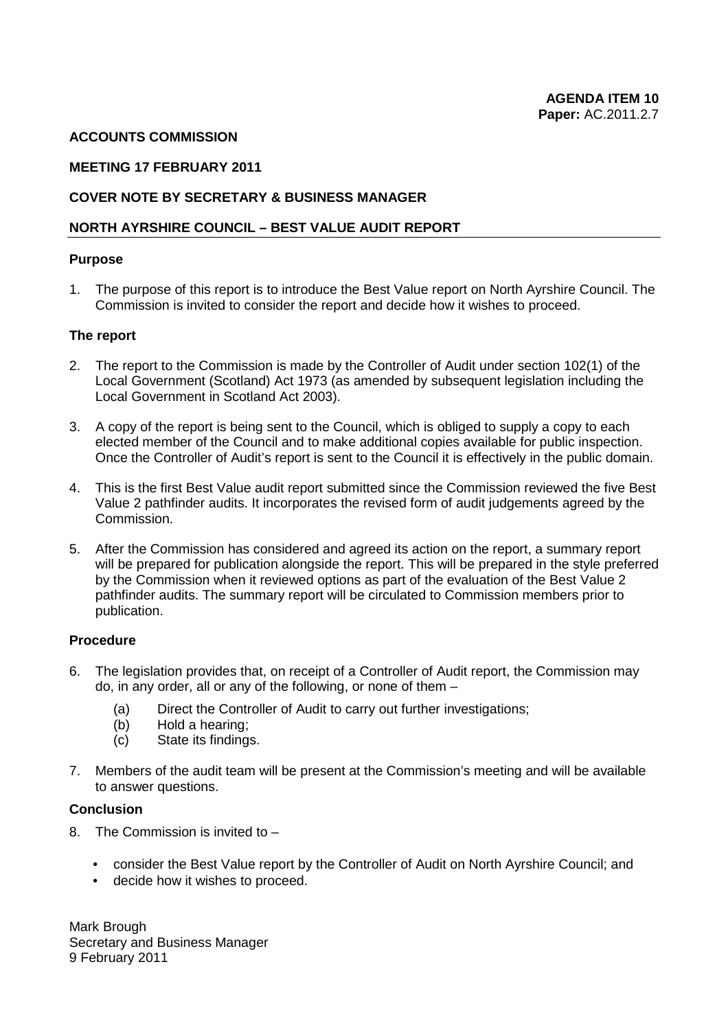#### **ACCOUNTS COMMISSION**

#### **MEETING 17 FEBRUARY 2011**

#### **COVER NOTE BY SECRETARY & BUSINESS MANAGER**

#### **NORTH AYRSHIRE COUNCIL – BEST VALUE AUDIT REPORT**

#### **Purpose**

1. The purpose of this report is to introduce the Best Value report on North Ayrshire Council. The Commission is invited to consider the report and decide how it wishes to proceed.

#### **The report**

- 2. The report to the Commission is made by the Controller of Audit under section 102(1) of the Local Government in Scotland Act 2003). Local Government (Scotland) Act 1973 (as amended by subsequent legislation including the
- Local Government in Scotland Act 2003). 3. A copy of the report is being sent to the Council, which is obliged to supply a copy to each elected member of the Council and to make additional copies available for public inspection. elected member of the Council and to make additional copies available for public inspection.<br>Once the Controller of Audit's report is sent to the Council it is effectively in the public domain.
- 4. This is the first Best Value audit report submitted since the Commission reviewed the five Best Value 2 pathfinder audits. It incorporates the revised form of audit judgements agreed by the Commission.
- 5. After the Commission has considered and agreed its action on the report, a summary report will be prepared for publication alongside the report. This will be prepared in the style preferred by the Commission when it reviewed options as part of the evaluation of the Best Value 2 pathfinder audits. The summary report will be circulated to Commission members prior to publication.

#### **Procedure**

- 6. The legislation provides that, on receipt of a Controller of Audit report, the Commission may do, in any order, all or any of the following, or none of them –
	- (a) Direct the Controller of Audit to carry out further investigations;
	- (b) Hold a hearing;
	- (c) State its findings.
- 7. Members of the audit team will be present at the Commission's meeting and will be available to answer questions.

#### **Conclusion**

- 8. The Commission is invited to
	- consider the Best Value report by the Controller of Audit on North Ayrshire Council; and
	- decide how it wishes to proceed.

Mark Brough Secretary and Business Manager 9 February 2011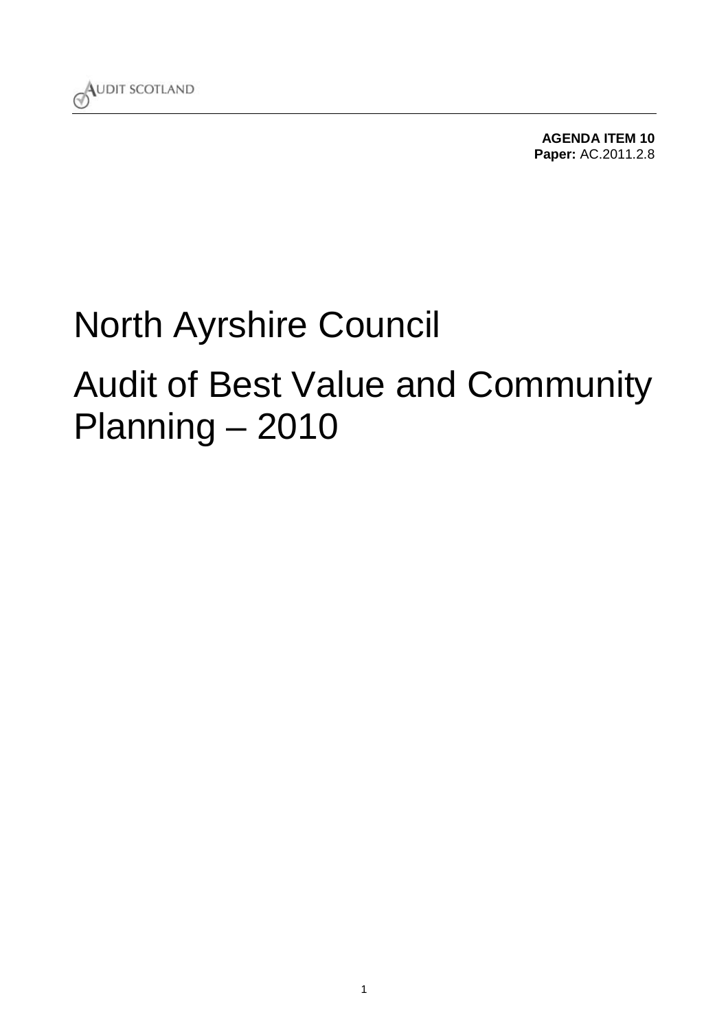

**[AGENDA ITEM 10](#page-75-0) Paper:** AC.2011.2.8

# North Ayrshire Council Audit of Best Value and Community [Planning – 2010](#page-4-0)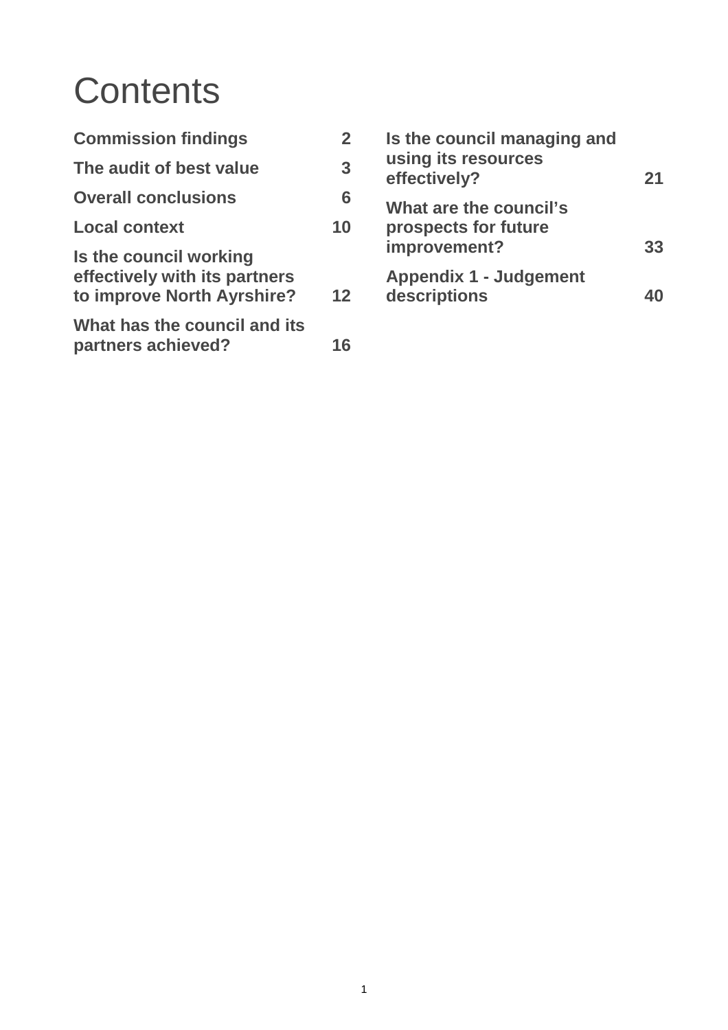# **Contents**

| <b>Commission findings</b>                                                            | $\overline{2}$ |
|---------------------------------------------------------------------------------------|----------------|
| The audit of best value                                                               | 3              |
| <b>Overall conclusions</b>                                                            | 6              |
| <b>Local context</b>                                                                  | 10             |
| Is the council working<br>effectively with its partners<br>to improve North Ayrshire? | $12 \,$        |
| What has the council and its<br>partners achieved?                                    | 16             |

| Is the council managing and<br>using its resources<br>effectively? | 21 |
|--------------------------------------------------------------------|----|
| What are the council's<br>prospects for future<br>improvement?     | 33 |
| <b>Appendix 1 - Judgement</b><br>descriptions                      |    |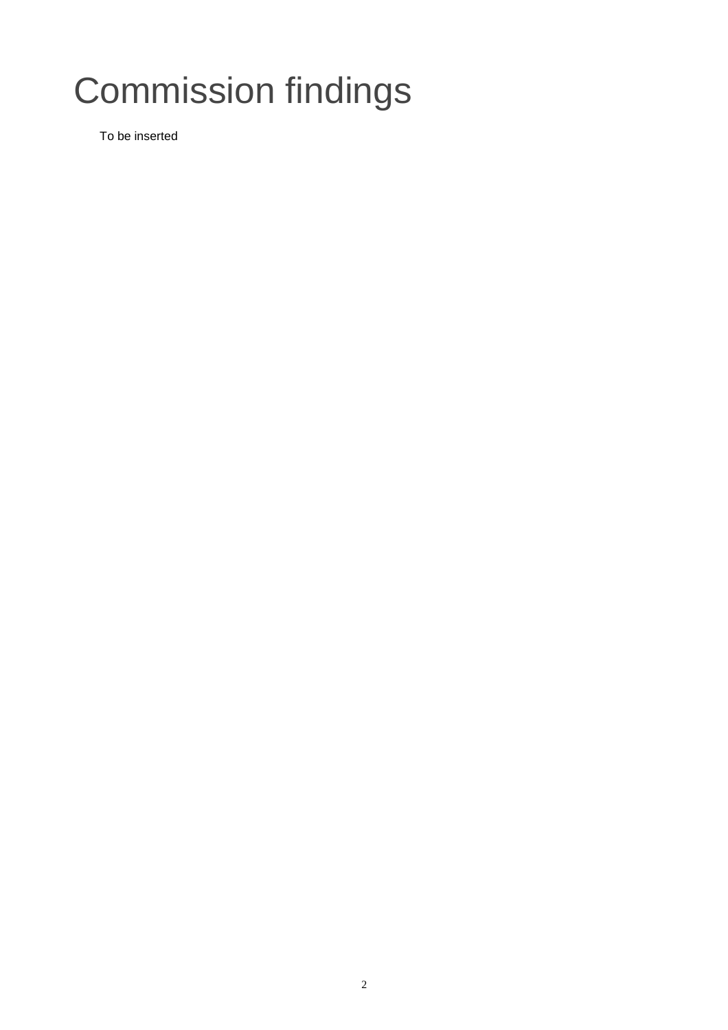# Commission findings

To be inserted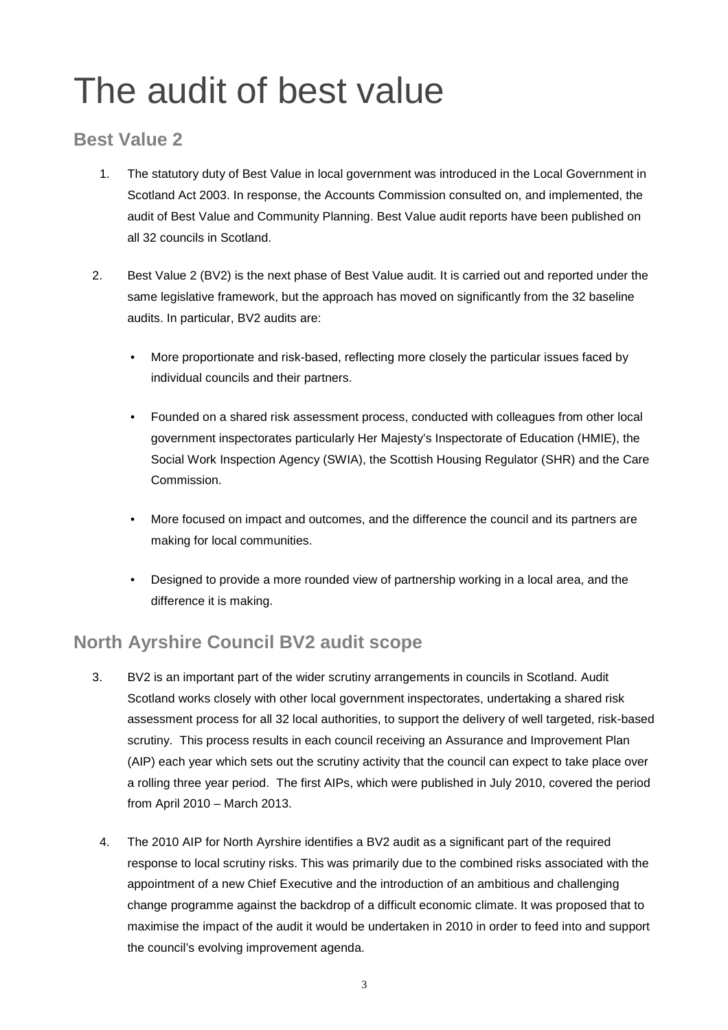# The audit of best value

## **Best Value 2**

- 1. The statutory duty of Best Value in local government was introduced in the Local Government in Scotland Act 2003. In response, the Accounts Commission consulted on, and implemented, the audit of Best Value and Community Planning. Best Value audit reports have been published on all 32 councils in Scotland.
- 2. Best Value 2 (BV2) is the next phase of Best Value audit. It is carried out and reported under the same legislative framework, but the approach has moved on significantly from the 32 baseline audits. In particular, BV2 audits are:
	- More proportionate and risk-based, reflecting more closely the particular issues faced by individual councils and their partners.
	- • Founded on a shared risk assessment process, conducted with colleagues from other local government inspectorates particularly Her Majesty's Inspectorate of Education (HMIE), the Social Work Inspection Agency (SWIA), the Scottish Housing Regulator (SHR) and the Care Commission.
	- More focused on impact and outcomes, and the difference the council and its partners are making for local communities.
	- Designed to provide a more rounded view of partnership working in a local area, and the difference it is making.

## **North Ayrshire Council BV2 audit scope**

- Scotland works closely with other local government inspectorates, undertaking a shared risk a rolling three year period. The first AIPs, which were published in July 2010, covered the period 3. BV2 is an important part of the wider scrutiny arrangements in councils in Scotland. Audit assessment process for all 32 local authorities, to support the delivery of well targeted, risk-based scrutiny. This process results in each council receiving an Assurance and Improvement Plan (AIP) each year which sets out the scrutiny activity that the council can expect to take place over from April 2010 – March 2013.
	- response to local scrutiny risks. This was primarily due to the combined risks associated with the 4. The 2010 AIP for North Ayrshire identifies a BV2 audit as a significant part of the required appointment of a new Chief Executive and the introduction of an ambitious and challenging change programme against the backdrop of a difficult economic climate. It was proposed that to maximise the impact of the audit it would be undertaken in 2010 in order to feed into and support the council's evolving improvement agenda.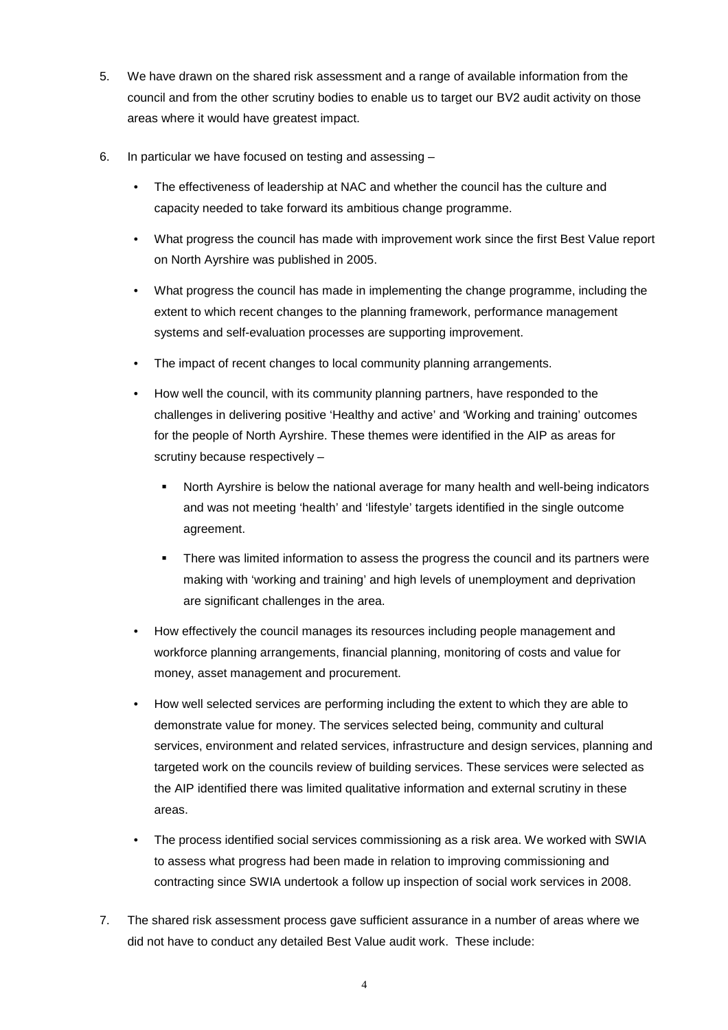- council and from the other scrutiny bodies to enable us to target our BV2 audit activity on those 5. We have drawn on the shared risk assessment and a range of available information from the areas where it would have greatest impact.
- 6. In particular we have focused on testing and assessing
	- The effectiveness of leadership at NAC and whether the council has the culture and capacity needed to take forward its ambitious change programme.
	- What progress the council has made with improvement work since the first Best Value report on North Ayrshire was published in 2005.
	- • What progress the council has made in implementing the change programme, including the extent to which recent changes to the planning framework, performance management systems and self-evaluation processes are supporting improvement.
	- The impact of recent changes to local community planning arrangements.
	- for the people of North Ayrshire. These themes were identified in the AIP as areas for How well the council, with its community planning partners, have responded to the challenges in delivering positive 'Healthy and active' and 'Working and training' outcomes scrutiny because respectively –
		- North Ayrshire is below the national average for many health and well-being indicators and was not meeting 'health' and 'lifestyle' targets identified in the single outcome agreement.
		- are significant challenges in the area. There was limited information to assess the progress the council and its partners were making with 'working and training' and high levels of unemployment and deprivation
	- • How effectively the council manages its resources including people management and workforce planning arrangements, financial planning, monitoring of costs and value for money, asset management and procurement.
	- How well selected services are performing including the extent to which they are able to demonstrate value for money. The services selected being, community and cultural services, environment and related services, infrastructure and design services, planning and targeted work on the councils review of building services. These services were selected as the AIP identified there was limited qualitative information and external scrutiny in these areas.
	- The process identified social services commissioning as a risk area. We worked with SWIA to assess what progress had been made in relation to improving commissioning and contracting since SWIA undertook a follow up inspection of social work services in 2008.
- did not have to conduct any detailed Best Value audit work. These include: 7. The shared risk assessment process gave sufficient assurance in a number of areas where we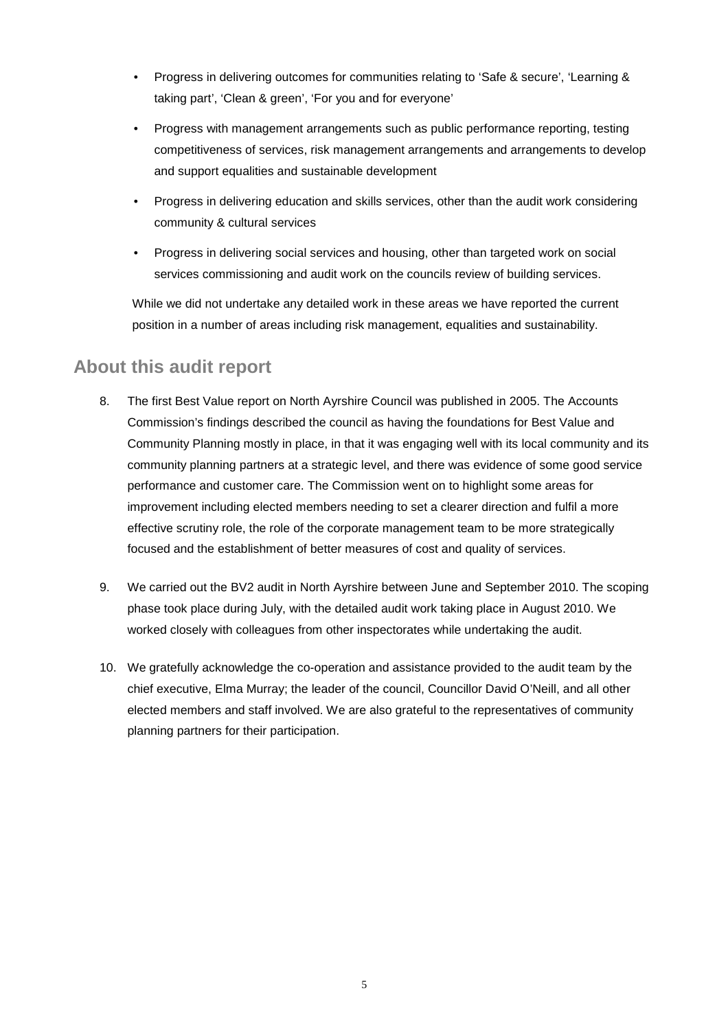- • Progress in delivering outcomes for communities relating to 'Safe & secure', 'Learning & taking part', 'Clean & green', 'For you and for everyone'
- Progress with management arrangements such as public performance reporting, testing competitiveness of services, risk management arrangements and arrangements to develop and support equalities and sustainable development
- community & cultural services Progress in delivering education and skills services, other than the audit work considering
- Progress in delivering social services and housing, other than targeted work on social services commissioning and audit work on the councils review of building services.

While we did not undertake any detailed work in these areas we have reported the current position in a number of areas including risk management, equalities and sustainability.

### **About this audit report**

- Commission's findings described the council as having the foundations for Best Value and Community Planning mostly in place, in that it was engaging well with its local community and its 8. The first Best Value report on North Ayrshire Council was published in 2005. The Accounts community planning partners at a strategic level, and there was evidence of some good service performance and customer care. The Commission went on to highlight some areas for improvement including elected members needing to set a clearer direction and fulfil a more effective scrutiny role, the role of the corporate management team to be more strategically focused and the establishment of better measures of cost and quality of services.
- 9. We carried out the BV2 audit in North Ayrshire between June and September 2010. The scoping phase took place during July, with the detailed audit work taking place in August 2010. We worked closely with colleagues from other inspectorates while undertaking the audit.
- 10. We gratefully acknowledge the co-operation and assistance provided to the audit team by the chief executive, Elma Murray; the leader of the council, Councillor David O'Neill, and all other elected members and staff involved. We are also grateful to the representatives of community planning partners for their participation.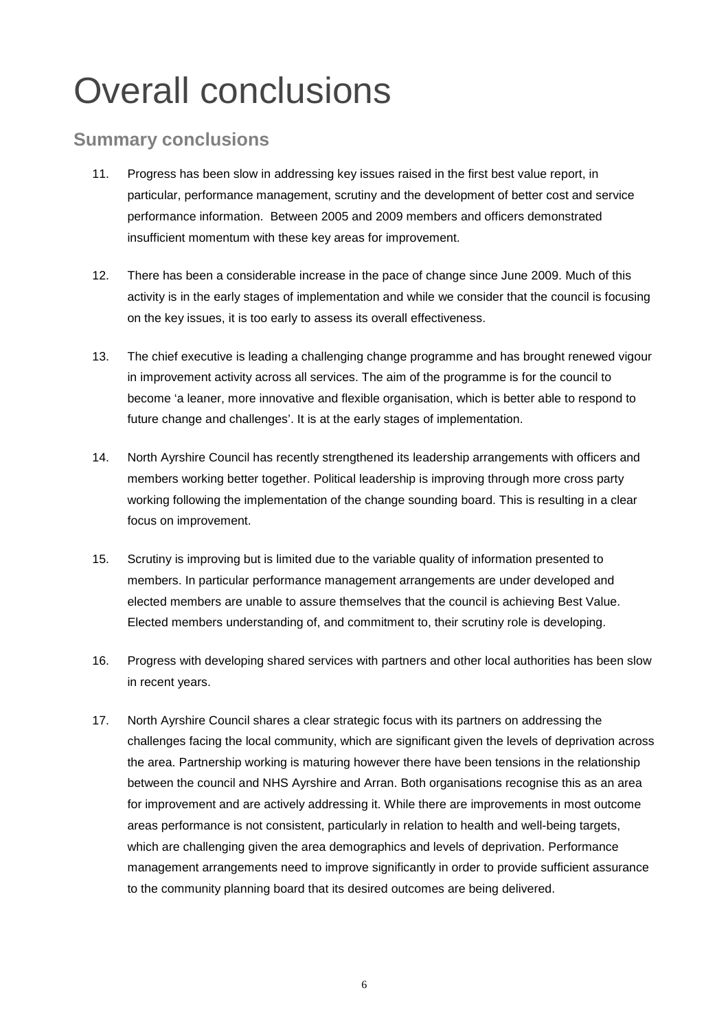# <span id="page-71-0"></span>Overall conclusions

## **Summary conclusions**

- 11. Progress has been slow in addressing key issues raised in the first best value report, in particular, performance management, scrutiny and the development of better cost and service performance information. Between 2005 and 2009 members and officers demonstrated insufficient momentum with these key areas for improvement.
- 12. There has been a considerable increase in the pace of change since June 2009. Much of this activity is in the early stages of implementation and while we consider that the council is focusing on the key issues, it is too early to assess its overall effectiveness.
- 13. The chief executive is leading a challenging change programme and has brought renewed vigour in improvement activity across all services. The aim of the programme is for the council to become 'a leaner, more innovative and flexible organisation, which is better able to respond to future change and challenges'. It is at the early stages of implementation.
- 14. North Ayrshire Council has recently strengthened its leadership arrangements with officers and members working better together. Political leadership is improving through more cross party working following the implementation of the change sounding board. This is resulting in a clear focus on improvement.
- $15.$ Scrutiny is improving but is limited due to the variable quality of information presented to members. In particular performance management arrangements are under developed and elected members are unable to assure themselves that the council is achieving Best Value. Elected members understanding of, and commitment to, their scrutiny role is developing.
- in recent years. 16. Progress with developing shared services with partners and other local authorities has been slow
- 17. North Ayrshire Council shares a clear strategic focus with its partners on addressing the challenges facing the local community, which are significant given the levels of deprivation across the area. Partnership working is maturing however there have been tensions in the relationship between the council and NHS Ayrshire and Arran. Both organisations recognise this as an area for improvement and are actively addressing it. While there are improvements in most outcome areas performance is not consistent, particularly in relation to health and well-being targets, which are challenging given the area demographics and levels of deprivation. Performance management arrangements need to improve significantly in order to provide sufficient assurance to the community planning board that its desired outcomes are being delivered.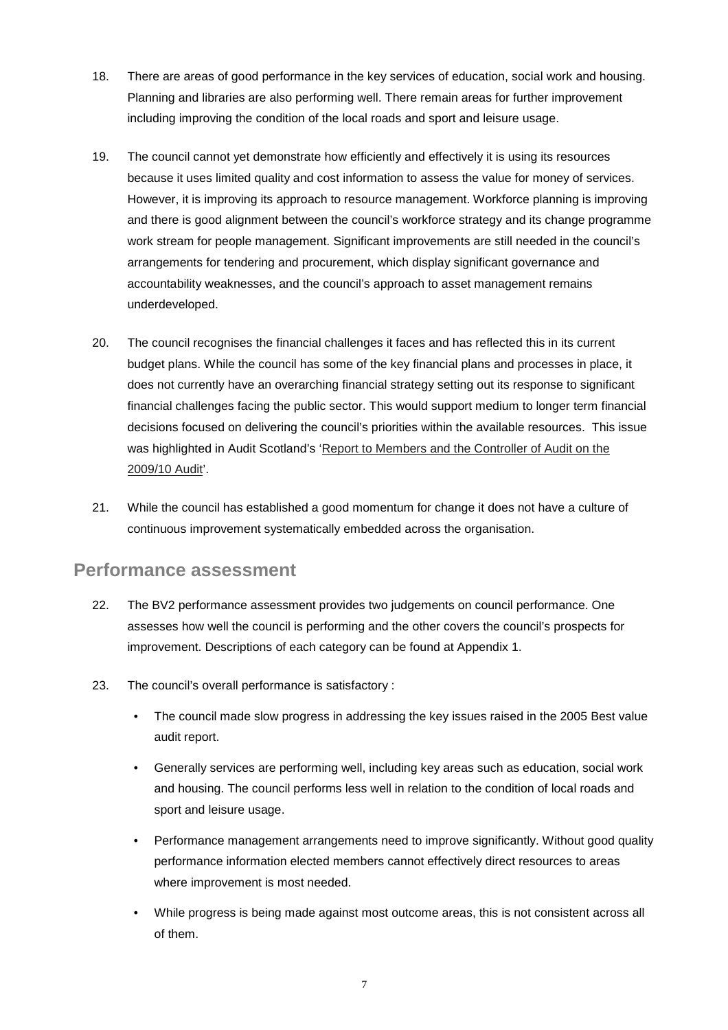- 18. There are areas of good performance in the key services of education, social work and housing. Planning and libraries are also performing well. There remain areas for further improvement including improving the condition of the local roads and sport and leisure usage.
- However, it is improving its approach to resource management. Workforce planning is improving 19. The council cannot yet demonstrate how efficiently and effectively it is using its resources because it uses limited quality and cost information to assess the value for money of services. and there is good alignment between the council's workforce strategy and its change programme work stream for people management. Significant improvements are still needed in the council's arrangements for tendering and procurement, which display significant governance and accountability weaknesses, and the council's approach to asset management remains underdeveloped.
- 20. The council recognises the financial challenges it faces and has reflected this in its current budget plans. While the council has some of the key financial plans and processes in place, it does not currently have an overarching financial strategy setting out its response to significant financial challenges facing the public sector. This would support medium to longer term financial decisions focused on delivering the council's priorities within the available resources. This issue was highlighted in Audit Scotland's 'Report to Members and the Controller of Audit on the 2009/10 Audit'.
- 21. While the council has established a good momentum for change it does not have a culture of continuous improvement systematically embedded across the organisation.

### **Performance assessment**

- 22. The BV2 performance assessment provides two judgements on council performance. One assesses how well the council is performing and the other covers the council's prospects for improvement. Descriptions of each category can be found at Appendix 1.
- 23. The council's overall performance is satisfactory :
	- The council made slow progress in addressing the key issues raised in the 2005 Best value audit report.
	- Generally services are performing well, including key areas such as education, social work and housing. The council performs less well in relation to the condition of local roads and sport and leisure usage.
	- Performance management arrangements need to improve significantly. Without good quality performance information elected members cannot effectively direct resources to areas where improvement is most needed.
	- While progress is being made against most outcome areas, this is not consistent across all of them.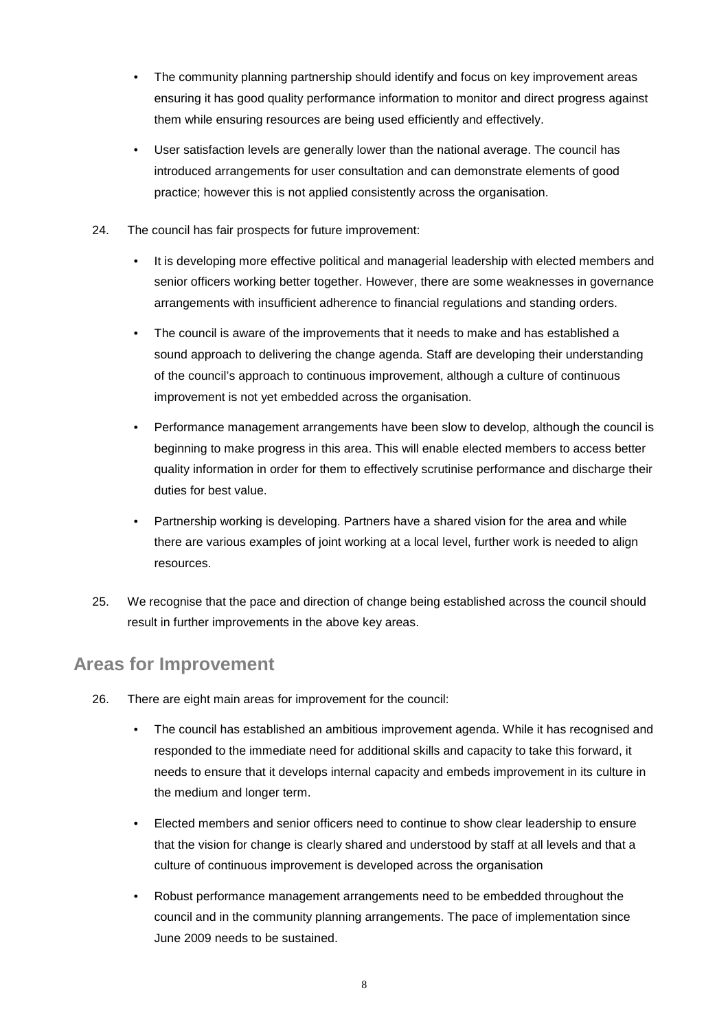- The community planning partnership should identify and focus on key improvement areas ensuring it has good quality performance information to monitor and direct progress against them while ensuring resources are being used efficiently and effectively.
- User satisfaction levels are generally lower than the national average. The council has introduced arrangements for user consultation and can demonstrate elements of good practice; however this is not applied consistently across the organisation.
- 24. The council has fair prospects for future improvement:
	- It is developing more effective political and managerial leadership with elected members and senior officers working better together. However, there are some weaknesses in governance arrangements with insufficient adherence to financial regulations and standing orders.
	- The council is aware of the improvements that it needs to make and has established a sound approach to delivering the change agenda. Staff are developing their understanding of the council's approach to continuous improvement, although a culture of continuous improvement is not yet embedded across the organisation.
	- Performance management arrangements have been slow to develop, although the council is beginning to make progress in this area. This will enable elected members to access better quality information in order for them to effectively scrutinise performance and discharge their duties for best value.
	- Partnership working is developing. Partners have a shared vision for the area and while there are various examples of joint working at a local level, further work is needed to align resources.
- result in further improvements in the above key areas. 25. We recognise that the pace and direction of change being established across the council should

### **Areas for Improvement**

- 26. There are eight main areas for improvement for the council:
	- The council has established an ambitious improvement agenda. While it has recognised and responded to the immediate need for additional skills and capacity to take this forward, it needs to ensure that it develops internal capacity and embeds improvement in its culture in the medium and longer term.
	- Elected members and senior officers need to continue to show clear leadership to ensure that the vision for change is clearly shared and understood by staff at all levels and that a culture of continuous improvement is developed across the organisation
	- Robust performance management arrangements need to be embedded throughout the council and in the community planning arrangements. The pace of implementation since June 2009 needs to be sustained.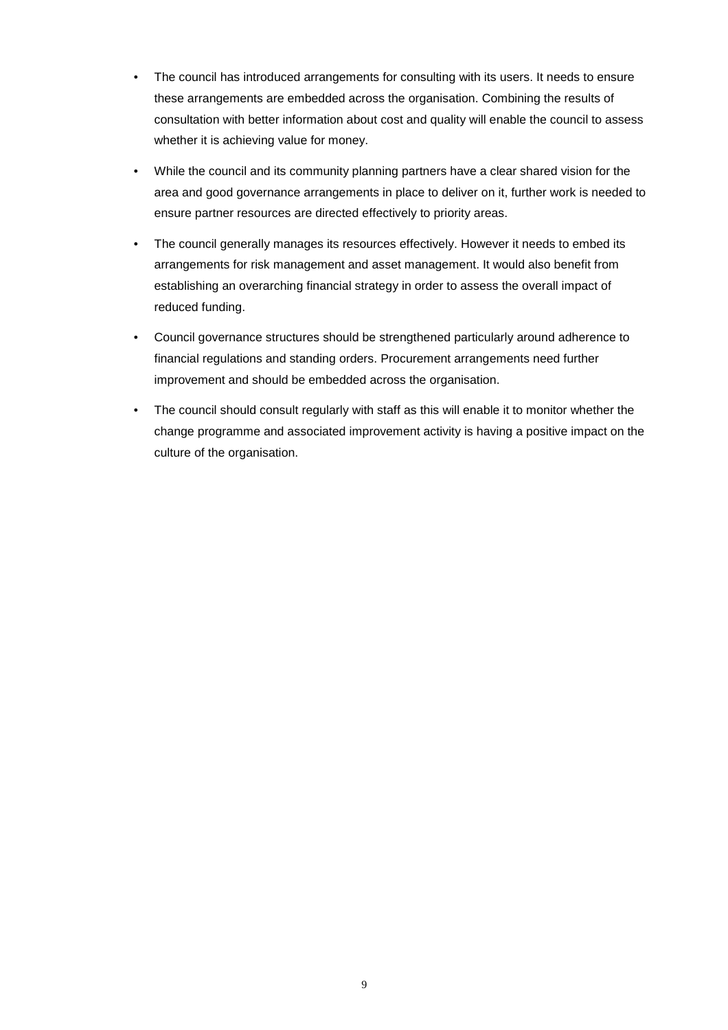- these arrangements are embedded across the organisation. Combining the results of whether it is achieving value for money. • The council has introduced arrangements for consulting with its users. It needs to ensure consultation with better information about cost and quality will enable the council to assess
- ensure partner resources are directed effectively to priority areas. • While the council and its community planning partners have a clear shared vision for the area and good governance arrangements in place to deliver on it, further work is needed to
- The council generally manages its resources effectively. However it needs to embed its arrangements for risk management and asset management. It would also benefit from establishing an overarching financial strategy in order to assess the overall impact of reduced funding.
- • Council governance structures should be strengthened particularly around adherence to financial regulations and standing orders. Procurement arrangements need further improvement and should be embedded across the organisation.
- The council should consult regularly with staff as this will enable it to monitor whether the change programme and associated improvement activity is having a positive impact on the culture of the organisation.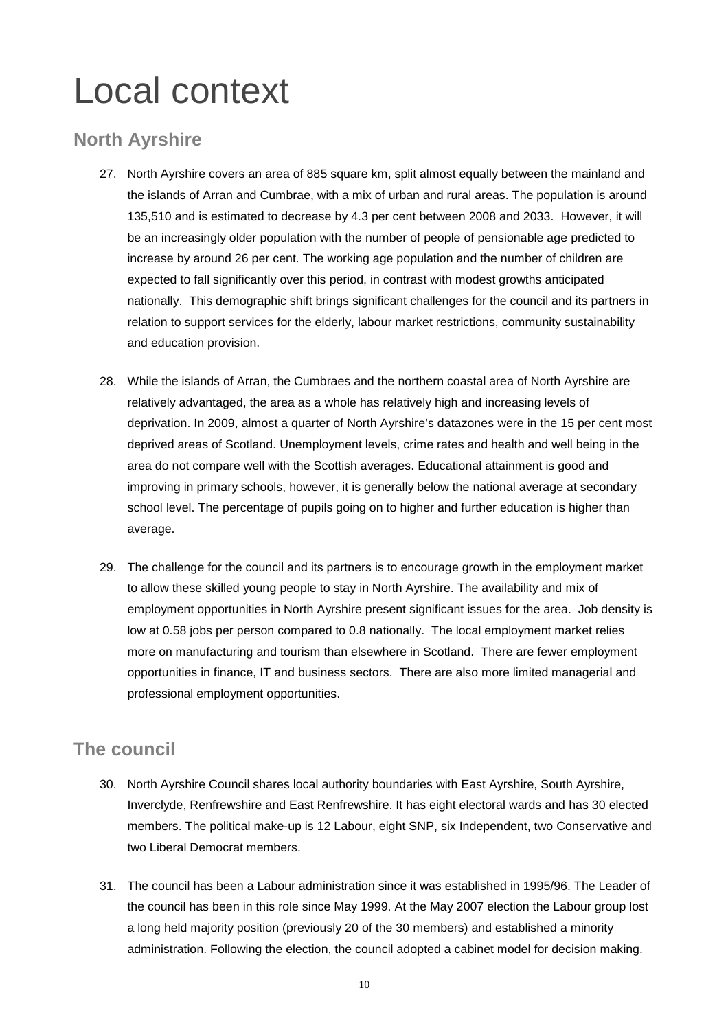# Local context

# **North Ayrshire**

- 135,510 and is estimated to decrease by 4.3 per cent between 2008 and 2033. However, it will and education provision. 27. North Ayrshire covers an area of 885 square km, split almost equally between the mainland and the islands of Arran and Cumbrae, with a mix of urban and rural areas. The population is around be an increasingly older population with the number of people of pensionable age predicted to increase by around 26 per cent. The working age population and the number of children are expected to fall significantly over this period, in contrast with modest growths anticipated nationally. This demographic shift brings significant challenges for the council and its partners in relation to support services for the elderly, labour market restrictions, community sustainability
- 28. While the islands of Arran, the Cumbraes and the northern coastal area of North Ayrshire are relatively advantaged, the area as a whole has relatively high and increasing levels of deprivation. In 2009, almost a quarter of North Ayrshire's datazones were in the 15 per cent most deprived areas of Scotland. Unemployment levels, crime rates and health and well being in the area do not compare well with the Scottish averages. Educational attainment is good and improving in primary schools, however, it is generally below the national average at secondary school level. The percentage of pupils going on to higher and further education is higher than average.
- to allow these skilled young people to stay in North Ayrshire. The availability and mix of employment opportunities in North Ayrshire present significant issues for the area. Job density is 29. The challenge for the council and its partners is to encourage growth in the employment market low at 0.58 jobs per person compared to 0.8 nationally. The local employment market relies more on manufacturing and tourism than elsewhere in Scotland. There are fewer employment opportunities in finance, IT and business sectors. There are also more limited managerial and professional employment opportunities.

# **The council**

- 30. North Ayrshire Council shares local authority boundaries with East Ayrshire, South Ayrshire, Inverclyde, Renfrewshire and East Renfrewshire. It has eight electoral wards and has 30 elected members. The political make-up is 12 Labour, eight SNP, six Independent, two Conservative and two Liberal Democrat members.
- 31. The council has been a Labour administration since it was established in 1995/96. The Leader of the council has been in this role since May 1999. At the May 2007 election the Labour group lost a long held majority position (previously 20 of the 30 members) and established a minority administration. Following the election, the council adopted a cabinet model for decision making.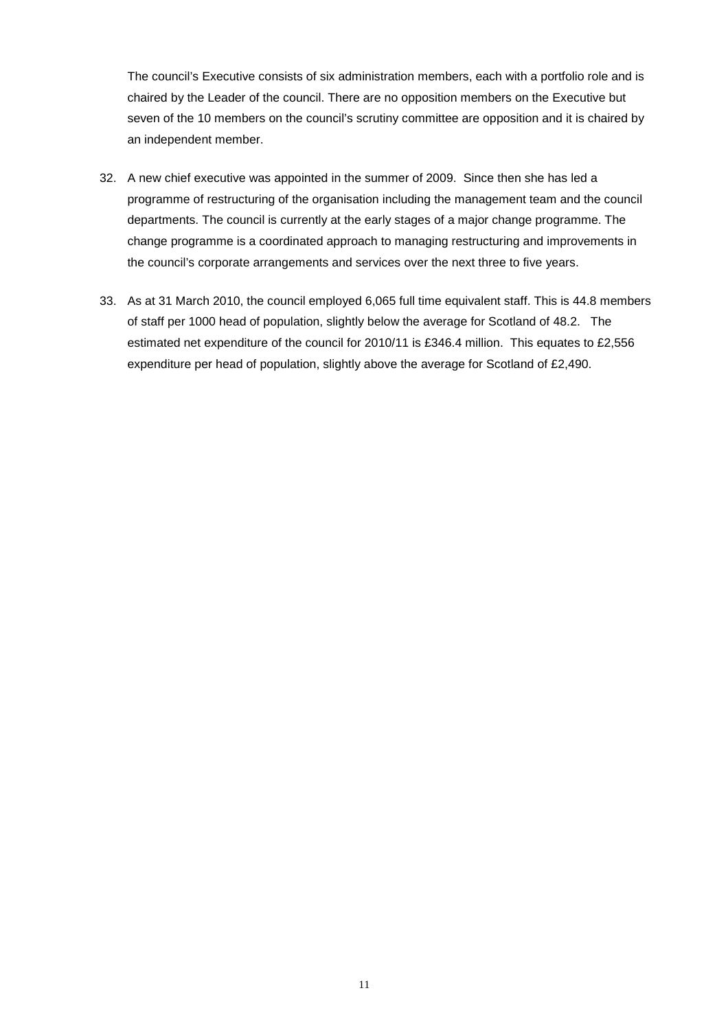The council's Executive consists of six administration members, each with a portfolio role and is chaired by the Leader of the council. There are no opposition members on the Executive but seven of the 10 members on the council's scrutiny committee are opposition and it is chaired by an independent member.

- the council's corporate arrangements and services over the next three to five years. 32. A new chief executive was appointed in the summer of 2009. Since then she has led a programme of restructuring of the organisation including the management team and the council departments. The council is currently at the early stages of a major change programme. The change programme is a coordinated approach to managing restructuring and improvements in
- 33. As at 31 March 2010, the council employed 6,065 full time equivalent staff. This is 44.8 members of staff per 1000 head of population, slightly below the average for Scotland of 48.2. The estimated net expenditure of the council for 2010/11 is £346.4 million. This equates to £2,556 expenditure per head of population, slightly above the average for Scotland of £2,490.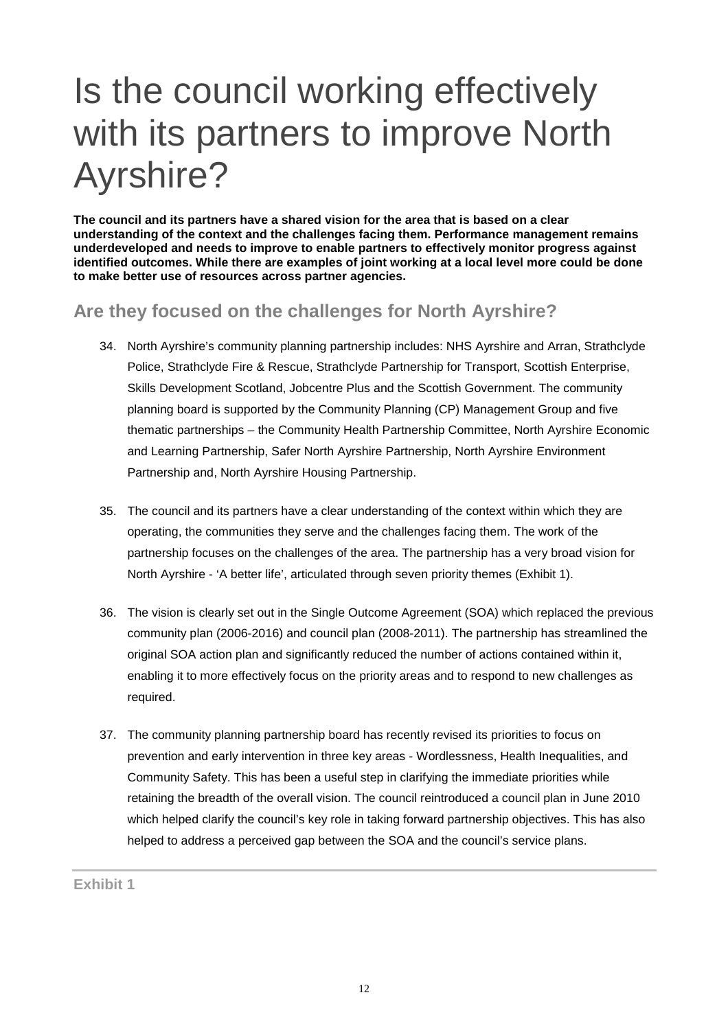# Is the council working effectively with its partners to improve North Ayrshire?

**The council and its partners have a shared vision for the area that is based on a clear understanding of the context and the challenges facing them. Performance management remains underdeveloped and needs to improve to enable partners to effectively monitor progress against identified outcomes. While there are examples of joint working at a local level more could be done to make better use of resources across partner agencies.** 

# **Are they focused on the challenges for North Ayrshire?**

- 34. North Ayrshire's community planning partnership includes: NHS Ayrshire and Arran, Strathclyde Police, Strathclyde Fire & Rescue, Strathclyde Partnership for Transport, Scottish Enterprise, Skills Development Scotland, Jobcentre Plus and the Scottish Government. The community planning board is supported by the Community Planning (CP) Management Group and five thematic partnerships – the Community Health Partnership Committee, North Ayrshire Economic and Learning Partnership, Safer North Ayrshire Partnership, North Ayrshire Environment Partnership and, North Ayrshire Housing Partnership.
- 35. The council and its partners have a clear understanding of the context within which they are operating, the communities they serve and the challenges facing them. The work of the partnership focuses on the challenges of the area. The partnership has a very broad vision for North Ayrshire - 'A better life', articulated through seven priority themes (Exhibit 1).
- 36. The vision is clearly set out in the Single Outcome Agreement (SOA) which replaced the previous community plan (2006-2016) and council plan (2008-2011). The partnership has streamlined the original SOA action plan and significantly reduced the number of actions contained within it, enabling it to more effectively focus on the priority areas and to respond to new challenges as required.
- prevention and early intervention in three key areas Wordlessness, Health Inequalities, and 37. The community planning partnership board has recently revised its priorities to focus on Community Safety. This has been a useful step in clarifying the immediate priorities while retaining the breadth of the overall vision. The council reintroduced a council plan in June 2010 which helped clarify the council's key role in taking forward partnership objectives. This has also helped to address a perceived gap between the SOA and the council's service plans.

**Exhibit 1**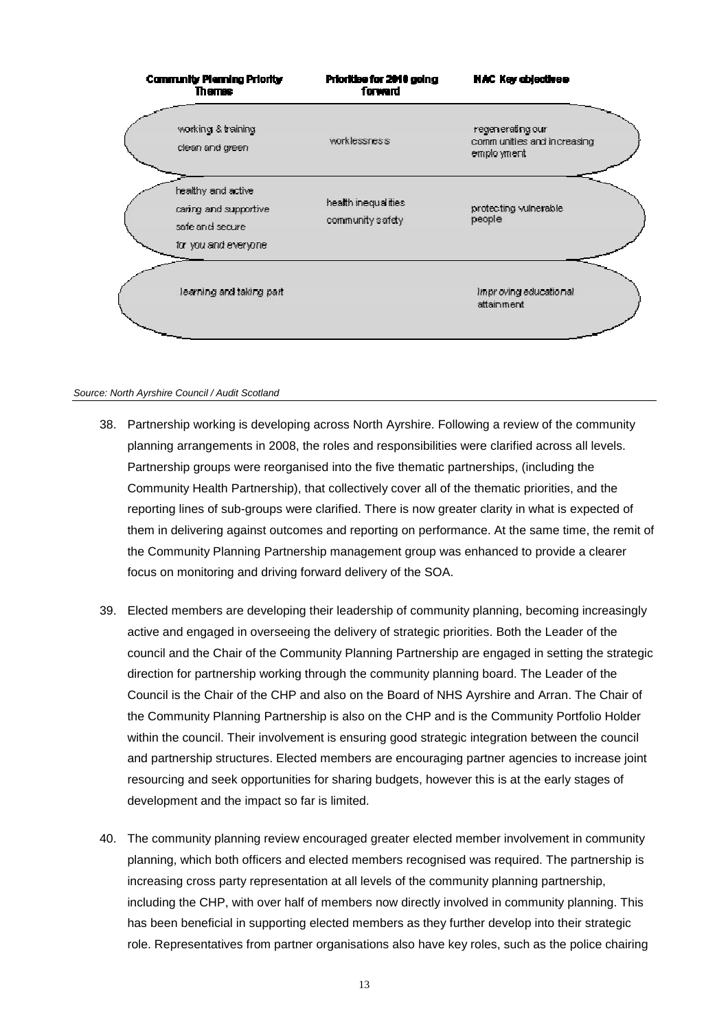

#### *Source: North Ayrshire Council / Audit Scotland*

- reporting lines of sub-groups were clarified. There is now greater clarity in what is expected of 38. Partnership working is developing across North Ayrshire. Following a review of the community planning arrangements in 2008, the roles and responsibilities were clarified across all levels. Partnership groups were reorganised into the five thematic partnerships, (including the Community Health Partnership), that collectively cover all of the thematic priorities, and the them in delivering against outcomes and reporting on performance. At the same time, the remit of the Community Planning Partnership management group was enhanced to provide a clearer focus on monitoring and driving forward delivery of the SOA.
- Council is the Chair of the CHP and also on the Board of NHS Ayrshire and Arran. The Chair of 39. Elected members are developing their leadership of community planning, becoming increasingly active and engaged in overseeing the delivery of strategic priorities. Both the Leader of the council and the Chair of the Community Planning Partnership are engaged in setting the strategic direction for partnership working through the community planning board. The Leader of the the Community Planning Partnership is also on the CHP and is the Community Portfolio Holder within the council. Their involvement is ensuring good strategic integration between the council and partnership structures. Elected members are encouraging partner agencies to increase joint resourcing and seek opportunities for sharing budgets, however this is at the early stages of development and the impact so far is limited.
- role. Representatives from partner organisations also have key roles, such as the police chairing 40. The community planning review encouraged greater elected member involvement in community planning, which both officers and elected members recognised was required. The partnership is increasing cross party representation at all levels of the community planning partnership, including the CHP, with over half of members now directly involved in community planning. This has been beneficial in supporting elected members as they further develop into their strategic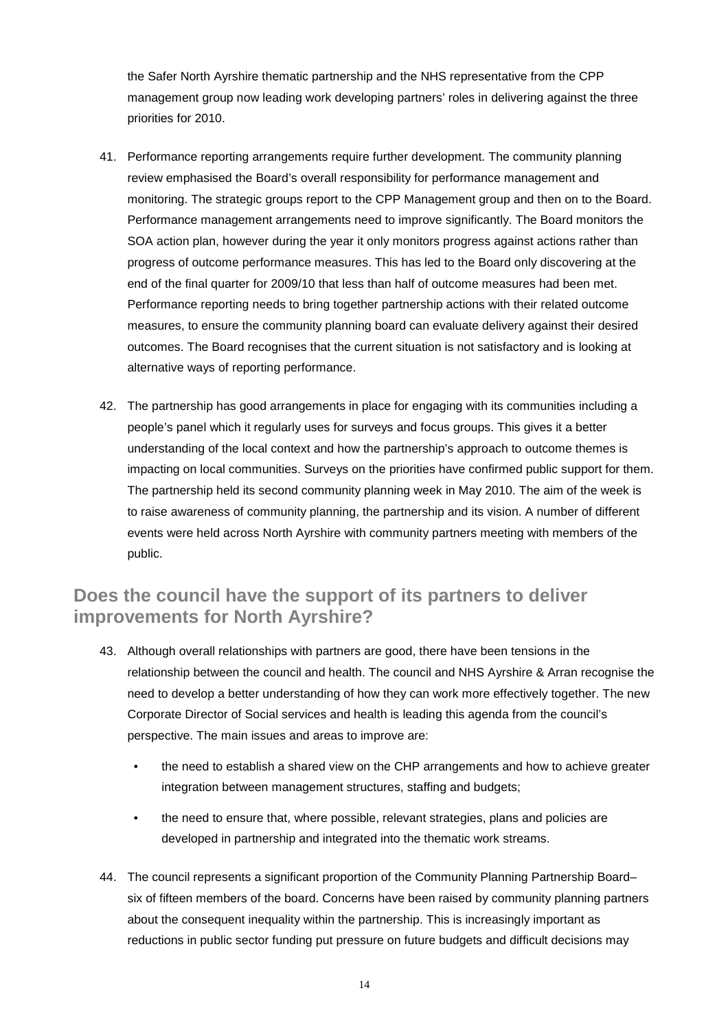the Safer North Ayrshire thematic partnership and the NHS representative from the CPP management group now leading work developing partners' roles in delivering against the three priorities for 2010.

- 41. Performance reporting arrangements require further development. The community planning review emphasised the Board's overall responsibility for performance management and monitoring. The strategic groups report to the CPP Management group and then on to the Board. Performance management arrangements need to improve significantly. The Board monitors the SOA action plan, however during the year it only monitors progress against actions rather than progress of outcome performance measures. This has led to the Board only discovering at the end of the final quarter for 2009/10 that less than half of outcome measures had been met. Performance reporting needs to bring together partnership actions with their related outcome measures, to ensure the community planning board can evaluate delivery against their desired outcomes. The Board recognises that the current situation is not satisfactory and is looking at alternative ways of reporting performance.
- people's panel which it regularly uses for surveys and focus groups. This gives it a better understanding of the local context and how the partnership's approach to outcome themes is 42. The partnership has good arrangements in place for engaging with its communities including a impacting on local communities. Surveys on the priorities have confirmed public support for them. The partnership held its second community planning week in May 2010. The aim of the week is to raise awareness of community planning, the partnership and its vision. A number of different events were held across North Ayrshire with community partners meeting with members of the public.

# **Does the council have the support of its partners to deliver improvements for North Ayrshire?**

- 43. Although overall relationships with partners are good, there have been tensions in the relationship between the council and health. The council and NHS Ayrshire & Arran recognise the need to develop a better understanding of how they can work more effectively together. The new Corporate Director of Social services and health is leading this agenda from the council's perspective. The main issues and areas to improve are:
	- the need to establish a shared view on the CHP arrangements and how to achieve greater integration between management structures, staffing and budgets;
	- developed in partnership and integrated into the thematic work streams. • the need to ensure that, where possible, relevant strategies, plans and policies are
- 44. The council represents a significant proportion of the Community Planning Partnership Board– six of fifteen members of the board. Concerns have been raised by community planning partners about the consequent inequality within the partnership. This is increasingly important as reductions in public sector funding put pressure on future budgets and difficult decisions may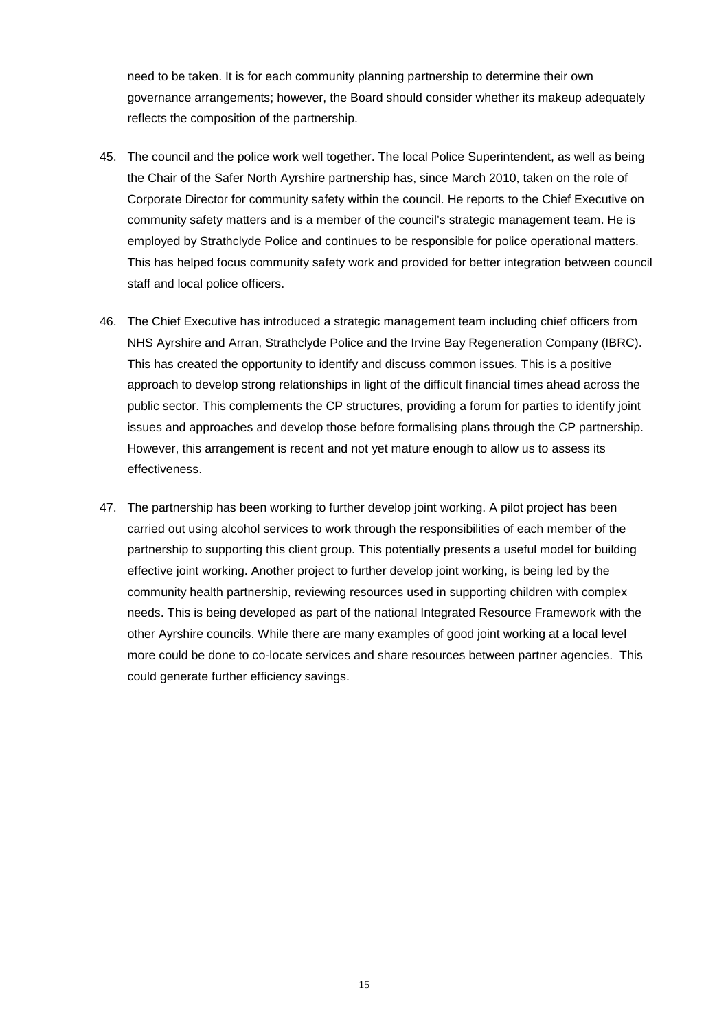governance arrangements; however, the Board should consider whether its makeup adequately need to be taken. It is for each community planning partnership to determine their own reflects the composition of the partnership.

- 45. The council and the police work well together. The local Police Superintendent, as well as being the Chair of the Safer North Ayrshire partnership has, since March 2010, taken on the role of Corporate Director for community safety within the council. He reports to the Chief Executive on community safety matters and is a member of the council's strategic management team. He is employed by Strathclyde Police and continues to be responsible for police operational matters. This has helped focus community safety work and provided for better integration between council staff and local police officers.
- 46. The Chief Executive has introduced a strategic management team including chief officers from NHS Ayrshire and Arran, Strathclyde Police and the Irvine Bay Regeneration Company (IBRC). This has created the opportunity to identify and discuss common issues. This is a positive approach to develop strong relationships in light of the difficult financial times ahead across the public sector. This complements the CP structures, providing a forum for parties to identify joint issues and approaches and develop those before formalising plans through the CP partnership. However, this arrangement is recent and not yet mature enough to allow us to assess its effectiveness.
- 47. The partnership has been working to further develop joint working. A pilot project has been carried out using alcohol services to work through the responsibilities of each member of the partnership to supporting this client group. This potentially presents a useful model for building effective joint working. Another project to further develop joint working, is being led by the community health partnership, reviewing resources used in supporting children with complex needs. This is being developed as part of the national Integrated Resource Framework with the other Ayrshire councils. While there are many examples of good joint working at a local level more could be done to co-locate services and share resources between partner agencies. This could generate further efficiency savings.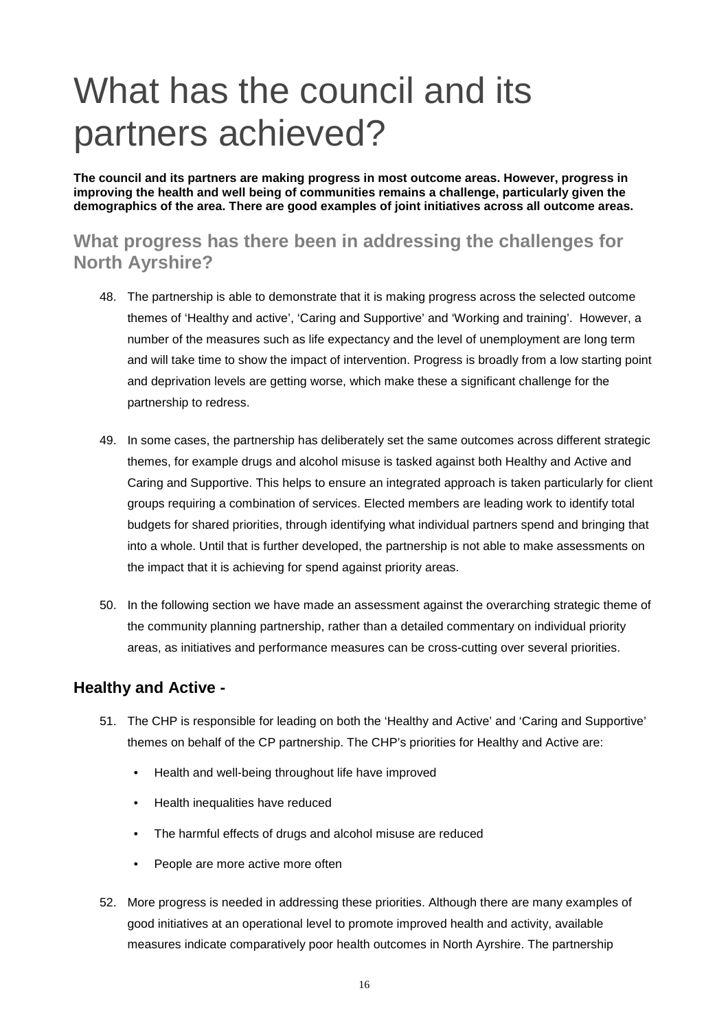# What has the council and its partners achieved?

**The council and its partners are making progress in most outcome areas. However, progress in improving the health and well being of communities remains a challenge, particularly given the demographics of the area. There are good examples of joint initiatives across all outcome areas.** 

# **What progress has there been in addressing the challenges for North Ayrshire?**

- partnership to redress. 48. The partnership is able to demonstrate that it is making progress across the selected outcome themes of 'Healthy and active', 'Caring and Supportive' and 'Working and training'. However, a number of the measures such as life expectancy and the level of unemployment are long term and will take time to show the impact of intervention. Progress is broadly from a low starting point and deprivation levels are getting worse, which make these a significant challenge for the
- the impact that it is achieving for spend against priority areas. 49. In some cases, the partnership has deliberately set the same outcomes across different strategic themes, for example drugs and alcohol misuse is tasked against both Healthy and Active and Caring and Supportive. This helps to ensure an integrated approach is taken particularly for client groups requiring a combination of services. Elected members are leading work to identify total budgets for shared priorities, through identifying what individual partners spend and bringing that into a whole. Until that is further developed, the partnership is not able to make assessments on
- 50. In the following section we have made an assessment against the overarching strategic theme of the community planning partnership, rather than a detailed commentary on individual priority areas, as initiatives and performance measures can be cross-cutting over several priorities.

### **Healthy and Active -**

- 51. The CHP is responsible for leading on both the 'Healthy and Active' and 'Caring and Supportive' themes on behalf of the CP partnership. The CHP's priorities for Healthy and Active are:
	- Health and well-being throughout life have improved
	- Health inequalities have reduced
	- The harmful effects of drugs and alcohol misuse are reduced
	- People are more active more often
- measures indicate comparatively poor health outcomes in North Ayrshire. The partnership 52. More progress is needed in addressing these priorities. Although there are many examples of good initiatives at an operational level to promote improved health and activity, available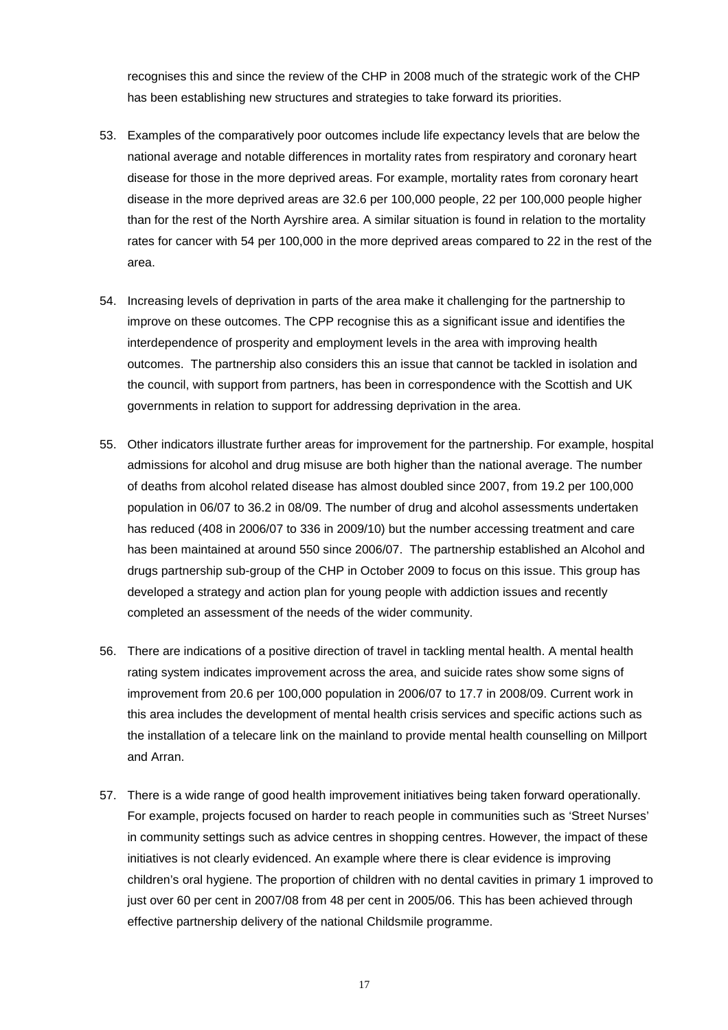recognises this and since the review of the CHP in 2008 much of the strategic work of the CHP has been establishing new structures and strategies to take forward its priorities.

- 53. Examples of the comparatively poor outcomes include life expectancy levels that are below the national average and notable differences in mortality rates from respiratory and coronary heart disease for those in the more deprived areas. For example, mortality rates from coronary heart disease in the more deprived areas are 32.6 per 100,000 people, 22 per 100,000 people higher than for the rest of the North Ayrshire area. A similar situation is found in relation to the mortality rates for cancer with 54 per 100,000 in the more deprived areas compared to 22 in the rest of the area.
- 54. Increasing levels of deprivation in parts of the area make it challenging for the partnership to improve on these outcomes. The CPP recognise this as a significant issue and identifies the interdependence of prosperity and employment levels in the area with improving health outcomes. The partnership also considers this an issue that cannot be tackled in isolation and the council, with support from partners, has been in correspondence with the Scottish and UK governments in relation to support for addressing deprivation in the area.
- completed an assessment of the needs of the wider community. 55. Other indicators illustrate further areas for improvement for the partnership. For example, hospital admissions for alcohol and drug misuse are both higher than the national average. The number of deaths from alcohol related disease has almost doubled since 2007, from 19.2 per 100,000 population in 06/07 to 36.2 in 08/09. The number of drug and alcohol assessments undertaken has reduced (408 in 2006/07 to 336 in 2009/10) but the number accessing treatment and care has been maintained at around 550 since 2006/07. The partnership established an Alcohol and drugs partnership sub-group of the CHP in October 2009 to focus on this issue. This group has developed a strategy and action plan for young people with addiction issues and recently
- 56. There are indications of a positive direction of travel in tackling mental health. A mental health rating system indicates improvement across the area, and suicide rates show some signs of improvement from 20.6 per 100,000 population in 2006/07 to 17.7 in 2008/09. Current work in this area includes the development of mental health crisis services and specific actions such as the installation of a telecare link on the mainland to provide mental health counselling on Millport and Arran.
- initiatives is not clearly evidenced. An example where there is clear evidence is improving children's oral hygiene. The proportion of children with no dental cavities in primary 1 improved to 57. There is a wide range of good health improvement initiatives being taken forward operationally. For example, projects focused on harder to reach people in communities such as 'Street Nurses' in community settings such as advice centres in shopping centres. However, the impact of these just over 60 per cent in 2007/08 from 48 per cent in 2005/06. This has been achieved through effective partnership delivery of the national Childsmile programme.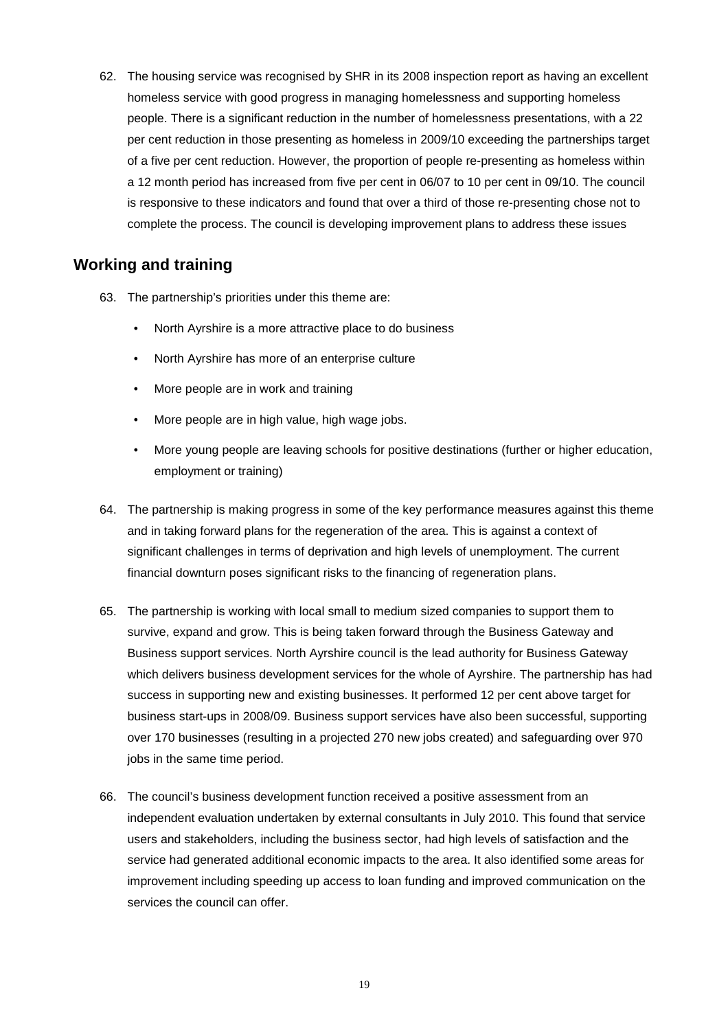complete the process. The council is developing improvement plans to address these issues 62. The housing service was recognised by SHR in its 2008 inspection report as having an excellent homeless service with good progress in managing homelessness and supporting homeless people. There is a significant reduction in the number of homelessness presentations, with a 22 per cent reduction in those presenting as homeless in 2009/10 exceeding the partnerships target of a five per cent reduction. However, the proportion of people re-presenting as homeless within a 12 month period has increased from five per cent in 06/07 to 10 per cent in 09/10. The council is responsive to these indicators and found that over a third of those re-presenting chose not to

#### **Working and training**

- 63. The partnership's priorities under this theme are:
	- North Ayrshire is a more attractive place to do business
	- • North Ayrshire has more of an enterprise culture
	- More people are in work and training
	- More people are in high value, high wage jobs.
	- • More young people are leaving schools for positive destinations (further or higher education, employment or training)
- 64. The partnership is making progress in some of the key performance measures against this theme and in taking forward plans for the regeneration of the area. This is against a context of significant challenges in terms of deprivation and high levels of unemployment. The current financial downturn poses significant risks to the financing of regeneration plans.
- survive, expand and grow. This is being taken forward through the Business Gateway and 65. The partnership is working with local small to medium sized companies to support them to Business support services. North Ayrshire council is the lead authority for Business Gateway which delivers business development services for the whole of Ayrshire. The partnership has had success in supporting new and existing businesses. It performed 12 per cent above target for business start-ups in 2008/09. Business support services have also been successful, supporting over 170 businesses (resulting in a projected 270 new jobs created) and safeguarding over 970 jobs in the same time period.
- services the council can offer. 66. The council's business development function received a positive assessment from an independent evaluation undertaken by external consultants in July 2010. This found that service users and stakeholders, including the business sector, had high levels of satisfaction and the service had generated additional economic impacts to the area. It also identified some areas for improvement including speeding up access to loan funding and improved communication on the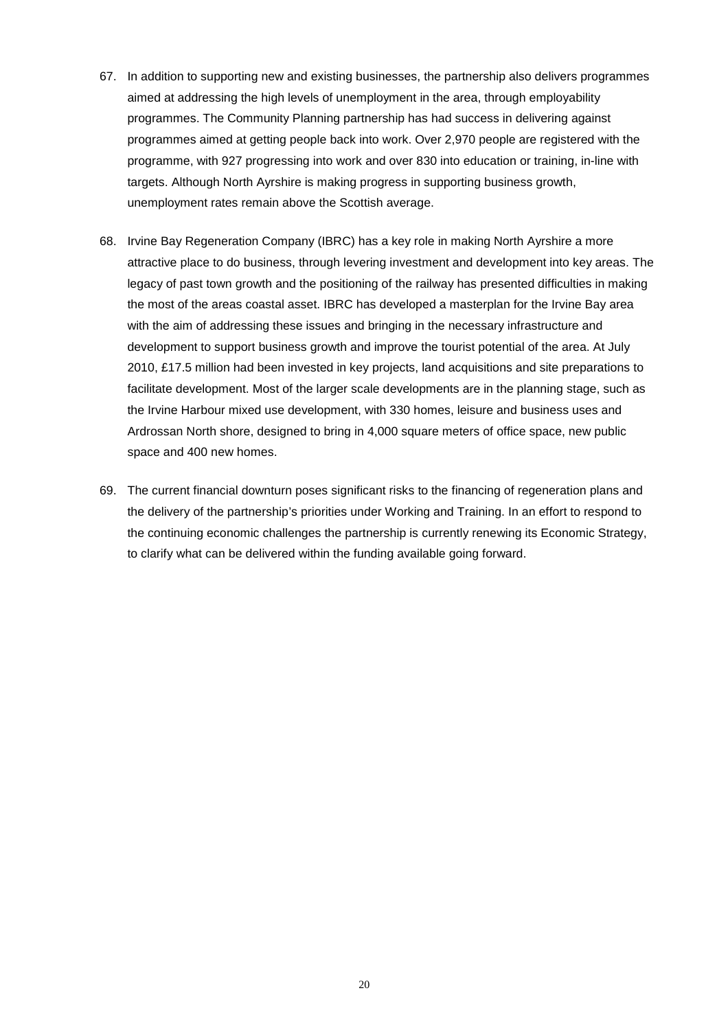- 67. In addition to supporting new and existing businesses, the partnership also delivers programmes aimed at addressing the high levels of unemployment in the area, through employability programmes. The Community Planning partnership has had success in delivering against programmes aimed at getting people back into work. Over 2,970 people are registered with the programme, with 927 progressing into work and over 830 into education or training, in-line with targets. Although North Ayrshire is making progress in supporting business growth, unemployment rates remain above the Scottish average.
- the most of the areas coastal asset. IBRC has developed a masterplan for the Irvine Bay area with the aim of addressing these issues and bringing in the necessary infrastructure and space and 400 new homes. 68. Irvine Bay Regeneration Company (IBRC) has a key role in making North Ayrshire a more attractive place to do business, through levering investment and development into key areas. The legacy of past town growth and the positioning of the railway has presented difficulties in making development to support business growth and improve the tourist potential of the area. At July 2010, £17.5 million had been invested in key projects, land acquisitions and site preparations to facilitate development. Most of the larger scale developments are in the planning stage, such as the Irvine Harbour mixed use development, with 330 homes, leisure and business uses and Ardrossan North shore, designed to bring in 4,000 square meters of office space, new public
- to clarify what can be delivered within the funding available going forward. 69. The current financial downturn poses significant risks to the financing of regeneration plans and the delivery of the partnership's priorities under Working and Training. In an effort to respond to the continuing economic challenges the partnership is currently renewing its Economic Strategy,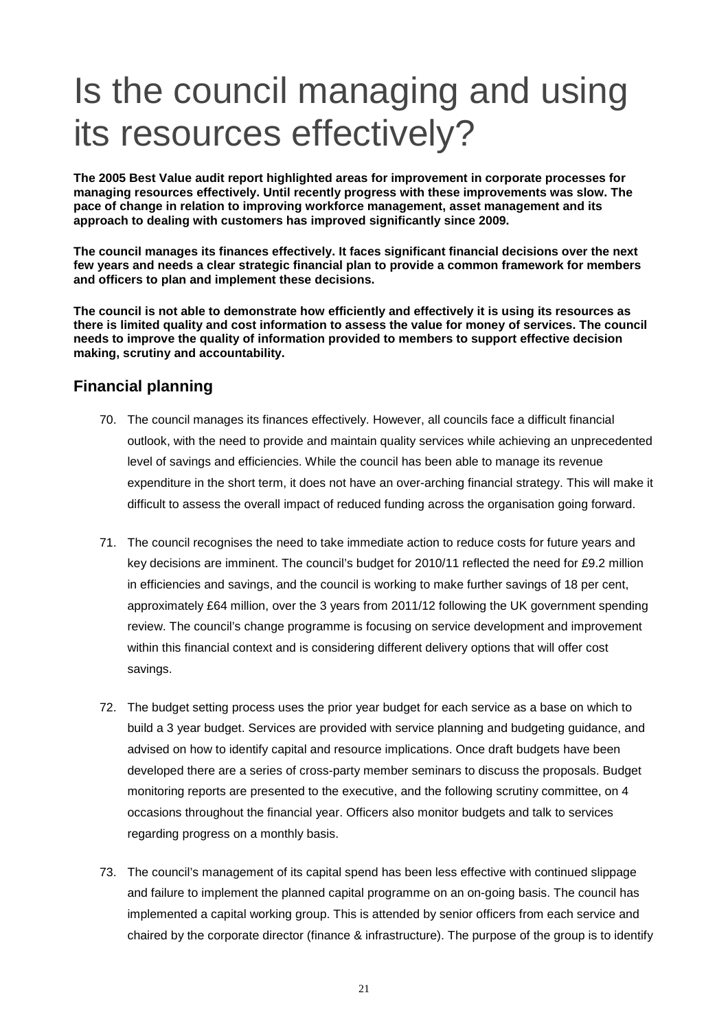# Is the council managing and using its resources effectively?

**The 2005 Best Value audit report highlighted areas for improvement in corporate processes for managing resources effectively. Until recently progress with these improvements was slow. The pace of change in relation to improving workforce management, asset management and its approach to dealing with customers has improved significantly since 2009.** 

**The council manages its finances effectively. It faces significant financial decisions over the next few years and needs a clear strategic financial plan to provide a common framework for members and officers to plan and implement these decisions.** 

 **making, scrutiny and accountability. Financial planning The council is not able to demonstrate how efficiently and effectively it is using its resources as there is limited quality and cost information to assess the value for money of services. The council needs to improve the quality of information provided to members to support effective decision** 

- outlook, with the need to provide and maintain quality services while achieving an unprecedented 70. The council manages its finances effectively. However, all councils face a difficult financial level of savings and efficiencies. While the council has been able to manage its revenue expenditure in the short term, it does not have an over-arching financial strategy. This will make it difficult to assess the overall impact of reduced funding across the organisation going forward.
- 71. The council recognises the need to take immediate action to reduce costs for future years and key decisions are imminent. The council's budget for 2010/11 reflected the need for £9.2 million in efficiencies and savings, and the council is working to make further savings of 18 per cent, approximately £64 million, over the 3 years from 2011/12 following the UK government spending review. The council's change programme is focusing on service development and improvement within this financial context and is considering different delivery options that will offer cost savings.
- regarding progress on a monthly basis. 72. The budget setting process uses the prior year budget for each service as a base on which to build a 3 year budget. Services are provided with service planning and budgeting guidance, and advised on how to identify capital and resource implications. Once draft budgets have been developed there are a series of cross-party member seminars to discuss the proposals. Budget monitoring reports are presented to the executive, and the following scrutiny committee, on 4 occasions throughout the financial year. Officers also monitor budgets and talk to services
- implemented a capital working group. This is attended by senior officers from each service and 73. The council's management of its capital spend has been less effective with continued slippage and failure to implement the planned capital programme on an on-going basis. The council has chaired by the corporate director (finance & infrastructure). The purpose of the group is to identify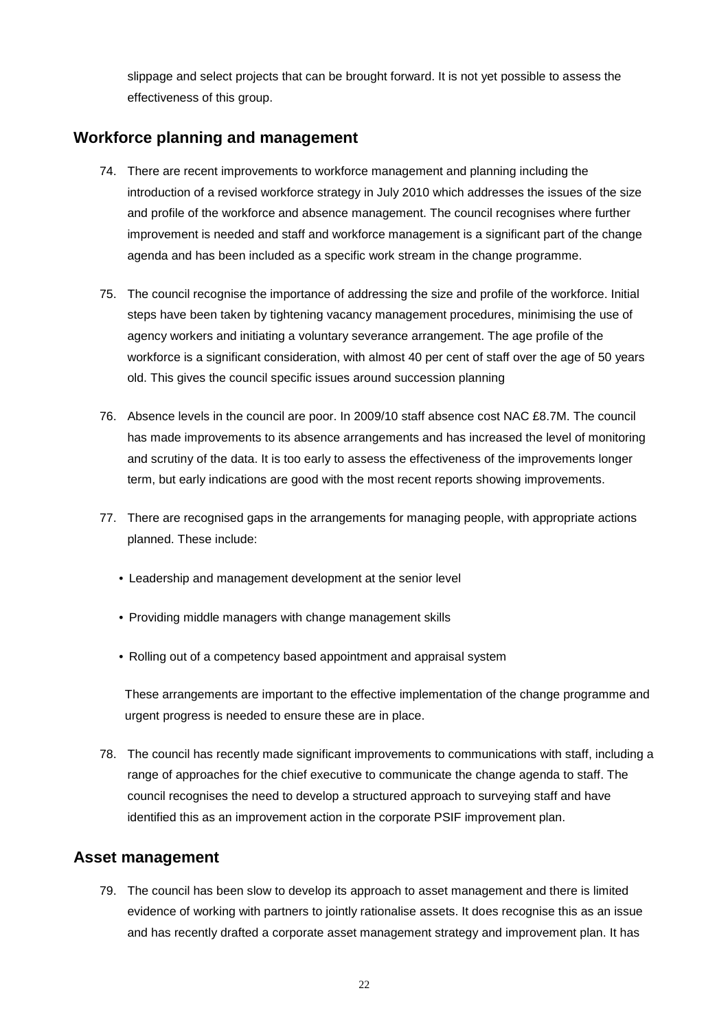slippage and select projects that can be brought forward. It is not yet possible to assess the effectiveness of this group.

### **Workforce planning and management**

- 74. There are recent improvements to workforce management and planning including the introduction of a revised workforce strategy in July 2010 which addresses the issues of the size and profile of the workforce and absence management. The council recognises where further improvement is needed and staff and workforce management is a significant part of the change agenda and has been included as a specific work stream in the change programme.
- 75. The council recognise the importance of addressing the size and profile of the workforce. Initial steps have been taken by tightening vacancy management procedures, minimising the use of agency workers and initiating a voluntary severance arrangement. The age profile of the workforce is a significant consideration, with almost 40 per cent of staff over the age of 50 years old. This gives the council specific issues around succession planning
- term, but early indications are good with the most recent reports showing improvements. 76. Absence levels in the council are poor. In 2009/10 staff absence cost NAC £8.7M. The council has made improvements to its absence arrangements and has increased the level of monitoring and scrutiny of the data. It is too early to assess the effectiveness of the improvements longer
- term, but early indications are good with the most recent reports showing improvements.<br>77. There are recognised gaps in the arrangements for managing people, with appropriate actions planned. These include:
	- Leadership and management development at the senior level
	- Providing middle managers with change management skills
	- Rolling out of a competency based appointment and appraisal system

urgent progress is needed to ensure these are in place. These arrangements are important to the effective implementation of the change programme and

78. The council has recently made significant improvements to communications with staff, including a range of approaches for the chief executive to communicate the change agenda to staff. The council recognises the need to develop a structured approach to surveying staff and have identified this as an improvement action in the corporate PSIF improvement plan.

#### **Asset management**

79. The council has been slow to develop its approach to asset management and there is limited evidence of working with partners to jointly rationalise assets. It does recognise this as an issue and has recently drafted a corporate asset management strategy and improvement plan. It has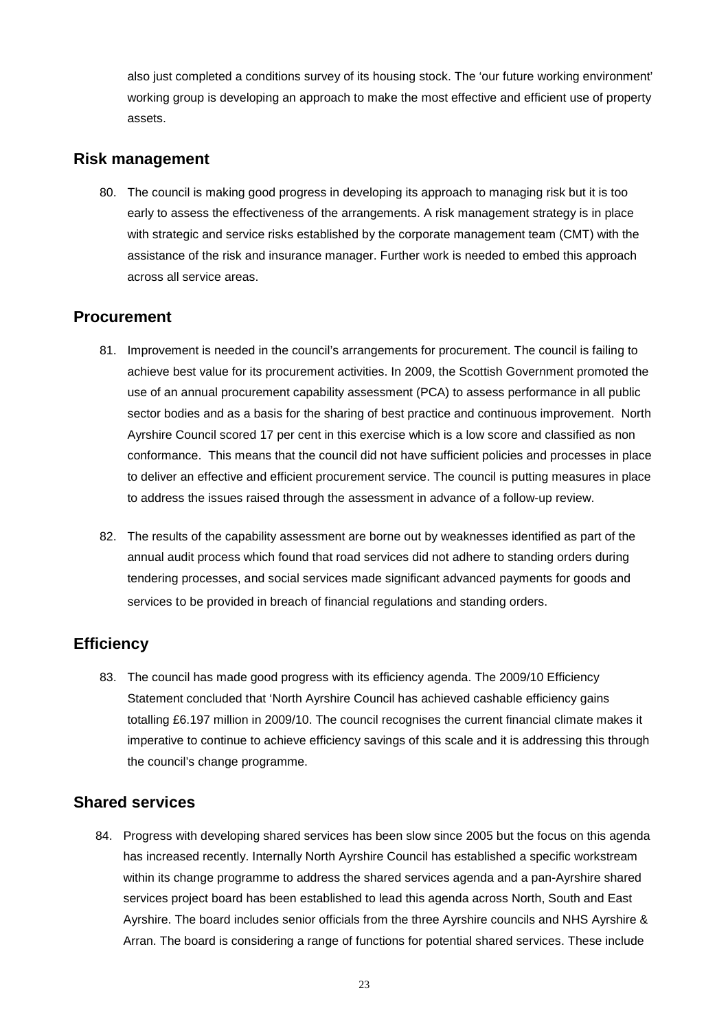also just completed a conditions survey of its housing stock. The 'our future working environment' working group is developing an approach to make the most effective and efficient use of property assets.

#### **Risk management**

 early to assess the effectiveness of the arrangements. A risk management strategy is in place 80. The council is making good progress in developing its approach to managing risk but it is too with strategic and service risks established by the corporate management team (CMT) with the assistance of the risk and insurance manager. Further work is needed to embed this approach across all service areas.

#### **Procurement**

- 81. Improvement is needed in the council's arrangements for procurement. The council is failing to achieve best value for its procurement activities. In 2009, the Scottish Government promoted the use of an annual procurement capability assessment (PCA) to assess performance in all public sector bodies and as a basis for the sharing of best practice and continuous improvement. North Ayrshire Council scored 17 per cent in this exercise which is a low score and classified as non conformance. This means that the council did not have sufficient policies and processes in place to deliver an effective and efficient procurement service. The council is putting measures in place to address the issues raised through the assessment in advance of a follow-up review.
- services to be provided in breach of financial regulations and standing orders. 82. The results of the capability assessment are borne out by weaknesses identified as part of the annual audit process which found that road services did not adhere to standing orders during tendering processes, and social services made significant advanced payments for goods and

### **Efficiency**

 Statement concluded that 'North Ayrshire Council has achieved cashable efficiency gains 83. The council has made good progress with its efficiency agenda. The 2009/10 Efficiency totalling £6.197 million in 2009/10. The council recognises the current financial climate makes it imperative to continue to achieve efficiency savings of this scale and it is addressing this through the council's change programme.

### **Shared services**

84. Progress with developing shared services has been slow since 2005 but the focus on this agenda has increased recently. Internally North Ayrshire Council has established a specific workstream within its change programme to address the shared services agenda and a pan-Ayrshire shared services project board has been established to lead this agenda across North, South and East Ayrshire. The board includes senior officials from the three Ayrshire councils and NHS Ayrshire & Arran. The board is considering a range of functions for potential shared services. These include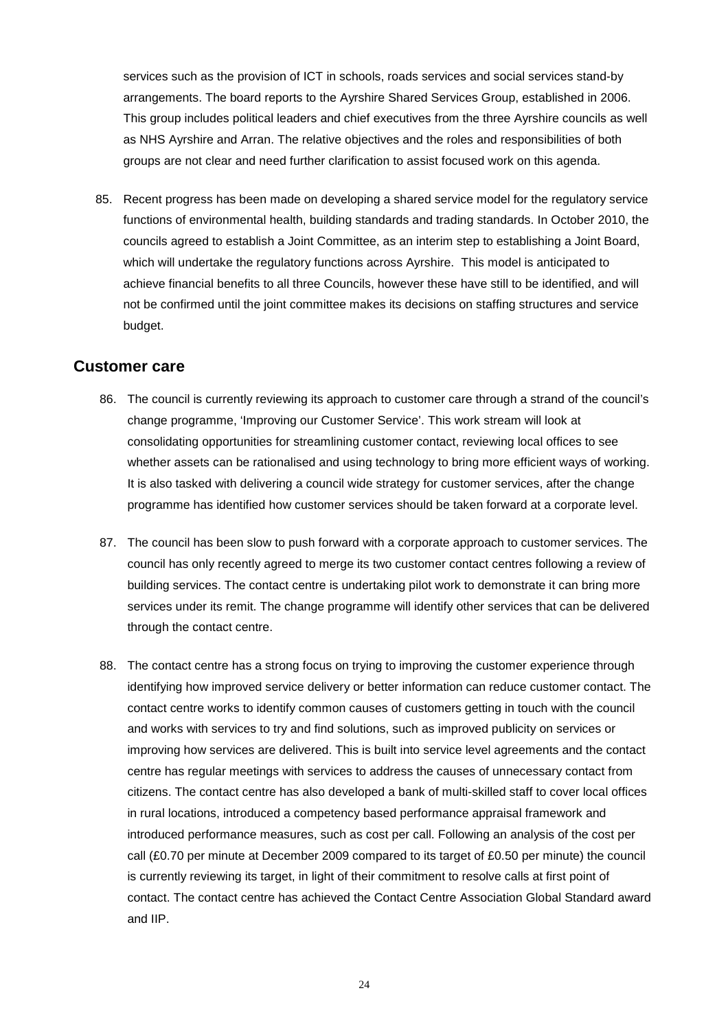This group includes political leaders and chief executives from the three Ayrshire councils as well services such as the provision of ICT in schools, roads services and social services stand-by arrangements. The board reports to the Ayrshire Shared Services Group, established in 2006. as NHS Ayrshire and Arran. The relative objectives and the roles and responsibilities of both groups are not clear and need further clarification to assist focused work on this agenda.

85. Recent progress has been made on developing a shared service model for the regulatory service functions of environmental health, building standards and trading standards. In October 2010, the councils agreed to establish a Joint Committee, as an interim step to establishing a Joint Board, which will undertake the regulatory functions across Ayrshire. This model is anticipated to achieve financial benefits to all three Councils, however these have still to be identified, and will not be confirmed until the joint committee makes its decisions on staffing structures and service budget.

#### **Customer care**

- 86. The council is currently reviewing its approach to customer care through a strand of the council's change programme, 'Improving our Customer Service'. This work stream will look at consolidating opportunities for streamlining customer contact, reviewing local offices to see whether assets can be rationalised and using technology to bring more efficient ways of working. It is also tasked with delivering a council wide strategy for customer services, after the change programme has identified how customer services should be taken forward at a corporate level.
- 87. The council has been slow to push forward with a corporate approach to customer services. The council has only recently agreed to merge its two customer contact centres following a review of building services. The contact centre is undertaking pilot work to demonstrate it can bring more services under its remit. The change programme will identify other services that can be delivered through the contact centre.
- 88. The contact centre has a strong focus on trying to improving the customer experience through identifying how improved service delivery or better information can reduce customer contact. The contact centre works to identify common causes of customers getting in touch with the council and works with services to try and find solutions, such as improved publicity on services or improving how services are delivered. This is built into service level agreements and the contact centre has regular meetings with services to address the causes of unnecessary contact from citizens. The contact centre has also developed a bank of multi-skilled staff to cover local offices in rural locations, introduced a competency based performance appraisal framework and introduced performance measures, such as cost per call. Following an analysis of the cost per call (£0.70 per minute at December 2009 compared to its target of £0.50 per minute) the council is currently reviewing its target, in light of their commitment to resolve calls at first point of contact. The contact centre has achieved the Contact Centre Association Global Standard award and IIP.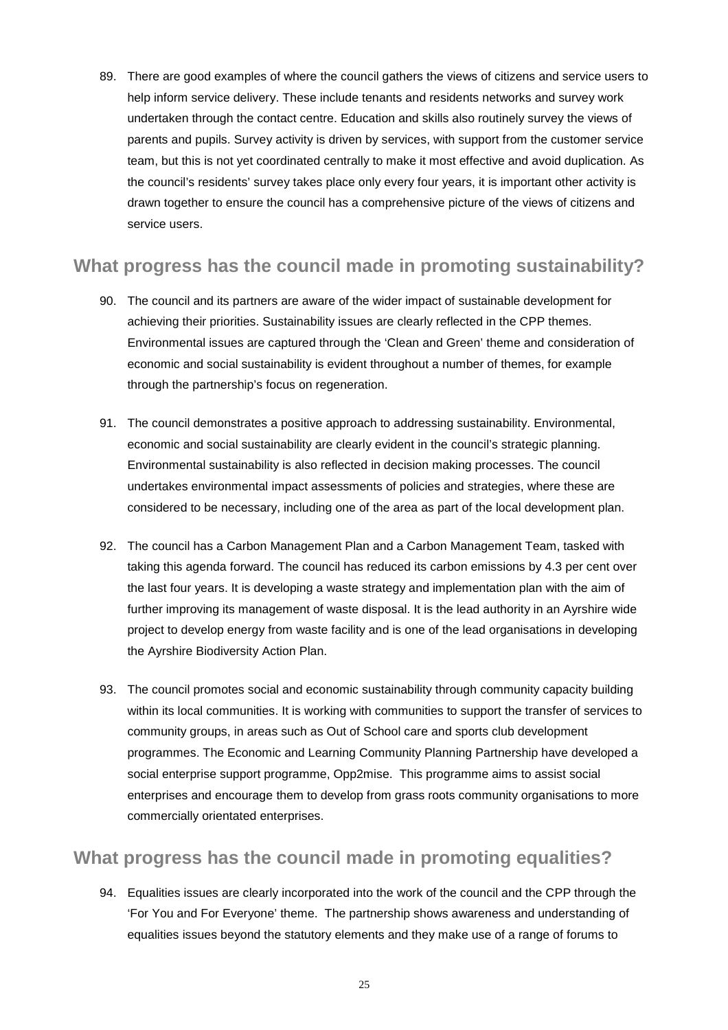help inform service delivery. These include tenants and residents networks and survey work undertaken through the contact centre. Education and skills also routinely survey the views of parents and pupils. Survey activity is driven by services, with support from the customer service the council's residents' survey takes place only every four years, it is important other activity is service users. 89. There are good examples of where the council gathers the views of citizens and service users to team, but this is not yet coordinated centrally to make it most effective and avoid duplication. As drawn together to ensure the council has a comprehensive picture of the views of citizens and

### **What progress has the council made in promoting sustainability?**

- 90. The council and its partners are aware of the wider impact of sustainable development for achieving their priorities. Sustainability issues are clearly reflected in the CPP themes. Environmental issues are captured through the 'Clean and Green' theme and consideration of economic and social sustainability is evident throughout a number of themes, for example through the partnership's focus on regeneration.
- economic and social sustainability are clearly evident in the council's strategic planning. Environmental sustainability is also reflected in decision making processes. The council 91. The council demonstrates a positive approach to addressing sustainability. Environmental, undertakes environmental impact assessments of policies and strategies, where these are considered to be necessary, including one of the area as part of the local development plan.
- taking this agenda forward. The council has reduced its carbon emissions by 4.3 per cent over the Ayrshire Biodiversity Action Plan. 92. The council has a Carbon Management Plan and a Carbon Management Team, tasked with the last four years. It is developing a waste strategy and implementation plan with the aim of further improving its management of waste disposal. It is the lead authority in an Ayrshire wide project to develop energy from waste facility and is one of the lead organisations in developing
- the Ayrshire Biodiversity Action Plan.<br>93. The council promotes social and economic sustainability through community capacity building within its local communities. It is working with communities to support the transfer of services to community groups, in areas such as Out of School care and sports club development programmes. The Economic and Learning Community Planning Partnership have developed a social enterprise support programme, Opp2mise. This programme aims to assist social enterprises and encourage them to develop from grass roots community organisations to more commercially orientated enterprises.

### **What progress has the council made in promoting equalities?**

94. Equalities issues are clearly incorporated into the work of the council and the CPP through the 'For You and For Everyone' theme. The partnership shows awareness and understanding of equalities issues beyond the statutory elements and they make use of a range of forums to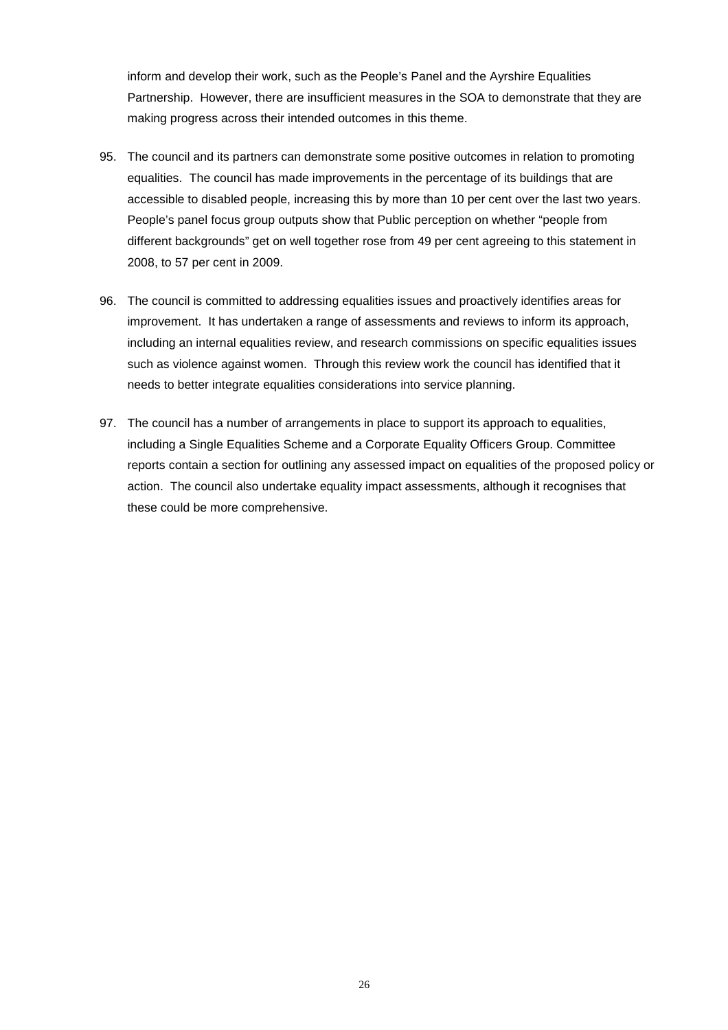inform and develop their work, such as the People's Panel and the Ayrshire Equalities Partnership. However, there are insufficient measures in the SOA to demonstrate that they are making progress across their intended outcomes in this theme.

- accessible to disabled people, increasing this by more than 10 per cent over the last two years. 95. The council and its partners can demonstrate some positive outcomes in relation to promoting equalities. The council has made improvements in the percentage of its buildings that are People's panel focus group outputs show that Public perception on whether "people from different backgrounds" get on well together rose from 49 per cent agreeing to this statement in 2008, to 57 per cent in 2009.
- needs to better integrate equalities considerations into service planning. 96. The council is committed to addressing equalities issues and proactively identifies areas for improvement. It has undertaken a range of assessments and reviews to inform its approach, including an internal equalities review, and research commissions on specific equalities issues such as violence against women. Through this review work the council has identified that it
- 97. The council has a number of arrangements in place to support its approach to equalities, including a Single Equalities Scheme and a Corporate Equality Officers Group. Committee reports contain a section for outlining any assessed impact on equalities of the proposed policy or action. The council also undertake equality impact assessments, although it recognises that these could be more comprehensive.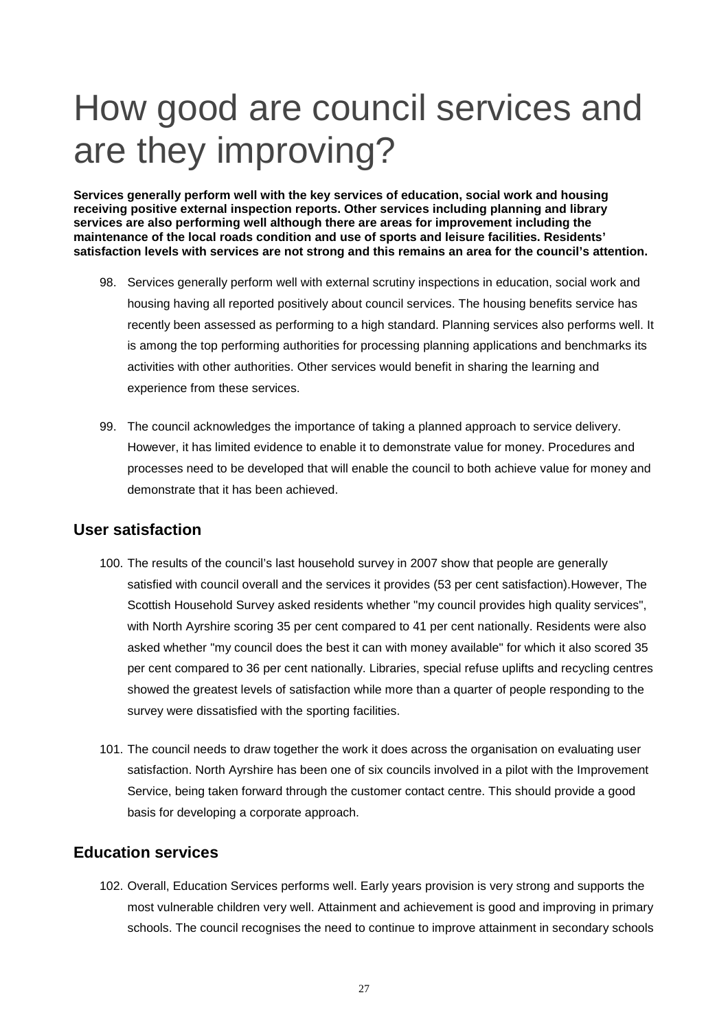# How good are council services and are they improving?

**Services generally perform well with the key services of education, social work and housing receiving positive external inspection reports. Other services including planning and library services are also performing well although there are areas for improvement including the maintenance of the local roads condition and use of sports and leisure facilities. Residents' satisfaction levels with services are not strong and this remains an area for the council's attention.** 

- 98. Services generally perform well with external scrutiny inspections in education, social work and activities with other authorities. Other services would benefit in sharing the learning and housing having all reported positively about council services. The housing benefits service has recently been assessed as performing to a high standard. Planning services also performs well. It is among the top performing authorities for processing planning applications and benchmarks its experience from these services.
- 99. The council acknowledges the importance of taking a planned approach to service delivery. However, it has limited evidence to enable it to demonstrate value for money. Procedures and processes need to be developed that will enable the council to both achieve value for money and demonstrate that it has been achieved.

#### **User satisfaction**

- 100. The results of the council's last household survey in 2007 show that people are generally satisfied with council overall and the services it provides (53 per cent satisfaction).However, The Scottish Household Survey asked residents whether "my council provides high quality services", with North Ayrshire scoring 35 per cent compared to 41 per cent nationally. Residents were also asked whether "my council does the best it can with money available" for which it also scored 35 per cent compared to 36 per cent nationally. Libraries, special refuse uplifts and recycling centres showed the greatest levels of satisfaction while more than a quarter of people responding to the survey were dissatisfied with the sporting facilities.
- 101. The council needs to draw together the work it does across the organisation on evaluating user satisfaction. North Ayrshire has been one of six councils involved in a pilot with the Improvement Service, being taken forward through the customer contact centre. This should provide a good basis for developing a corporate approach.

#### **Education services**

102. Overall, Education Services performs well. Early years provision is very strong and supports the most vulnerable children very well. Attainment and achievement is good and improving in primary schools. The council recognises the need to continue to improve attainment in secondary schools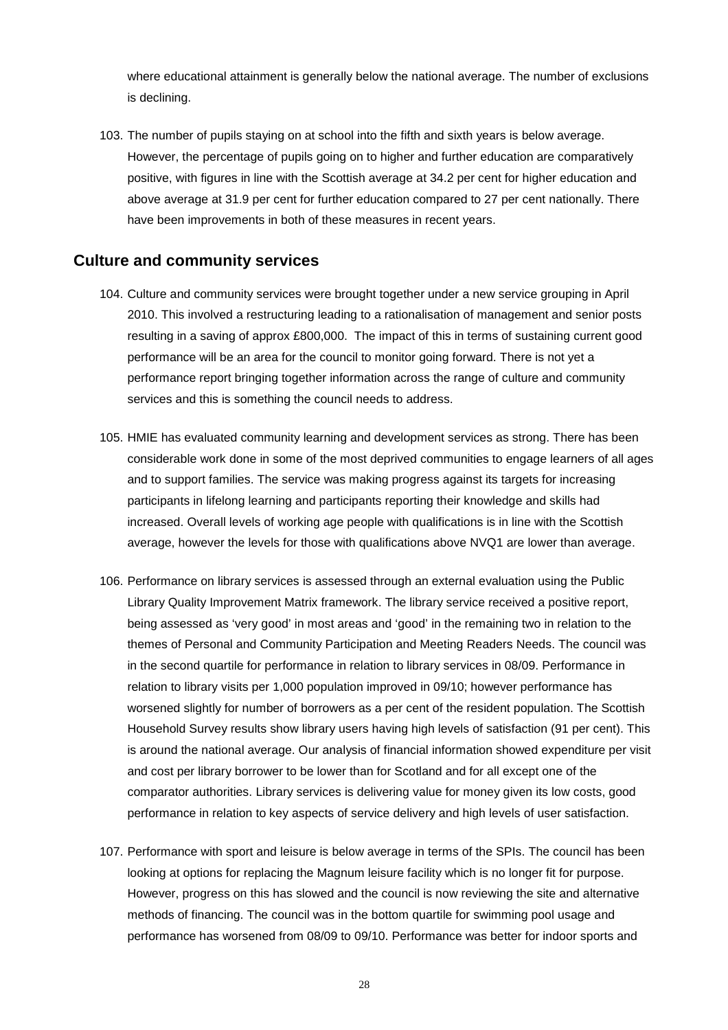where educational attainment is generally below the national average. The number of exclusions is declining.

 However, the percentage of pupils going on to higher and further education are comparatively 103. The number of pupils staying on at school into the fifth and sixth years is below average. positive, with figures in line with the Scottish average at 34.2 per cent for higher education and above average at 31.9 per cent for further education compared to 27 per cent nationally. There have been improvements in both of these measures in recent years.

#### **Culture and community services**

- 104. Culture and community services were brought together under a new service grouping in April 2010. This involved a restructuring leading to a rationalisation of management and senior posts resulting in a saving of approx £800,000. The impact of this in terms of sustaining current good performance will be an area for the council to monitor going forward. There is not yet a performance report bringing together information across the range of culture and community services and this is something the council needs to address.
- 105. HMIE has evaluated community learning and development services as strong. There has been considerable work done in some of the most deprived communities to engage learners of all ages and to support families. The service was making progress against its targets for increasing participants in lifelong learning and participants reporting their knowledge and skills had increased. Overall levels of working age people with qualifications is in line with the Scottish average, however the levels for those with qualifications above NVQ1 are lower than average.
- 106. Performance on library services is assessed through an external evaluation using the Public Library Quality Improvement Matrix framework. The library service received a positive report, being assessed as 'very good' in most areas and 'good' in the remaining two in relation to the themes of Personal and Community Participation and Meeting Readers Needs. The council was in the second quartile for performance in relation to library services in 08/09. Performance in relation to library visits per 1,000 population improved in 09/10; however performance has worsened slightly for number of borrowers as a per cent of the resident population. The Scottish Household Survey results show library users having high levels of satisfaction (91 per cent). This is around the national average. Our analysis of financial information showed expenditure per visit and cost per library borrower to be lower than for Scotland and for all except one of the comparator authorities. Library services is delivering value for money given its low costs, good performance in relation to key aspects of service delivery and high levels of user satisfaction.
- 107. Performance with sport and leisure is below average in terms of the SPIs. The council has been looking at options for replacing the Magnum leisure facility which is no longer fit for purpose. However, progress on this has slowed and the council is now reviewing the site and alternative methods of financing. The council was in the bottom quartile for swimming pool usage and performance has worsened from 08/09 to 09/10. Performance was better for indoor sports and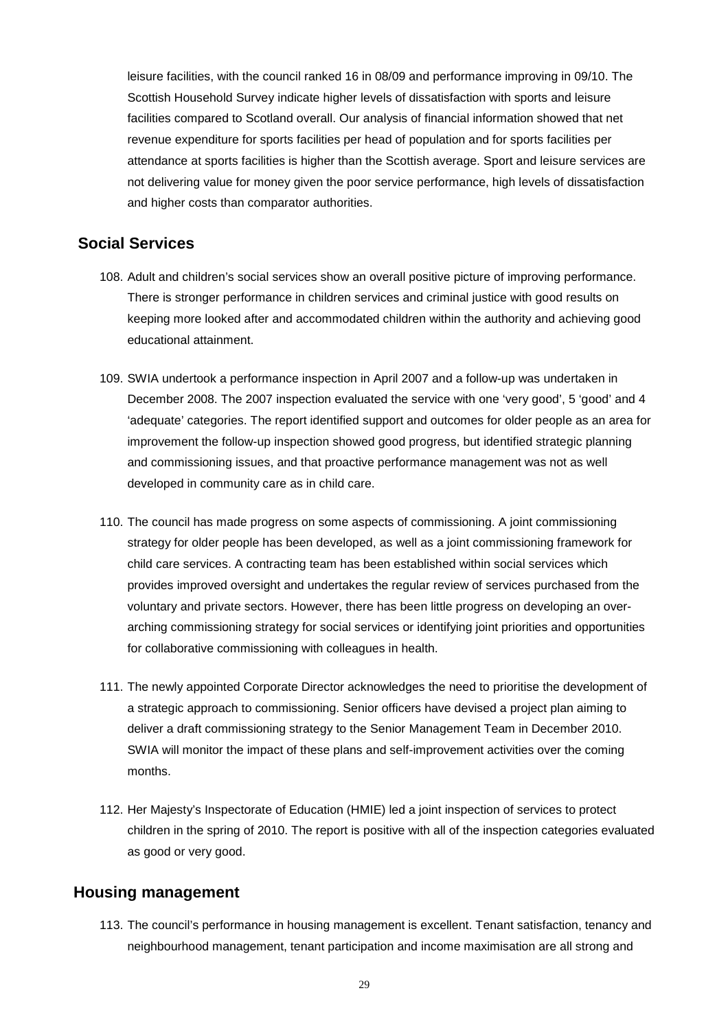leisure facilities, with the council ranked 16 in 08/09 and performance improving in 09/10. The Scottish Household Survey indicate higher levels of dissatisfaction with sports and leisure facilities compared to Scotland overall. Our analysis of financial information showed that net revenue expenditure for sports facilities per head of population and for sports facilities per attendance at sports facilities is higher than the Scottish average. Sport and leisure services are not delivering value for money given the poor service performance, high levels of dissatisfaction and higher costs than comparator authorities.

#### **Social Services**

- 108. Adult and children's social services show an overall positive picture of improving performance. There is stronger performance in children services and criminal justice with good results on keeping more looked after and accommodated children within the authority and achieving good educational attainment.
- 109. SWIA undertook a performance inspection in April 2007 and a follow-up was undertaken in December 2008. The 2007 inspection evaluated the service with one 'very good', 5 'good' and 4 'adequate' categories. The report identified support and outcomes for older people as an area for improvement the follow-up inspection showed good progress, but identified strategic planning and commissioning issues, and that proactive performance management was not as well developed in community care as in child care.
- strategy for older people has been developed, as well as a joint commissioning framework for 110. The council has made progress on some aspects of commissioning. A joint commissioning child care services. A contracting team has been established within social services which provides improved oversight and undertakes the regular review of services purchased from the voluntary and private sectors. However, there has been little progress on developing an overarching commissioning strategy for social services or identifying joint priorities and opportunities for collaborative commissioning with colleagues in health.
- 111. The newly appointed Corporate Director acknowledges the need to prioritise the development of a strategic approach to commissioning. Senior officers have devised a project plan aiming to deliver a draft commissioning strategy to the Senior Management Team in December 2010. SWIA will monitor the impact of these plans and self-improvement activities over the coming months.
- as good or very good. 112. Her Majesty's Inspectorate of Education (HMIE) led a joint inspection of services to protect children in the spring of 2010. The report is positive with all of the inspection categories evaluated

#### **Housing management**

113. The council's performance in housing management is excellent. Tenant satisfaction, tenancy and neighbourhood management, tenant participation and income maximisation are all strong and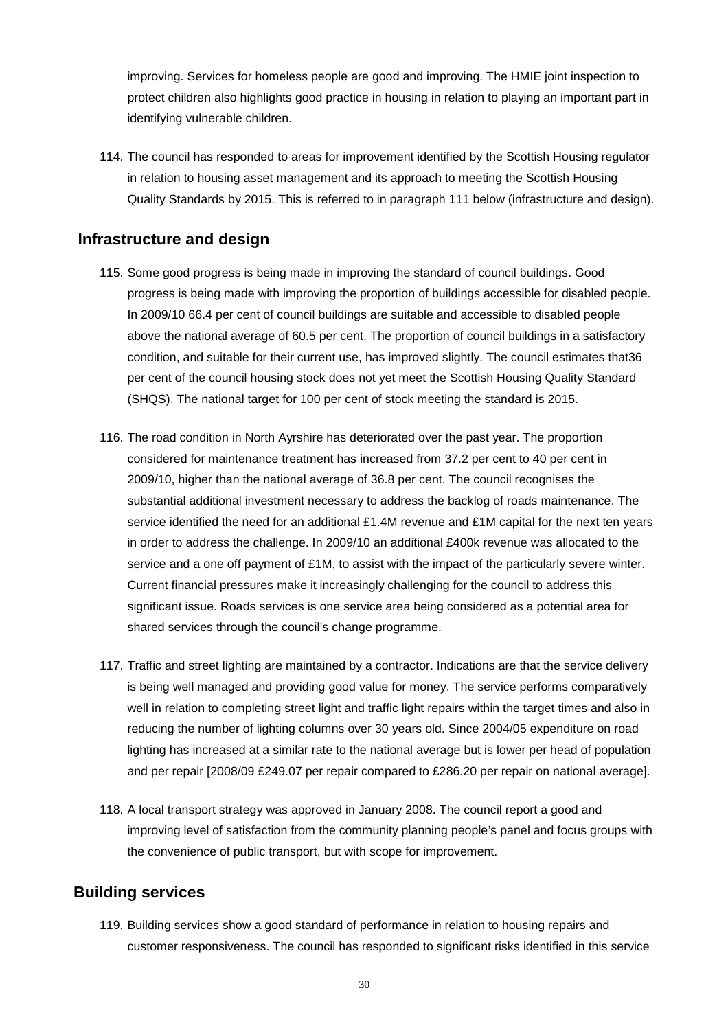improving. Services for homeless people are good and improving. The HMIE joint inspection to protect children also highlights good practice in housing in relation to playing an important part in identifying vulnerable children.

114. The council has responded to areas for improvement identified by the Scottish Housing regulator in relation to housing asset management and its approach to meeting the Scottish Housing Quality Standards by 2015. This is referred to in paragraph 111 below (infrastructure and design).

#### **Infrastructure and design**

- 115. Some good progress is being made in improving the standard of council buildings. Good progress is being made with improving the proportion of buildings accessible for disabled people. In 2009/10 66.4 per cent of council buildings are suitable and accessible to disabled people above the national average of 60.5 per cent. The proportion of council buildings in a satisfactory condition, and suitable for their current use, has improved slightly. The council estimates that36 per cent of the council housing stock does not yet meet the Scottish Housing Quality Standard (SHQS). The national target for 100 per cent of stock meeting the standard is 2015.
- 116. The road condition in North Ayrshire has deteriorated over the past year. The proportion considered for maintenance treatment has increased from 37.2 per cent to 40 per cent in 2009/10, higher than the national average of 36.8 per cent. The council recognises the substantial additional investment necessary to address the backlog of roads maintenance. The service identified the need for an additional £1.4M revenue and £1M capital for the next ten years in order to address the challenge. In 2009/10 an additional £400k revenue was allocated to the service and a one off payment of £1M, to assist with the impact of the particularly severe winter. Current financial pressures make it increasingly challenging for the council to address this significant issue. Roads services is one service area being considered as a potential area for shared services through the council's change programme.
- 117. Traffic and street lighting are maintained by a contractor. Indications are that the service delivery is being well managed and providing good value for money. The service performs comparatively well in relation to completing street light and traffic light repairs within the target times and also in reducing the number of lighting columns over 30 years old. Since 2004/05 expenditure on road lighting has increased at a similar rate to the national average but is lower per head of population and per repair [2008/09 £249.07 per repair compared to £286.20 per repair on national average].
- 118. A local transport strategy was approved in January 2008. The council report a good and improving level of satisfaction from the community planning people's panel and focus groups with the convenience of public transport, but with scope for improvement.

### **Building services**

119. Building services show a good standard of performance in relation to housing repairs and customer responsiveness. The council has responded to significant risks identified in this service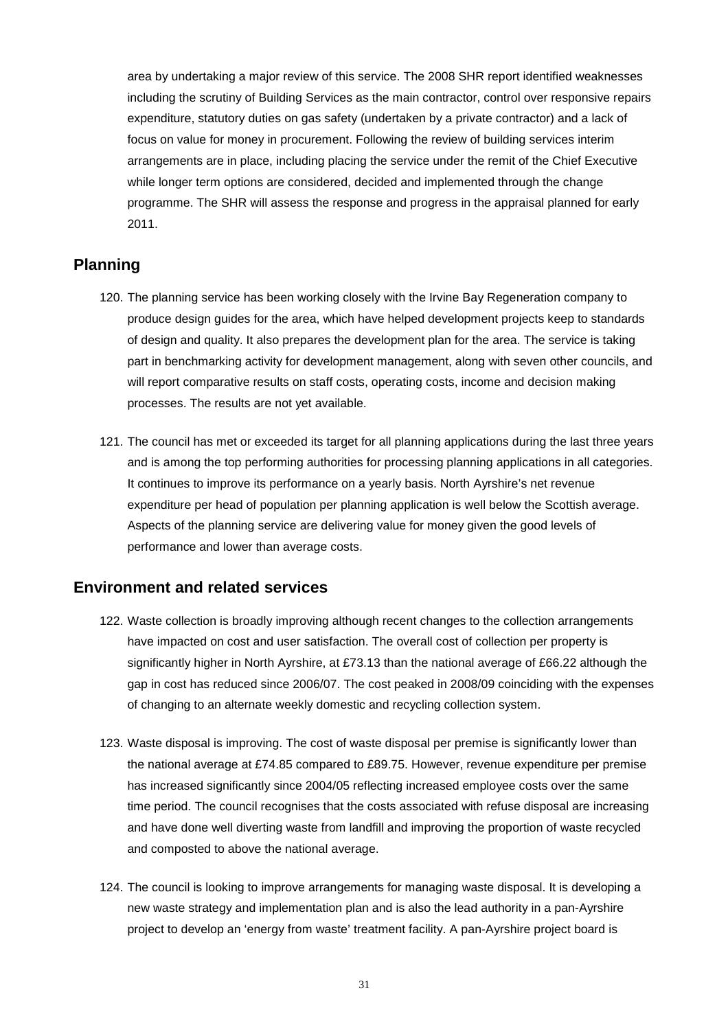focus on value for money in procurement. Following the review of building services interim area by undertaking a major review of this service. The 2008 SHR report identified weaknesses including the scrutiny of Building Services as the main contractor, control over responsive repairs expenditure, statutory duties on gas safety (undertaken by a private contractor) and a lack of arrangements are in place, including placing the service under the remit of the Chief Executive while longer term options are considered, decided and implemented through the change programme. The SHR will assess the response and progress in the appraisal planned for early 2011.

#### **Planning**

- 120. The planning service has been working closely with the Irvine Bay Regeneration company to produce design guides for the area, which have helped development projects keep to standards of design and quality. It also prepares the development plan for the area. The service is taking part in benchmarking activity for development management, along with seven other councils, and will report comparative results on staff costs, operating costs, income and decision making processes. The results are not yet available.
- performance and lower than average costs. 121. The council has met or exceeded its target for all planning applications during the last three years and is among the top performing authorities for processing planning applications in all categories. It continues to improve its performance on a yearly basis. North Ayrshire's net revenue expenditure per head of population per planning application is well below the Scottish average. Aspects of the planning service are delivering value for money given the good levels of

#### **Environment and related services**

- 122. Waste collection is broadly improving although recent changes to the collection arrangements have impacted on cost and user satisfaction. The overall cost of collection per property is significantly higher in North Ayrshire, at £73.13 than the national average of £66.22 although the gap in cost has reduced since 2006/07. The cost peaked in 2008/09 coinciding with the expenses of changing to an alternate weekly domestic and recycling collection system.
- and have done well diverting waste from landfill and improving the proportion of waste recycled 123. Waste disposal is improving. The cost of waste disposal per premise is significantly lower than the national average at £74.85 compared to £89.75. However, revenue expenditure per premise has increased significantly since 2004/05 reflecting increased employee costs over the same time period. The council recognises that the costs associated with refuse disposal are increasing and composted to above the national average.
- 124. The council is looking to improve arrangements for managing waste disposal. It is developing a new waste strategy and implementation plan and is also the lead authority in a pan-Ayrshire project to develop an 'energy from waste' treatment facility. A pan-Ayrshire project board is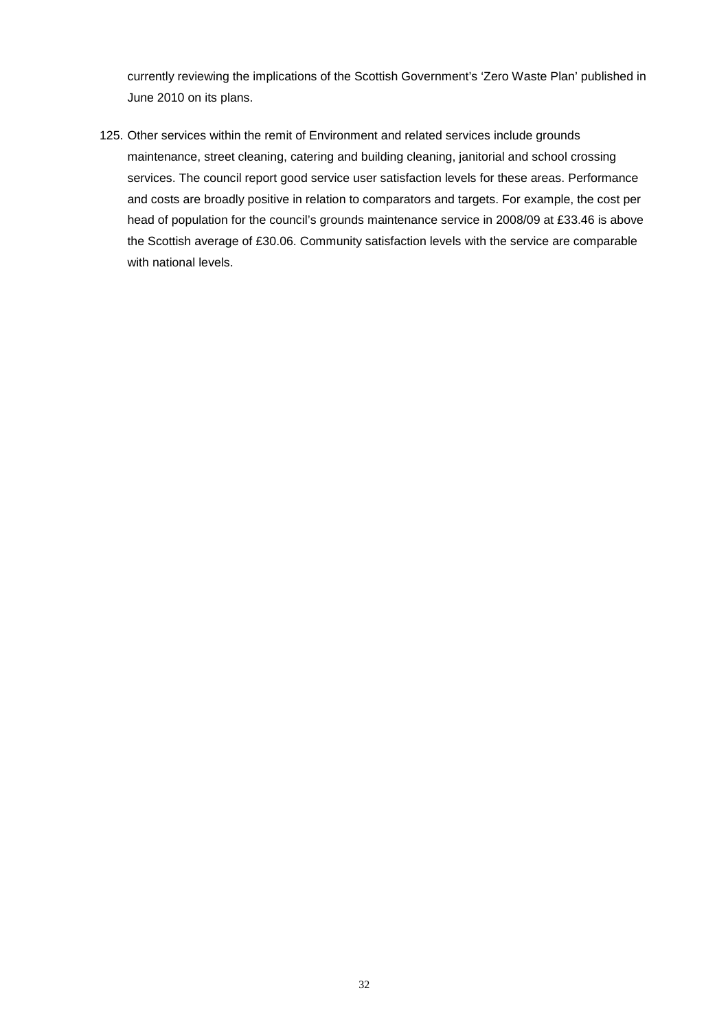currently reviewing the implications of the Scottish Government's 'Zero Waste Plan' published in June 2010 on its plans.

 and costs are broadly positive in relation to comparators and targets. For example, the cost per 125. Other services within the remit of Environment and related services include grounds maintenance, street cleaning, catering and building cleaning, janitorial and school crossing services. The council report good service user satisfaction levels for these areas. Performance head of population for the council's grounds maintenance service in 2008/09 at £33.46 is above the Scottish average of £30.06. Community satisfaction levels with the service are comparable with national levels.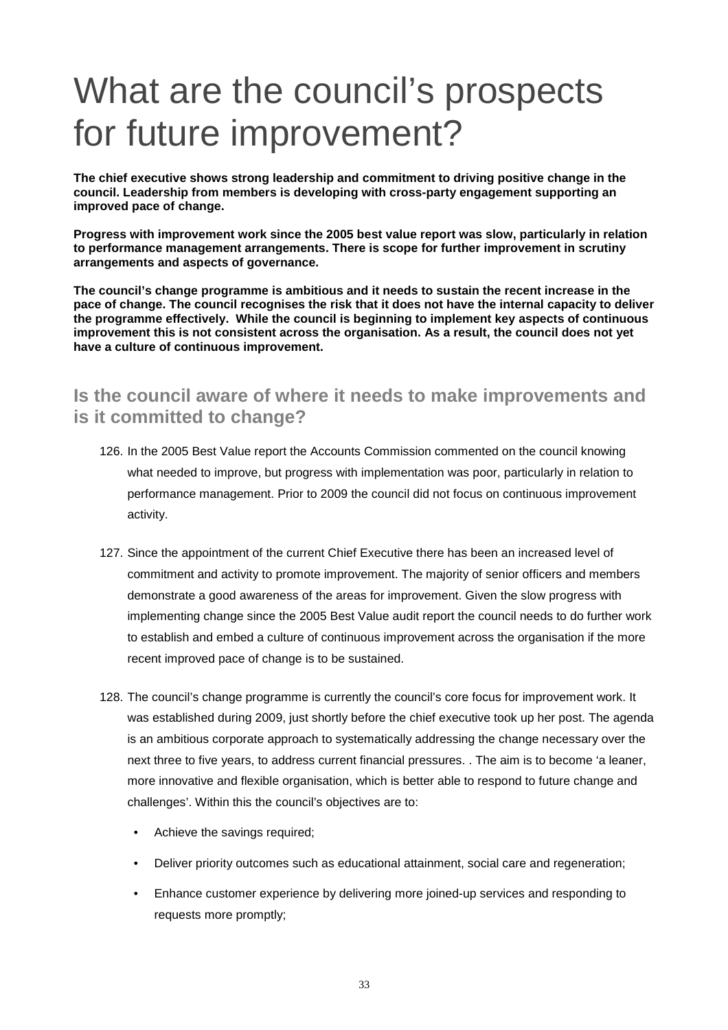# What are the council's prospects for future improvement?

**The chief executive shows strong leadership and commitment to driving positive change in the council. Leadership from members is developing with cross-party engagement supporting an improved pace of change.** 

 **Progress with improvement work since the 2005 best value report was slow, particularly in relation to performance management arrangements. There is scope for further improvement in scrutiny arrangements and aspects of governance.** 

**The council's change programme is ambitious and it needs to sustain the recent increase in the pace of change. The council recognises the risk that it does not have the internal capacity to deliver the programme effectively. While the council is beginning to implement key aspects of continuous improvement this is not consistent across the organisation. As a result, the council does not yet have a culture of continuous improvement.** 

# **Is the council aware of where it needs to make improvements and is it committed to change?**

- 126. In the 2005 Best Value report the Accounts Commission commented on the council knowing what needed to improve, but progress with implementation was poor, particularly in relation to performance management. Prior to 2009 the council did not focus on continuous improvement activity.
- implementing change since the 2005 Best Value audit report the council needs to do further work 127. Since the appointment of the current Chief Executive there has been an increased level of commitment and activity to promote improvement. The majority of senior officers and members demonstrate a good awareness of the areas for improvement. Given the slow progress with to establish and embed a culture of continuous improvement across the organisation if the more recent improved pace of change is to be sustained.
- is an ambitious corporate approach to systematically addressing the change necessary over the 128. The council's change programme is currently the council's core focus for improvement work. It was established during 2009, just shortly before the chief executive took up her post. The agenda next three to five years, to address current financial pressures. . The aim is to become 'a leaner, more innovative and flexible organisation, which is better able to respond to future change and challenges'. Within this the council's objectives are to:
	- Achieve the savings required;
	- Deliver priority outcomes such as educational attainment, social care and regeneration;
	- Enhance customer experience by delivering more joined-up services and responding to requests more promptly;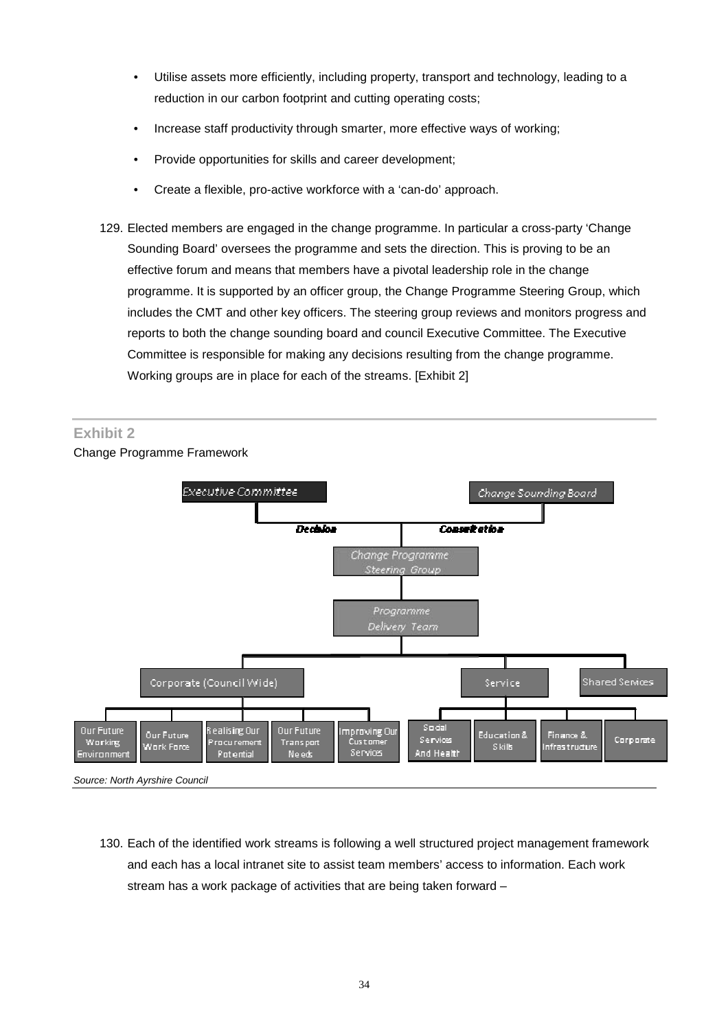- reduction in our carbon footprint and cutting operating costs; • Utilise assets more efficiently, including property, transport and technology, leading to a
- Increase staff productivity through smarter, more effective ways of working;
- Provide opportunities for skills and career development;
- Create a flexible, pro-active workforce with a 'can-do' approach.
- 129. Elected members are engaged in the change programme. In particular a cross-party 'Change Sounding Board' oversees the programme and sets the direction. This is proving to be an effective forum and means that members have a pivotal leadership role in the change programme. It is supported by an officer group, the Change Programme Steering Group, which includes the CMT and other key officers. The steering group reviews and monitors progress and reports to both the change sounding board and council Executive Committee. The Executive Committee is responsible for making any decisions resulting from the change programme. Working groups are in place for each of the streams. [Exhibit 2]

#### **Exhibit 2**

Change Programme Framework



*Source: North Ayrshire Council* 

130. Each of the identified work streams is following a well structured project management framework and each has a local intranet site to assist team members' access to information. Each work stream has a work package of activities that are being taken forward –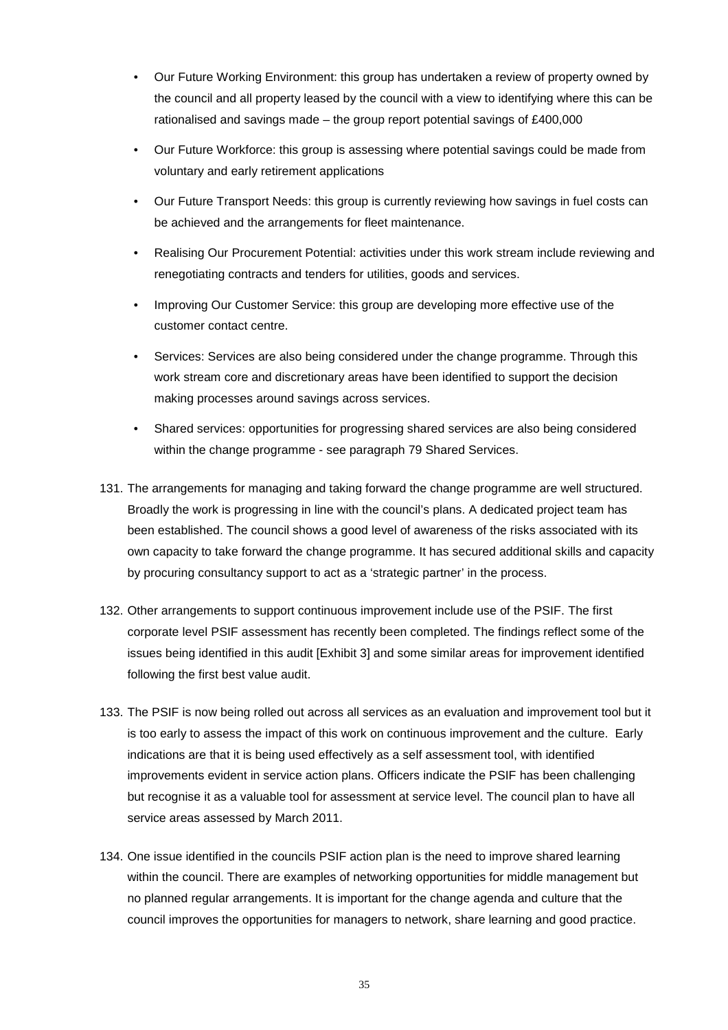- Our Future Working Environment: this group has undertaken a review of property owned by the council and all property leased by the council with a view to identifying where this can be rationalised and savings made – the group report potential savings of £400,000
- voluntary and early retirement applications Our Future Workforce: this group is assessing where potential savings could be made from
- Our Future Transport Needs: this group is currently reviewing how savings in fuel costs can be achieved and the arrangements for fleet maintenance.
- Realising Our Procurement Potential: activities under this work stream include reviewing and renegotiating contracts and tenders for utilities, goods and services.
- Improving Our Customer Service: this group are developing more effective use of the customer contact centre.
- work stream core and discretionary areas have been identified to support the decision Services: Services are also being considered under the change programme. Through this making processes around savings across services.
- Shared services: opportunities for progressing shared services are also being considered within the change programme - see paragraph 79 Shared Services.
- been established. The council shows a good level of awareness of the risks associated with its by procuring consultancy support to act as a 'strategic partner' in the process. 131. The arrangements for managing and taking forward the change programme are well structured. Broadly the work is progressing in line with the council's plans. A dedicated project team has own capacity to take forward the change programme. It has secured additional skills and capacity
- following the first best value audit. 132. Other arrangements to support continuous improvement include use of the PSIF. The first corporate level PSIF assessment has recently been completed. The findings reflect some of the issues being identified in this audit [Exhibit 3] and some similar areas for improvement identified
- following the first best value audit. 133. The PSIF is now being rolled out across all services as an evaluation and improvement tool but it is too early to assess the impact of this work on continuous improvement and the culture. Early indications are that it is being used effectively as a self assessment tool, with identified improvements evident in service action plans. Officers indicate the PSIF has been challenging but recognise it as a valuable tool for assessment at service level. The council plan to have all service areas assessed by March 2011.
- 134. One issue identified in the councils PSIF action plan is the need to improve shared learning within the council. There are examples of networking opportunities for middle management but no planned regular arrangements. It is important for the change agenda and culture that the council improves the opportunities for managers to network, share learning and good practice.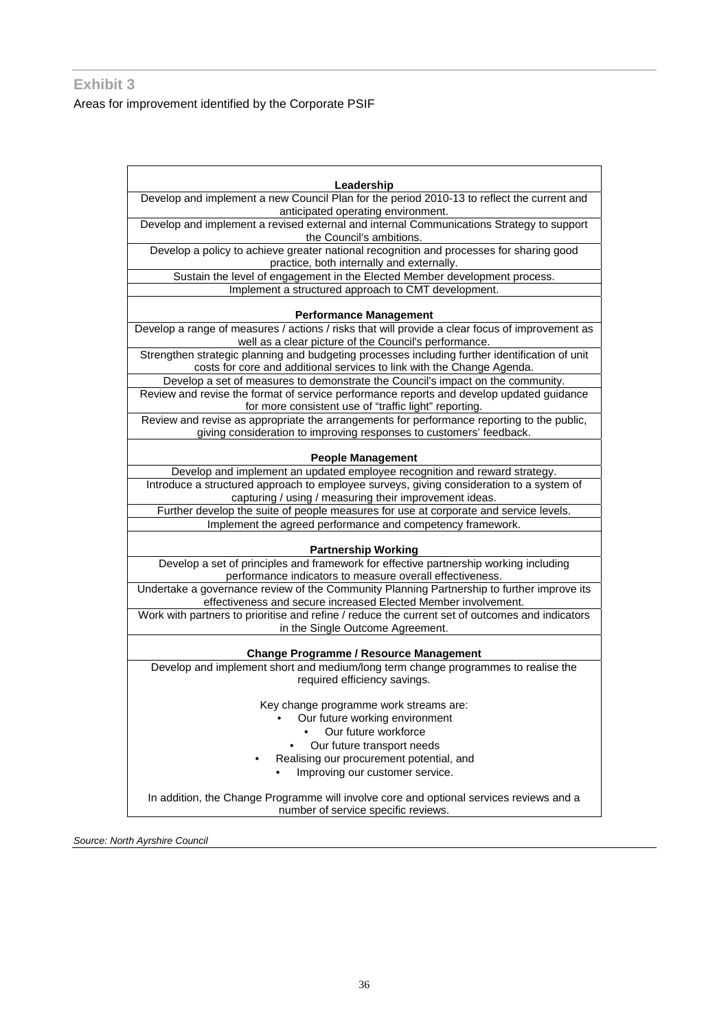#### **Exhibit 3**

Areas for improvement identified by the Corporate PSIF

| Leadership                                                                                                                                                   |  |  |  |  |  |
|--------------------------------------------------------------------------------------------------------------------------------------------------------------|--|--|--|--|--|
| Develop and implement a new Council Plan for the period 2010-13 to reflect the current and                                                                   |  |  |  |  |  |
| anticipated operating environment.                                                                                                                           |  |  |  |  |  |
| Develop and implement a revised external and internal Communications Strategy to support                                                                     |  |  |  |  |  |
| the Council's ambitions.                                                                                                                                     |  |  |  |  |  |
| Develop a policy to achieve greater national recognition and processes for sharing good                                                                      |  |  |  |  |  |
| practice, both internally and externally.                                                                                                                    |  |  |  |  |  |
| Sustain the level of engagement in the Elected Member development process.                                                                                   |  |  |  |  |  |
| Implement a structured approach to CMT development.                                                                                                          |  |  |  |  |  |
|                                                                                                                                                              |  |  |  |  |  |
| <b>Performance Management</b>                                                                                                                                |  |  |  |  |  |
| Develop a range of measures / actions / risks that will provide a clear focus of improvement as                                                              |  |  |  |  |  |
| well as a clear picture of the Council's performance.                                                                                                        |  |  |  |  |  |
| Strengthen strategic planning and budgeting processes including further identification of unit                                                               |  |  |  |  |  |
| costs for core and additional services to link with the Change Agenda.                                                                                       |  |  |  |  |  |
| Develop a set of measures to demonstrate the Council's impact on the community.                                                                              |  |  |  |  |  |
| Review and revise the format of service performance reports and develop updated guidance                                                                     |  |  |  |  |  |
| for more consistent use of "traffic light" reporting.                                                                                                        |  |  |  |  |  |
| Review and revise as appropriate the arrangements for performance reporting to the public,                                                                   |  |  |  |  |  |
| giving consideration to improving responses to customers' feedback.                                                                                          |  |  |  |  |  |
| <b>People Management</b>                                                                                                                                     |  |  |  |  |  |
| Develop and implement an updated employee recognition and reward strategy.                                                                                   |  |  |  |  |  |
| Introduce a structured approach to employee surveys, giving consideration to a system of                                                                     |  |  |  |  |  |
| capturing / using / measuring their improvement ideas.                                                                                                       |  |  |  |  |  |
| Further develop the suite of people measures for use at corporate and service levels.                                                                        |  |  |  |  |  |
| Implement the agreed performance and competency framework.                                                                                                   |  |  |  |  |  |
|                                                                                                                                                              |  |  |  |  |  |
| <b>Partnership Working</b>                                                                                                                                   |  |  |  |  |  |
| Develop a set of principles and framework for effective partnership working including                                                                        |  |  |  |  |  |
| performance indicators to measure overall effectiveness.                                                                                                     |  |  |  |  |  |
| Undertake a governance review of the Community Planning Partnership to further improve its<br>effectiveness and secure increased Elected Member involvement. |  |  |  |  |  |
| Work with partners to prioritise and refine / reduce the current set of outcomes and indicators                                                              |  |  |  |  |  |
| in the Single Outcome Agreement.                                                                                                                             |  |  |  |  |  |
|                                                                                                                                                              |  |  |  |  |  |
| <b>Change Programme / Resource Management</b>                                                                                                                |  |  |  |  |  |
| Develop and implement short and medium/long term change programmes to realise the                                                                            |  |  |  |  |  |
| required efficiency savings.                                                                                                                                 |  |  |  |  |  |
| Key change programme work streams are:                                                                                                                       |  |  |  |  |  |
| Our future working environment                                                                                                                               |  |  |  |  |  |
| Our future workforce                                                                                                                                         |  |  |  |  |  |
| Our future transport needs                                                                                                                                   |  |  |  |  |  |
| Realising our procurement potential, and                                                                                                                     |  |  |  |  |  |
| Improving our customer service.                                                                                                                              |  |  |  |  |  |
| In addition, the Change Programme will involve core and optional services reviews and a                                                                      |  |  |  |  |  |
| number of service specific reviews.                                                                                                                          |  |  |  |  |  |
|                                                                                                                                                              |  |  |  |  |  |

*Source: North Ayrshire Council*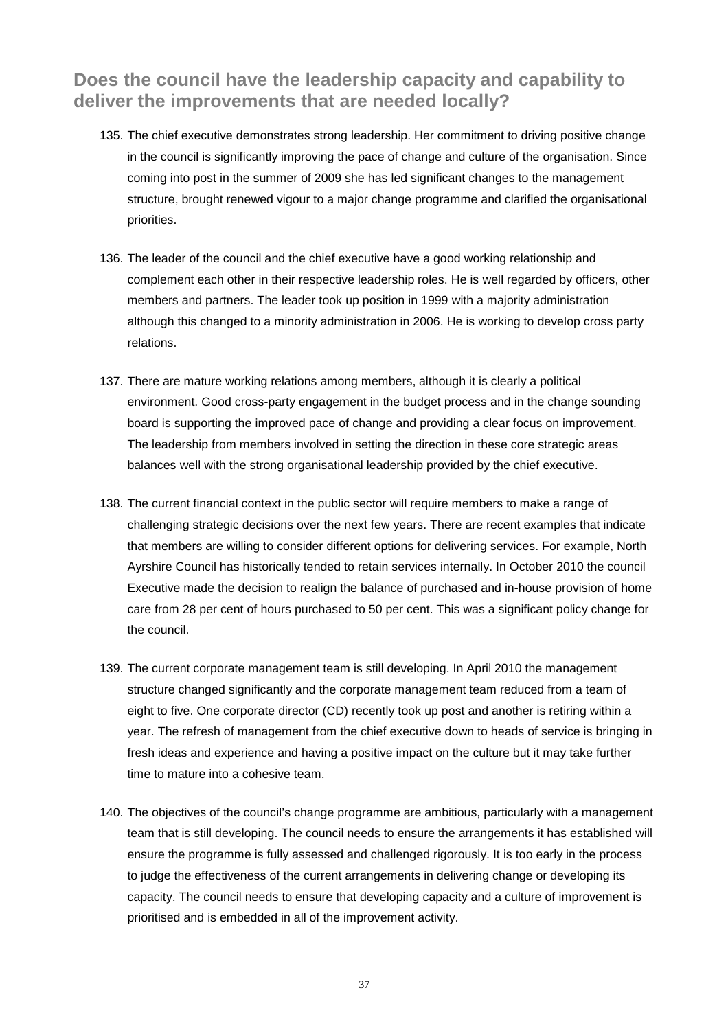# **Does the council have the leadership capacity and capability to deliver the improvements that are needed locally?**

- 135. The chief executive demonstrates strong leadership. Her commitment to driving positive change in the council is significantly improving the pace of change and culture of the organisation. Since coming into post in the summer of 2009 she has led significant changes to the management structure, brought renewed vigour to a major change programme and clarified the organisational priorities.
- 136. The leader of the council and the chief executive have a good working relationship and complement each other in their respective leadership roles. He is well regarded by officers, other members and partners. The leader took up position in 1999 with a majority administration although this changed to a minority administration in 2006. He is working to develop cross party relations.
- 137. There are mature working relations among members, although it is clearly a political environment. Good cross-party engagement in the budget process and in the change sounding board is supporting the improved pace of change and providing a clear focus on improvement. The leadership from members involved in setting the direction in these core strategic areas balances well with the strong organisational leadership provided by the chief executive.
- the council. 138. The current financial context in the public sector will require members to make a range of challenging strategic decisions over the next few years. There are recent examples that indicate that members are willing to consider different options for delivering services. For example, North Ayrshire Council has historically tended to retain services internally. In October 2010 the council Executive made the decision to realign the balance of purchased and in-house provision of home care from 28 per cent of hours purchased to 50 per cent. This was a significant policy change for
- 139. The current corporate management team is still developing. In April 2010 the management structure changed significantly and the corporate management team reduced from a team of eight to five. One corporate director (CD) recently took up post and another is retiring within a year. The refresh of management from the chief executive down to heads of service is bringing in fresh ideas and experience and having a positive impact on the culture but it may take further time to mature into a cohesive team.
- 140. The objectives of the council's change programme are ambitious, particularly with a management team that is still developing. The council needs to ensure the arrangements it has established will ensure the programme is fully assessed and challenged rigorously. It is too early in the process to judge the effectiveness of the current arrangements in delivering change or developing its capacity. The council needs to ensure that developing capacity and a culture of improvement is prioritised and is embedded in all of the improvement activity.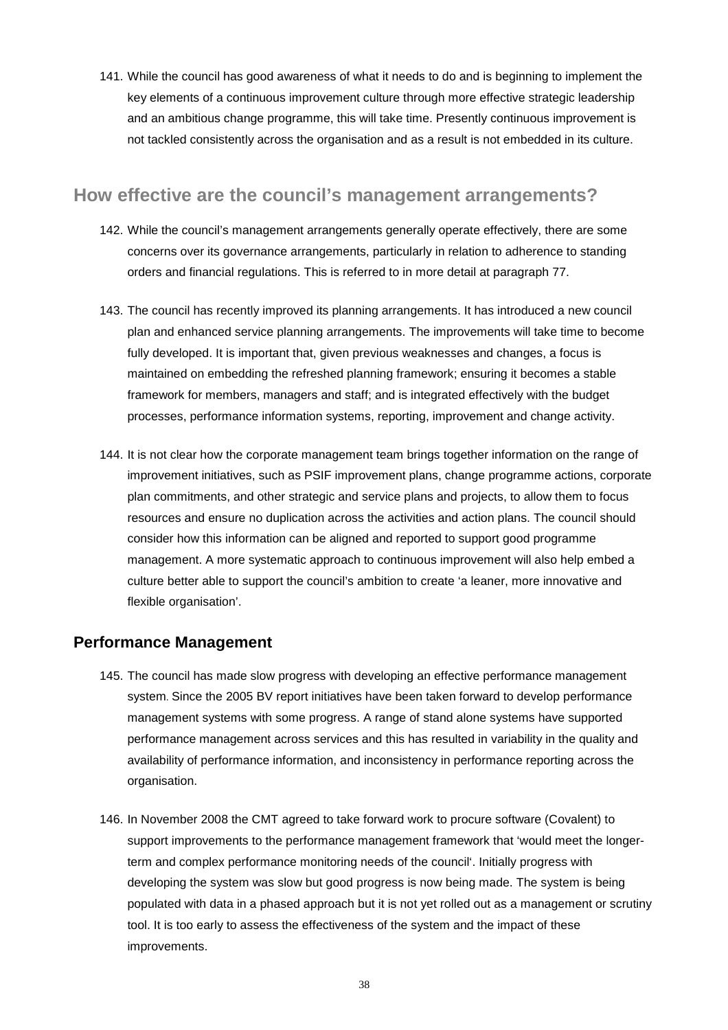141. While the council has good awareness of what it needs to do and is beginning to implement the key elements of a continuous improvement culture through more effective strategic leadership and an ambitious change programme, this will take time. Presently continuous improvement is not tackled consistently across the organisation and as a result is not embedded in its culture.

### **How effective are the council's management arrangements?**

- 142. While the council's management arrangements generally operate effectively, there are some concerns over its governance arrangements, particularly in relation to adherence to standing orders and financial regulations. This is referred to in more detail at paragraph 77.
- framework for members, managers and staff; and is integrated effectively with the budget 143. The council has recently improved its planning arrangements. It has introduced a new council plan and enhanced service planning arrangements. The improvements will take time to become fully developed. It is important that, given previous weaknesses and changes, a focus is maintained on embedding the refreshed planning framework; ensuring it becomes a stable processes, performance information systems, reporting, improvement and change activity.
- consider how this information can be aligned and reported to support good programme 144. It is not clear how the corporate management team brings together information on the range of improvement initiatives, such as PSIF improvement plans, change programme actions, corporate plan commitments, and other strategic and service plans and projects, to allow them to focus resources and ensure no duplication across the activities and action plans. The council should management. A more systematic approach to continuous improvement will also help embed a culture better able to support the council's ambition to create 'a leaner, more innovative and flexible organisation'.

### **Performance Management**

- 145. The council has made slow progress with developing an effective performance management system. Since the 2005 BV report initiatives have been taken forward to develop performance management systems with some progress. A range of stand alone systems have supported performance management across services and this has resulted in variability in the quality and availability of performance information, and inconsistency in performance reporting across the organisation.
- 146. In November 2008 the CMT agreed to take forward work to procure software (Covalent) to support improvements to the performance management framework that 'would meet the longerterm and complex performance monitoring needs of the council'. Initially progress with developing the system was slow but good progress is now being made. The system is being populated with data in a phased approach but it is not yet rolled out as a management or scrutiny tool. It is too early to assess the effectiveness of the system and the impact of these improvements.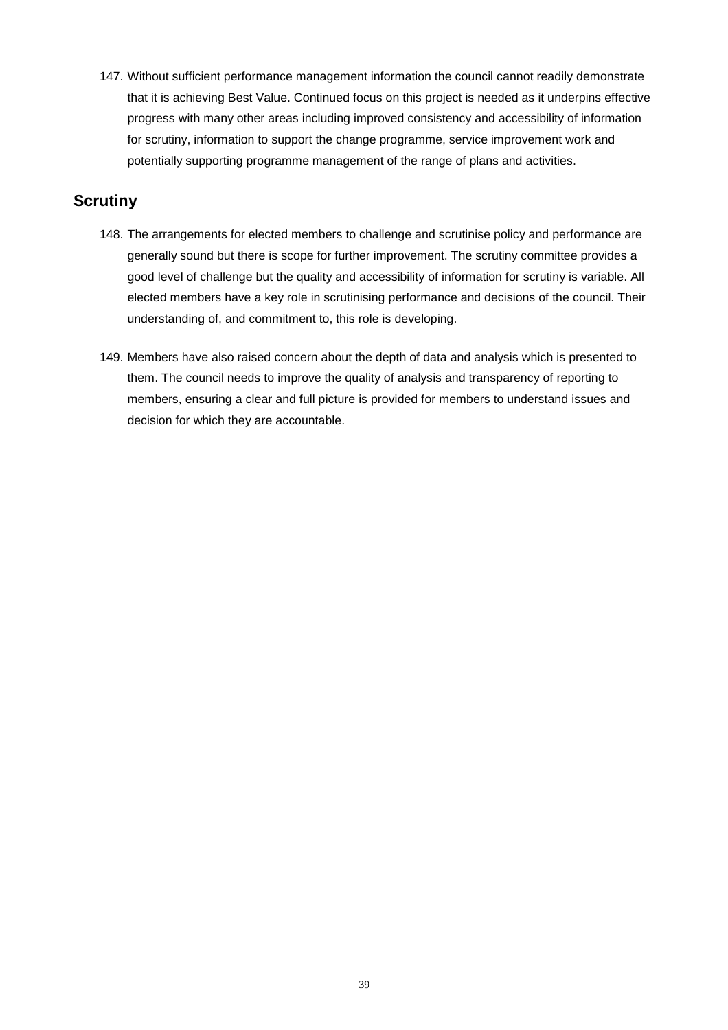147. Without sufficient performance management information the council cannot readily demonstrate that it is achieving Best Value. Continued focus on this project is needed as it underpins effective progress with many other areas including improved consistency and accessibility of information for scrutiny, information to support the change programme, service improvement work and potentially supporting programme management of the range of plans and activities.

### **Scrutiny**

- 148. The arrangements for elected members to challenge and scrutinise policy and performance are generally sound but there is scope for further improvement. The scrutiny committee provides a good level of challenge but the quality and accessibility of information for scrutiny is variable. All elected members have a key role in scrutinising performance and decisions of the council. Their understanding of, and commitment to, this role is developing.
- 149. Members have also raised concern about the depth of data and analysis which is presented to them. The council needs to improve the quality of analysis and transparency of reporting to members, ensuring a clear and full picture is provided for members to understand issues and decision for which they are accountable.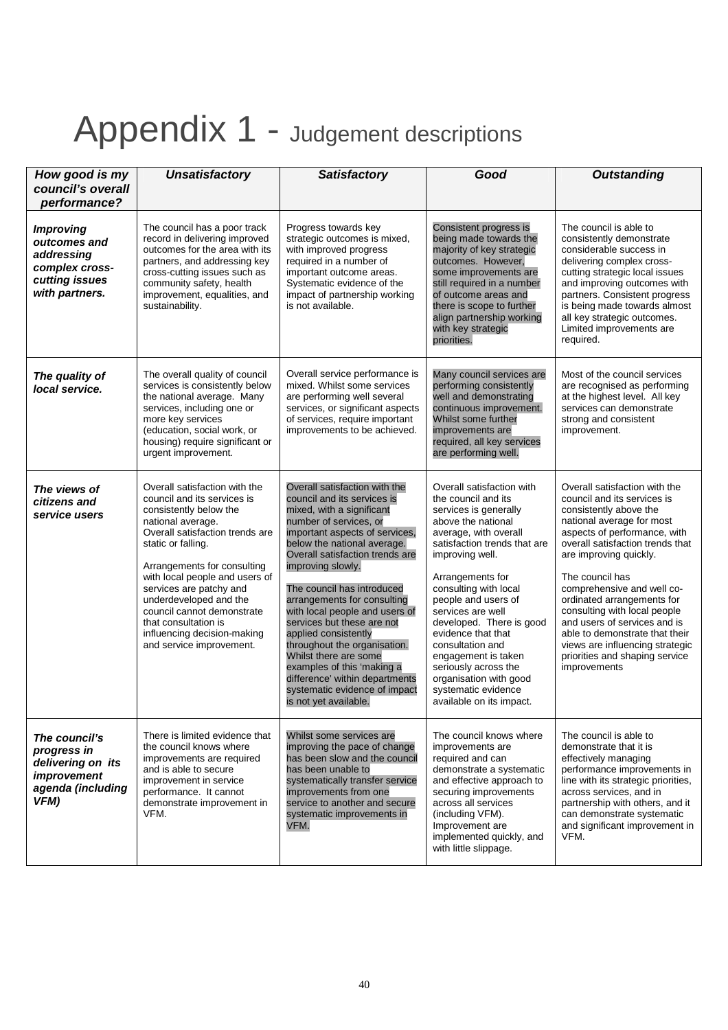# Appendix 1 - Judgement descriptions

| How good is my                                                                                       | <b>Unsatisfactory</b>                                                                                                                                                                                                                                                                                                                                                                                       | <b>Satisfactory</b>                                                                                                                                                                                                                                                                                                                                                                                                                                                                                                                                                                  | Good                                                                                                                                                                                                                                                                                                                                                                                                                                                                   | <b>Outstanding</b>                                                                                                                                                                                                                                                                                                                                                                                                                                                                      |
|------------------------------------------------------------------------------------------------------|-------------------------------------------------------------------------------------------------------------------------------------------------------------------------------------------------------------------------------------------------------------------------------------------------------------------------------------------------------------------------------------------------------------|--------------------------------------------------------------------------------------------------------------------------------------------------------------------------------------------------------------------------------------------------------------------------------------------------------------------------------------------------------------------------------------------------------------------------------------------------------------------------------------------------------------------------------------------------------------------------------------|------------------------------------------------------------------------------------------------------------------------------------------------------------------------------------------------------------------------------------------------------------------------------------------------------------------------------------------------------------------------------------------------------------------------------------------------------------------------|-----------------------------------------------------------------------------------------------------------------------------------------------------------------------------------------------------------------------------------------------------------------------------------------------------------------------------------------------------------------------------------------------------------------------------------------------------------------------------------------|
| council's overall<br>performance?                                                                    |                                                                                                                                                                                                                                                                                                                                                                                                             |                                                                                                                                                                                                                                                                                                                                                                                                                                                                                                                                                                                      |                                                                                                                                                                                                                                                                                                                                                                                                                                                                        |                                                                                                                                                                                                                                                                                                                                                                                                                                                                                         |
| <b>Improving</b><br>outcomes and<br>addressing<br>complex cross-<br>cutting issues<br>with partners. | The council has a poor track<br>record in delivering improved<br>outcomes for the area with its<br>partners, and addressing key<br>cross-cutting issues such as<br>community safety, health<br>improvement, equalities, and<br>sustainability.                                                                                                                                                              | Progress towards key<br>strategic outcomes is mixed,<br>with improved progress<br>required in a number of<br>important outcome areas.<br>Systematic evidence of the<br>impact of partnership working<br>is not available.                                                                                                                                                                                                                                                                                                                                                            | Consistent progress is<br>being made towards the<br>majority of key strategic<br>outcomes. However,<br>some improvements are<br>still required in a number<br>of outcome areas and<br>there is scope to further<br>align partnership working<br>with key strategic<br>priorities.                                                                                                                                                                                      | The council is able to<br>consistently demonstrate<br>considerable success in<br>delivering complex cross-<br>cutting strategic local issues<br>and improving outcomes with<br>partners. Consistent progress<br>is being made towards almost<br>all key strategic outcomes.<br>Limited improvements are<br>required.                                                                                                                                                                    |
| The quality of<br>local service.                                                                     | The overall quality of council<br>services is consistently below<br>the national average. Many<br>services, including one or<br>more key services<br>(education, social work, or<br>housing) require significant or<br>urgent improvement.                                                                                                                                                                  | Overall service performance is<br>mixed. Whilst some services<br>are performing well several<br>services, or significant aspects<br>of services, require important<br>improvements to be achieved.                                                                                                                                                                                                                                                                                                                                                                                   | Many council services are<br>performing consistently<br>well and demonstrating<br>continuous improvement.<br>Whilst some further<br>improvements are<br>required, all key services<br>are performing well.                                                                                                                                                                                                                                                             | Most of the council services<br>are recognised as performing<br>at the highest level. All key<br>services can demonstrate<br>strong and consistent<br>improvement.                                                                                                                                                                                                                                                                                                                      |
| The views of<br>citizens and<br>service users                                                        | Overall satisfaction with the<br>council and its services is<br>consistently below the<br>national average.<br>Overall satisfaction trends are<br>static or falling.<br>Arrangements for consulting<br>with local people and users of<br>services are patchy and<br>underdeveloped and the<br>council cannot demonstrate<br>that consultation is<br>influencing decision-making<br>and service improvement. | Overall satisfaction with the<br>council and its services is<br>mixed, with a significant<br>number of services, or<br>important aspects of services,<br>below the national average.<br>Overall satisfaction trends are<br>improving slowly.<br>The council has introduced<br>arrangements for consulting<br>with local people and users of<br>services but these are not<br>applied consistently<br>throughout the organisation.<br>Whilst there are some<br>examples of this 'making a<br>difference' within departments<br>systematic evidence of impact<br>is not yet available. | Overall satisfaction with<br>the council and its<br>services is generally<br>above the national<br>average, with overall<br>satisfaction trends that are<br>improving well.<br>Arrangements for<br>consulting with local<br>people and users of<br>services are well<br>developed. There is good<br>evidence that that<br>consultation and<br>engagement is taken<br>seriously across the<br>organisation with good<br>systematic evidence<br>available on its impact. | Overall satisfaction with the<br>council and its services is<br>consistently above the<br>national average for most<br>aspects of performance, with<br>overall satisfaction trends that<br>are improving quickly.<br>The council has<br>comprehensive and well co-<br>ordinated arrangements for<br>consulting with local people<br>and users of services and is<br>able to demonstrate that their<br>views are influencing strategic<br>priorities and shaping service<br>improvements |
| The council's<br>progress in<br>delivering on its<br>improvement<br>agenda (including<br>VFM)        | There is limited evidence that<br>the council knows where<br>improvements are required<br>and is able to secure<br>improvement in service<br>performance. It cannot<br>demonstrate improvement in<br>VFM.                                                                                                                                                                                                   | Whilst some services are<br>improving the pace of change<br>has been slow and the council<br>has been unable to<br>systematically transfer service<br>improvements from one<br>service to another and secure<br>systematic improvements in<br>VFM.                                                                                                                                                                                                                                                                                                                                   | The council knows where<br>improvements are<br>required and can<br>demonstrate a systematic<br>and effective approach to<br>securing improvements<br>across all services<br>(including VFM).<br>Improvement are<br>implemented quickly, and<br>with little slippage.                                                                                                                                                                                                   | The council is able to<br>demonstrate that it is<br>effectively managing<br>performance improvements in<br>line with its strategic priorities,<br>across services, and in<br>partnership with others, and it<br>can demonstrate systematic<br>and significant improvement in<br>VFM.                                                                                                                                                                                                    |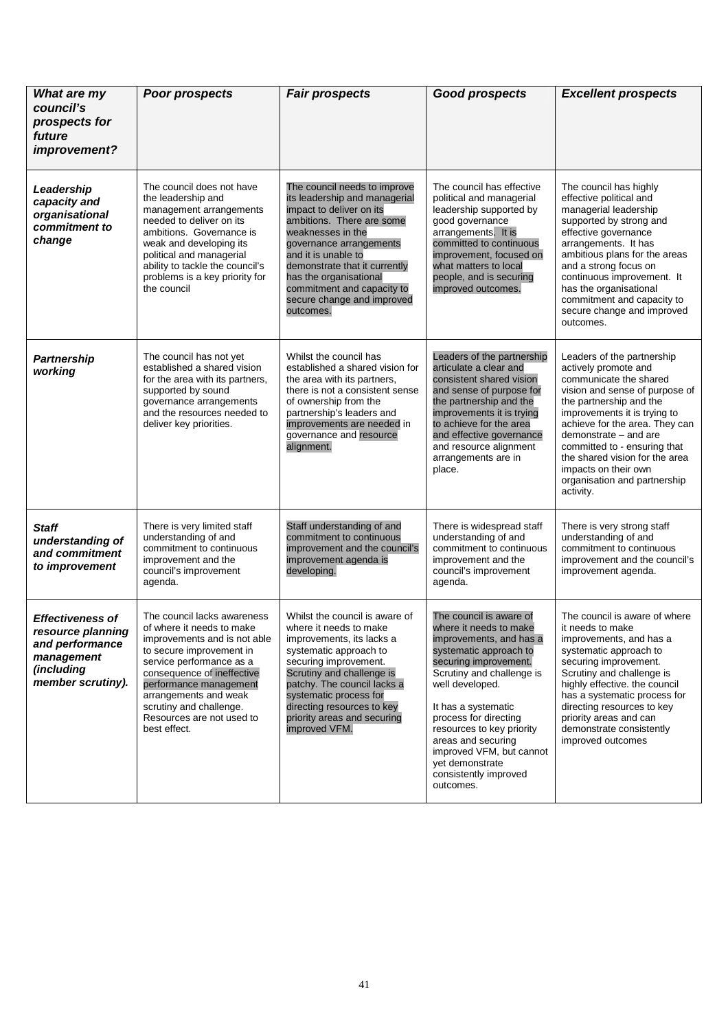|                                                                                                                  | <b>Poor prospects</b>                                                                                                                                                                                                                                                                                     | <b>Fair prospects</b>                                                                                                                                                                                                                                                                                                             | <b>Good prospects</b>                                                                                                                                                                                                                                                                                                                                                   | <b>Excellent prospects</b>                                                                                                                                                                                                                                                                                                                                                  |
|------------------------------------------------------------------------------------------------------------------|-----------------------------------------------------------------------------------------------------------------------------------------------------------------------------------------------------------------------------------------------------------------------------------------------------------|-----------------------------------------------------------------------------------------------------------------------------------------------------------------------------------------------------------------------------------------------------------------------------------------------------------------------------------|-------------------------------------------------------------------------------------------------------------------------------------------------------------------------------------------------------------------------------------------------------------------------------------------------------------------------------------------------------------------------|-----------------------------------------------------------------------------------------------------------------------------------------------------------------------------------------------------------------------------------------------------------------------------------------------------------------------------------------------------------------------------|
| Leadership<br>capacity and<br>organisational<br>commitment to<br>change                                          | The council does not have<br>the leadership and<br>management arrangements<br>needed to deliver on its<br>ambitions. Governance is<br>weak and developing its<br>political and managerial<br>ability to tackle the council's<br>problems is a key priority for<br>the council                             | The council needs to improve<br>its leadership and managerial<br>impact to deliver on its<br>ambitions. There are some<br>weaknesses in the<br>governance arrangements<br>and it is unable to<br>demonstrate that it currently<br>has the organisational<br>commitment and capacity to<br>secure change and improved<br>outcomes. | The council has effective<br>political and managerial<br>leadership supported by<br>good governance<br>arrangements. It is<br>committed to continuous<br>improvement, focused on<br>what matters to local<br>people, and is securing<br>improved outcomes.                                                                                                              | The council has highly<br>effective political and<br>managerial leadership<br>supported by strong and<br>effective governance<br>arrangements. It has<br>ambitious plans for the areas<br>and a strong focus on<br>continuous improvement. It<br>has the organisational<br>commitment and capacity to<br>secure change and improved<br>outcomes.                            |
| <b>Partnership</b><br>working                                                                                    | The council has not yet<br>established a shared vision<br>for the area with its partners,<br>supported by sound<br>governance arrangements<br>and the resources needed to<br>deliver key priorities.                                                                                                      | Whilst the council has<br>established a shared vision for<br>the area with its partners,<br>there is not a consistent sense<br>of ownership from the<br>partnership's leaders and<br>improvements are needed in<br>governance and resource<br>alignment.                                                                          | Leaders of the partnership<br>articulate a clear and<br>consistent shared vision<br>and sense of purpose for<br>the partnership and the<br>improvements it is trying<br>to achieve for the area<br>and effective governance<br>and resource alignment<br>arrangements are in<br>place.                                                                                  | Leaders of the partnership<br>actively promote and<br>communicate the shared<br>vision and sense of purpose of<br>the partnership and the<br>improvements it is trying to<br>achieve for the area. They can<br>demonstrate - and are<br>committed to - ensuring that<br>the shared vision for the area<br>impacts on their own<br>organisation and partnership<br>activity. |
| Staff<br>understanding of<br>and commitment<br>to improvement                                                    | There is very limited staff<br>understanding of and<br>commitment to continuous<br>improvement and the<br>council's improvement<br>agenda.                                                                                                                                                                | Staff understanding of and<br>commitment to continuous<br>improvement and the council's<br>improvement agenda is<br>developing.                                                                                                                                                                                                   | There is widespread staff<br>understanding of and<br>commitment to continuous<br>improvement and the<br>council's improvement<br>agenda.                                                                                                                                                                                                                                | There is very strong staff<br>understanding of and<br>commitment to continuous<br>improvement and the council's<br>improvement agenda.                                                                                                                                                                                                                                      |
| <b>Effectiveness of</b><br>resource planning<br>and performance<br>management<br>(including<br>member scrutiny). | The council lacks awareness<br>of where it needs to make<br>improvements and is not able<br>to secure improvement in<br>service performance as a<br>consequence of ineffective<br>performance management<br>arrangements and weak<br>scrutiny and challenge.<br>Resources are not used to<br>best effect. | Whilst the council is aware of<br>where it needs to make<br>improvements, its lacks a<br>systematic approach to<br>securing improvement.<br>Scrutiny and challenge is<br>patchy. The council lacks a<br>systematic process for<br>directing resources to key<br>priority areas and securing<br>improved VFM.                      | The council is aware of<br>where it needs to make<br>improvements, and has a<br>systematic approach to<br>securing improvement.<br>Scrutiny and challenge is<br>well developed.<br>It has a systematic<br>process for directing<br>resources to key priority<br>areas and securing<br>improved VFM, but cannot<br>yet demonstrate<br>consistently improved<br>outcomes. | The council is aware of where<br>it needs to make<br>improvements, and has a<br>systematic approach to<br>securing improvement.<br>Scrutiny and challenge is<br>highly effective. the council<br>has a systematic process for<br>directing resources to key<br>priority areas and can<br>demonstrate consistently<br>improved outcomes                                      |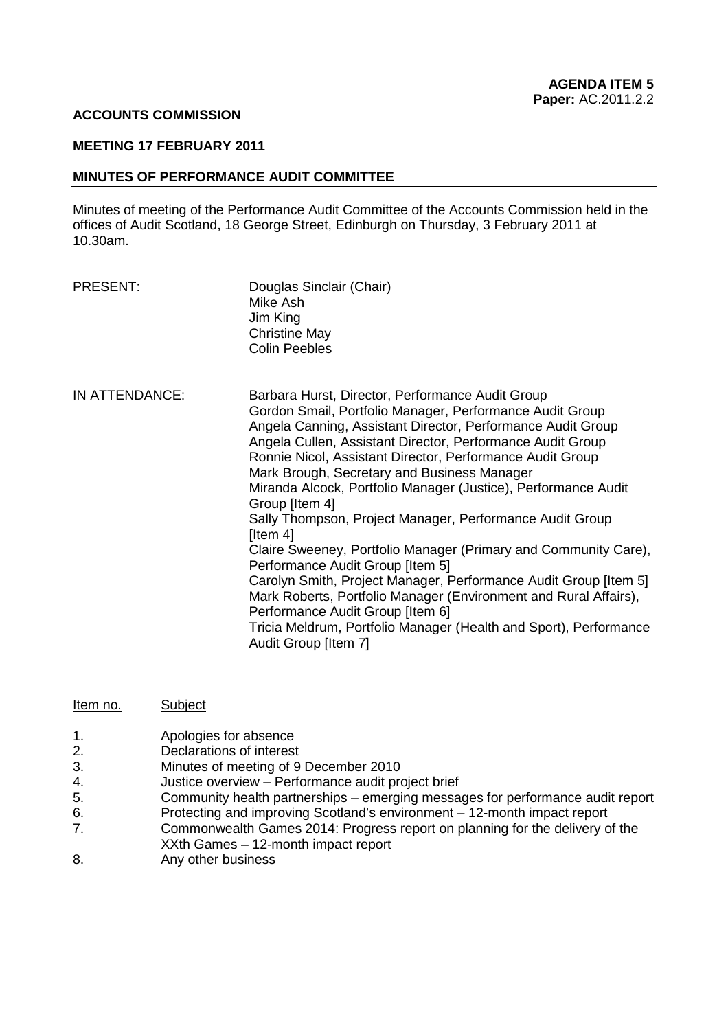#### **ACCOUNTS COMMISSION**

#### **MEETING 17 FEBRUARY 2011**

#### **MINUTES OF PERFORMANCE AUDIT COMMITTEE**

Minutes of meeting of the Performance Audit Committee of the Accounts Commission held in the offices of Audit Scotland, 18 George Street, Edinburgh on Thursday, 3 February 2011 at 10.30am.

- PRESENT:
- Douglas Sinclair (Chair) Mike Ash Jim King Christine May Colin Peebles
- IN ATTENDANCE: Barbara Hurst, Director, Performance Audit Group Gordon Smail, Portfolio Manager, Performance Audit Group Angela Canning, Assistant Director, Performance Audit Group Angela Cullen, Assistant Director, Performance Audit Group Ronnie Nicol, Assistant Director, Performance Audit Group Mark Brough, Secretary and Business Manager Miranda Alcock, Portfolio Manager (Justice), Performance Audit Group [Item 4] Sally Thompson, Project Manager, Performance Audit Group [Item 4] Claire Sweeney, Portfolio Manager (Primary and Community Care), Performance Audit Group [Item 5] Carolyn Smith, Project Manager, Performance Audit Group [Item 5] Mark Roberts, Portfolio Manager (Environment and Rural Affairs), Performance Audit Group [Item 6] Tricia Meldrum, Portfolio Manager (Health and Sport), Performance Audit Group [Item 7]
- Item no. Subject
- $\mathbf{1}$ Apologies for absence
- 2. Declarations of interest
- 3. Minutes of meeting of 9 December 2010
- Justice overview Performance audit project brief
- 4. Justice overview Performance audit project brief<br>5. Community health partnerships emerging messages for performance audit report<br>6. Protecting and improving Scotland's environment 12-month impact report
- Protecting and improving Scotland's environment 12-month impact report
- 7. Commonwealth Games 2014: Progress report on planning for the delivery of the
- XXth Games 12-month impact report
- 8. Any other business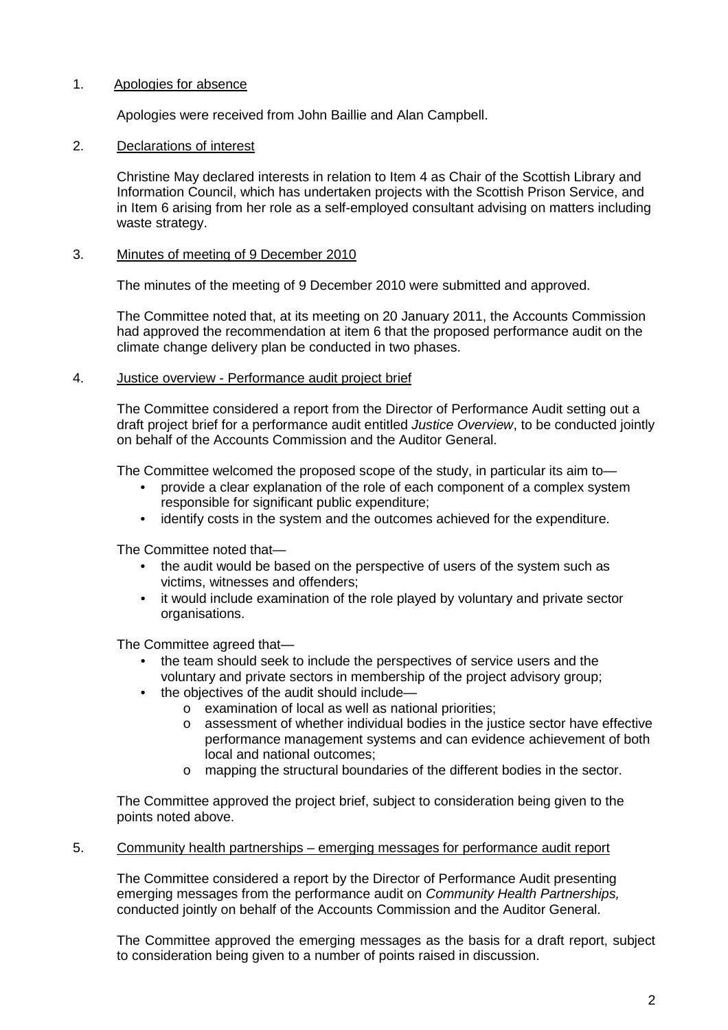#### $1.$ Apologies for absence

Apologies were received from John Baillie and Alan Campbell.

# 2. Declarations of interest

Christine May declared interests in relation to Item 4 as Chair of the Scottish Library and Information Council, which has undertaken projects with the Scottish Prison Service, and in Item 6 arising from her role as a self-employed consultant advising on matters including waste strategy.

## 3. Minutes of meeting of 9 December 2010

The minutes of the meeting of 9 December 2010 were submitted and approved.

The Committee noted that, at its meeting on 20 January 2011, the Accounts Commission had approved the recommendation at item 6 that the proposed performance audit on the climate change delivery plan be conducted in two phases.

## 4. Justice overview - Performance audit project brief

 The Committee considered a report from the Director of Performance Audit setting out a on behalf of the Accounts Commission and the Auditor General. draft project brief for a performance audit entitled *Justice Overview*, to be conducted jointly

The Committee welcomed the proposed scope of the study, in particular its aim to—

- responsible for significant public expenditure; • provide a clear explanation of the role of each component of a complex system
- identify costs in the system and the outcomes achieved for the expenditure.

The Committee noted that—

- the audit would be based on the perspective of users of the system such as victims, witnesses and offenders;
- it would include examination of the role played by voluntary and private sector organisations.

The Committee agreed that—

- the team should seek to include the perspectives of service users and the voluntary and private sectors in membership of the project advisory group;
- the objectives of the audit should include—
	- $\circ$  examination of local as well as national priorities;
	- $\circ$  assessment of whether individual bodies in the justice sector have effective performance management systems and can evidence achievement of both local and national outcomes;
	- o mapping the structural boundaries of the different bodies in the sector.

 The Committee approved the project brief, subject to consideration being given to the points noted above.

### 5. Community health partnerships – emerging messages for performance audit report

 The Committee considered a report by the Director of Performance Audit presenting conducted jointly on behalf of the Accounts Commission and the Auditor General. emerging messages from the performance audit on *Community Health Partnerships,* 

The Committee approved the emerging messages as the basis for a draft report, subject to consideration being given to a number of points raised in discussion.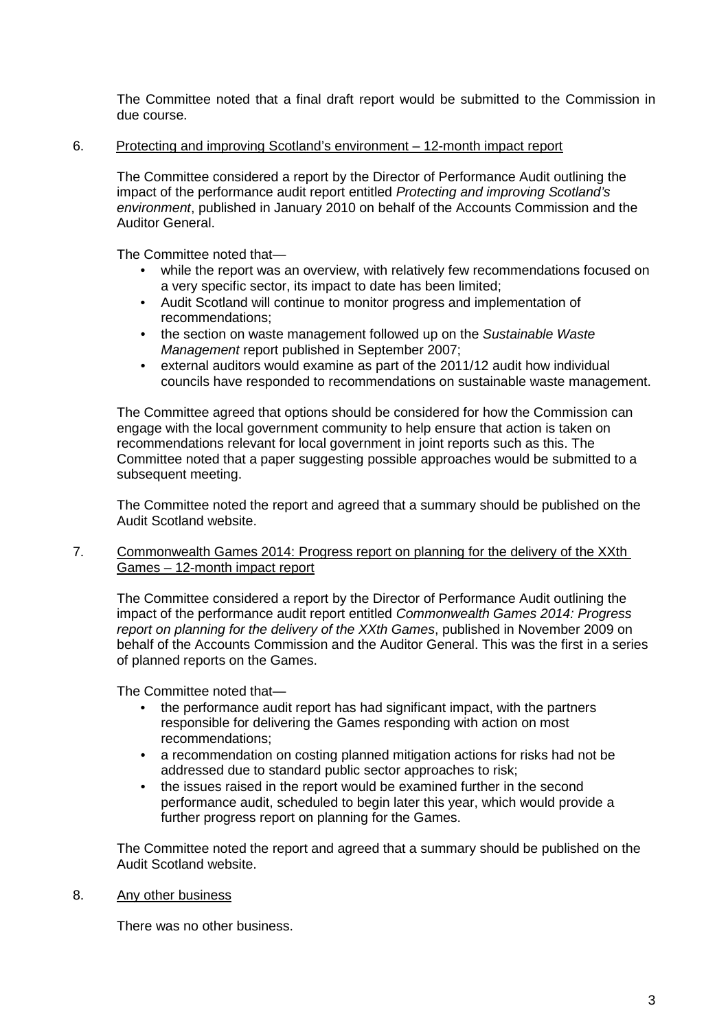The Committee noted that a final draft report would be submitted to the Commission in due course.

# 6. Protecting and improving Scotland's environment – 12-month impact report

 The Committee considered a report by the Director of Performance Audit outlining the impact of the performance audit report entitled *Protecting and improving Scotland's environment*, published in January 2010 on behalf of the Accounts Commission and the Auditor General.

The Committee noted that—

- while the report was an overview, with relatively few recommendations focused on a very specific sector, its impact to date has been limited;
- • Audit Scotland will continue to monitor progress and implementation of recommendations;
- *Management* report published in September 2007; • the section on waste management followed up on the *Sustainable Waste*
- • external auditors would examine as part of the 2011/12 audit how individual councils have responded to recommendations on sustainable waste management.

 recommendations relevant for local government in joint reports such as this. The subsequent meeting. The Committee agreed that options should be considered for how the Commission can engage with the local government community to help ensure that action is taken on Committee noted that a paper suggesting possible approaches would be submitted to a

The Committee noted the report and agreed that a summary should be published on the Audit Scotland website.

# 7. Commonwealth Games 2014: Progress report on planning for the delivery of the XXth Games – 12-month impact report

 The Committee considered a report by the Director of Performance Audit outlining the report on planning for the delivery of the XXth Games, published in November 2009 on behalf of the Accounts Commission and the Auditor General. This was the first in a series impact of the performance audit report entitled *Commonwealth Games 2014: Progress*  of planned reports on the Games.

The Committee noted that—

- the performance audit report has had significant impact, with the partners responsible for delivering the Games responding with action on most recommendations;
- a recommendation on costing planned mitigation actions for risks had not be addressed due to standard public sector approaches to risk;
- further progress report on planning for the Games. • the issues raised in the report would be examined further in the second performance audit, scheduled to begin later this year, which would provide a

The Committee noted the report and agreed that a summary should be published on the Audit Scotland website.

8. Any other business

There was no other business.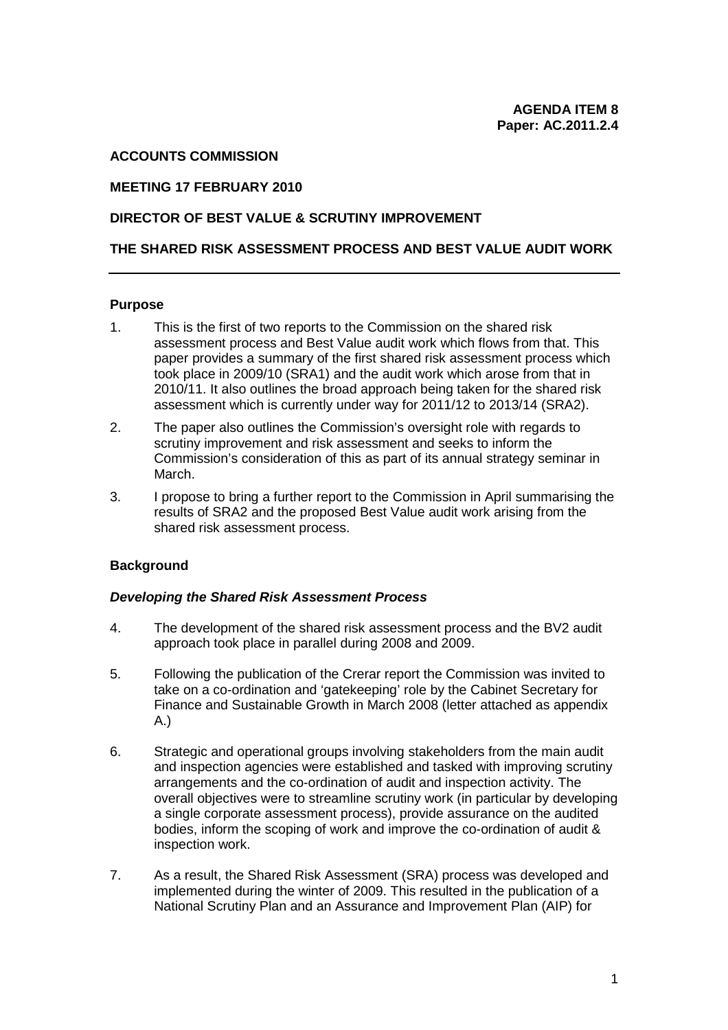# **ACCOUNTS COMMISSION**

## **MEETING 17 FEBRUARY 2010**

## **DIRECTOR OF BEST VALUE & SCRUTINY IMPROVEMENT**

## **THE SHARED RISK ASSESSMENT PROCESS AND BEST VALUE AUDIT WORK**

#### **Purpose**

- assessment process and Best Value audit work which flows from that. This 2010/11. It also outlines the broad approach being taken for the shared risk 1. This is the first of two reports to the Commission on the shared risk paper provides a summary of the first shared risk assessment process which took place in 2009/10 (SRA1) and the audit work which arose from that in assessment which is currently under way for 2011/12 to 2013/14 (SRA2).
- March. 2. The paper also outlines the Commission's oversight role with regards to scrutiny improvement and risk assessment and seeks to inform the Commission's consideration of this as part of its annual strategy seminar in
- March. 3. I propose to bring a further report to the Commission in April summarising the results of SRA2 and the proposed Best Value audit work arising from the shared risk assessment process.

### **Background**

### *Developing the Shared Risk Assessment Process*

- 4. The development of the shared risk assessment process and the BV2 audit approach took place in parallel during 2008 and 2009.
- 5. Following the publication of the Crerar report the Commission was invited to take on a co-ordination and 'gatekeeping' role by the Cabinet Secretary for Finance and Sustainable Growth in March 2008 (letter attached as appendix A.)
- and inspection agencies were established and tasked with improving scrutiny inspection work. 6. Strategic and operational groups involving stakeholders from the main audit arrangements and the co-ordination of audit and inspection activity. The overall objectives were to streamline scrutiny work (in particular by developing a single corporate assessment process), provide assurance on the audited bodies, inform the scoping of work and improve the co-ordination of audit &
- National Scrutiny Plan and an Assurance and Improvement Plan (AIP) for 7. As a result, the Shared Risk Assessment (SRA) process was developed and implemented during the winter of 2009. This resulted in the publication of a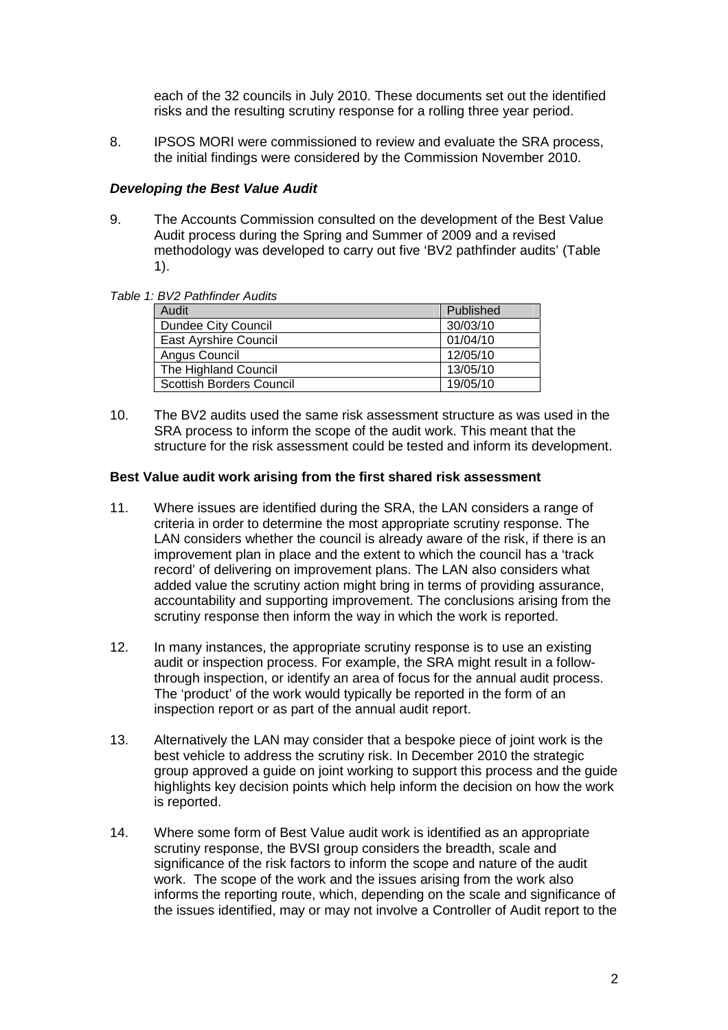each of the 32 councils in July 2010. These documents set out the identified risks and the resulting scrutiny response for a rolling three year period.

8. IPSOS MORI were commissioned to review and evaluate the SRA process, the initial findings were considered by the Commission November 2010.

# *Developing the Best Value Audit*

9. The Accounts Commission consulted on the development of the Best Value Audit process during the Spring and Summer of 2009 and a revised methodology was developed to carry out five 'BV2 pathfinder audits' (Table 1).

### *Table 1: BV2 Pathfinder Audits*

| Audit                           | Published |
|---------------------------------|-----------|
| <b>Dundee City Council</b>      | 30/03/10  |
| <b>East Ayrshire Council</b>    | 01/04/10  |
| Angus Council                   | 12/05/10  |
| The Highland Council            | 13/05/10  |
| <b>Scottish Borders Council</b> | 19/05/10  |

 SRA process to inform the scope of the audit work. This meant that the structure for the risk assessment could be tested and inform its development. 10. The BV2 audits used the same risk assessment structure as was used in the

## **Best Value audit work arising from the first shared risk assessment**

- criteria in order to determine the most appropriate scrutiny response. The LAN considers whether the council is already aware of the risk, if there is an 11. Where issues are identified during the SRA, the LAN considers a range of improvement plan in place and the extent to which the council has a 'track record' of delivering on improvement plans. The LAN also considers what added value the scrutiny action might bring in terms of providing assurance, accountability and supporting improvement. The conclusions arising from the scrutiny response then inform the way in which the work is reported.
- through inspection, or identify an area of focus for the annual audit process. The 'product' of the work would typically be reported in the form of an 12. In many instances, the appropriate scrutiny response is to use an existing audit or inspection process. For example, the SRA might result in a followinspection report or as part of the annual audit report.
- highlights key decision points which help inform the decision on how the work 13. Alternatively the LAN may consider that a bespoke piece of joint work is the best vehicle to address the scrutiny risk. In December 2010 the strategic group approved a guide on joint working to support this process and the guide is reported.
- the issues identified, may or may not involve a Controller of Audit report to the 14. Where some form of Best Value audit work is identified as an appropriate scrutiny response, the BVSI group considers the breadth, scale and significance of the risk factors to inform the scope and nature of the audit work. The scope of the work and the issues arising from the work also informs the reporting route, which, depending on the scale and significance of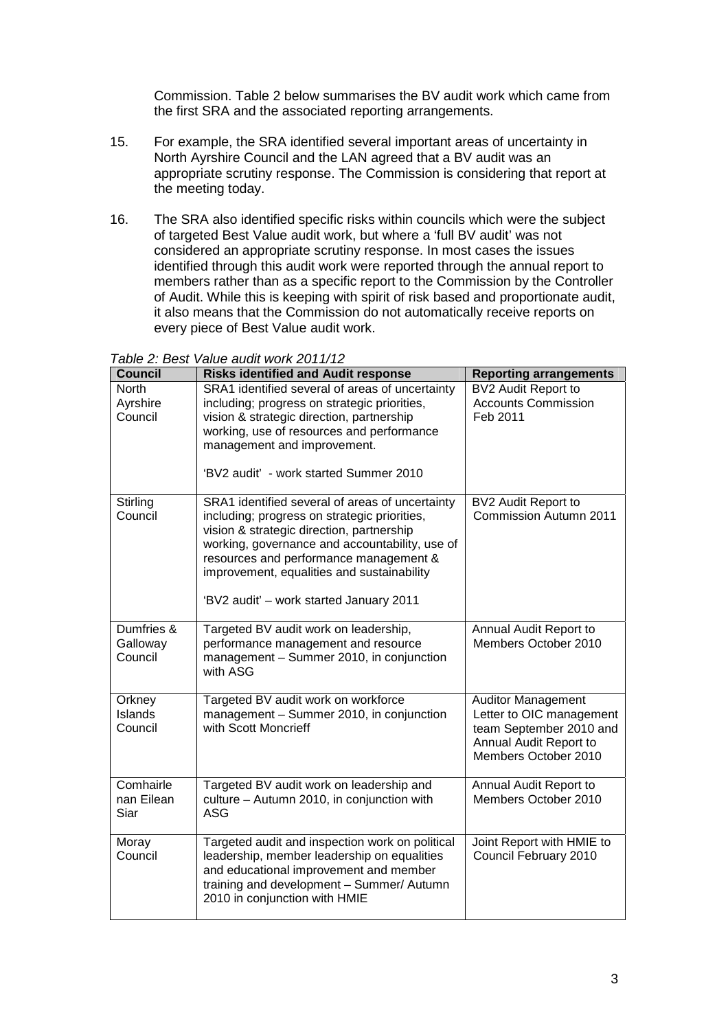Commission. Table 2 below summarises the BV audit work which came from the first SRA and the associated reporting arrangements.

- appropriate scrutiny response. The Commission is considering that report at 15. For example, the SRA identified several important areas of uncertainty in North Ayrshire Council and the LAN agreed that a BV audit was an the meeting today.
- 16. The SRA also identified specific risks within councils which were the subject of targeted Best Value audit work, but where a 'full BV audit' was not considered an appropriate scrutiny response. In most cases the issues identified through this audit work were reported through the annual report to members rather than as a specific report to the Commission by the Controller of Audit. While this is keeping with spirit of risk based and proportionate audit, it also means that the Commission do not automatically receive reports on every piece of Best Value audit work.

*Table 2: Best Value audit work 2011/12* 

| <u>UNIV L. DUVI</u><br><u>alus duult work zo Fiziki</u> |                                                                                           |                                               |  |
|---------------------------------------------------------|-------------------------------------------------------------------------------------------|-----------------------------------------------|--|
| <b>Council</b>                                          | <b>Risks identified and Audit response</b>                                                | <b>Reporting arrangements</b>                 |  |
| <b>North</b>                                            | SRA1 identified several of areas of uncertainty                                           | BV2 Audit Report to                           |  |
| Ayrshire                                                | including; progress on strategic priorities,                                              | <b>Accounts Commission</b>                    |  |
| Council                                                 | vision & strategic direction, partnership                                                 | Feb 2011                                      |  |
|                                                         | working, use of resources and performance                                                 |                                               |  |
|                                                         | management and improvement.                                                               |                                               |  |
|                                                         |                                                                                           |                                               |  |
|                                                         | 'BV2 audit' - work started Summer 2010                                                    |                                               |  |
|                                                         |                                                                                           |                                               |  |
| Stirling<br>Council                                     | SRA1 identified several of areas of uncertainty                                           | BV2 Audit Report to<br>Commission Autumn 2011 |  |
|                                                         | including; progress on strategic priorities,<br>vision & strategic direction, partnership |                                               |  |
|                                                         | working, governance and accountability, use of                                            |                                               |  |
|                                                         | resources and performance management &                                                    |                                               |  |
|                                                         | improvement, equalities and sustainability                                                |                                               |  |
|                                                         |                                                                                           |                                               |  |
|                                                         | 'BV2 audit' - work started January 2011                                                   |                                               |  |
|                                                         |                                                                                           |                                               |  |
| Dumfries &                                              | Targeted BV audit work on leadership,                                                     | Annual Audit Report to                        |  |
| Galloway                                                | performance management and resource                                                       | Members October 2010                          |  |
| Council                                                 | management - Summer 2010, in conjunction                                                  |                                               |  |
|                                                         | with ASG                                                                                  |                                               |  |
|                                                         |                                                                                           |                                               |  |
| Orkney                                                  | Targeted BV audit work on workforce                                                       | <b>Auditor Management</b>                     |  |
| Islands                                                 | management - Summer 2010, in conjunction                                                  | Letter to OIC management                      |  |
| Council                                                 | with Scott Moncrieff                                                                      | team September 2010 and                       |  |
|                                                         |                                                                                           | Annual Audit Report to                        |  |
|                                                         |                                                                                           | Members October 2010                          |  |
| Comhairle                                               | Targeted BV audit work on leadership and                                                  | Annual Audit Report to                        |  |
| nan Eilean                                              | culture - Autumn 2010, in conjunction with                                                | Members October 2010                          |  |
| Siar                                                    | <b>ASG</b>                                                                                |                                               |  |
|                                                         |                                                                                           |                                               |  |
| Moray                                                   | Targeted audit and inspection work on political                                           | Joint Report with HMIE to                     |  |
| Council                                                 | leadership, member leadership on equalities                                               | Council February 2010                         |  |
|                                                         | and educational improvement and member                                                    |                                               |  |
|                                                         | training and development - Summer/ Autumn                                                 |                                               |  |
|                                                         | 2010 in conjunction with HMIE                                                             |                                               |  |
|                                                         |                                                                                           |                                               |  |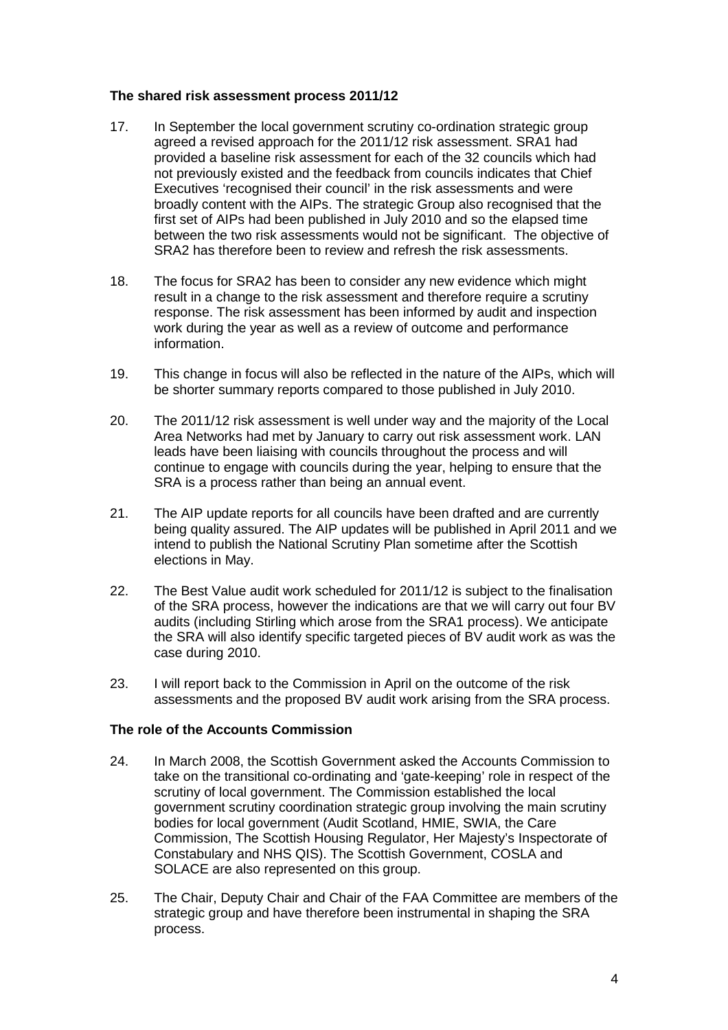# **The shared risk assessment process 2011/12**

- between the two risk assessments would not be significant. The objective of 17. In September the local government scrutiny co-ordination strategic group agreed a revised approach for the 2011/12 risk assessment. SRA1 had provided a baseline risk assessment for each of the 32 councils which had not previously existed and the feedback from councils indicates that Chief Executives 'recognised their council' in the risk assessments and were broadly content with the AIPs. The strategic Group also recognised that the first set of AIPs had been published in July 2010 and so the elapsed time SRA2 has therefore been to review and refresh the risk assessments.
- 18. The focus for SRA2 has been to consider any new evidence which might result in a change to the risk assessment and therefore require a scrutiny response. The risk assessment has been informed by audit and inspection work during the year as well as a review of outcome and performance information.
- 19. This change in focus will also be reflected in the nature of the AIPs, which will be shorter summary reports compared to those published in July 2010.
- 20. The 2011/12 risk assessment is well under way and the majority of the Local Area Networks had met by January to carry out risk assessment work. LAN leads have been liaising with councils throughout the process and will continue to engage with councils during the year, helping to ensure that the SRA is a process rather than being an annual event.
- 21. The AIP update reports for all councils have been drafted and are currently being quality assured. The AIP updates will be published in April 2011 and we intend to publish the National Scrutiny Plan sometime after the Scottish elections in May.
- 22. The Best Value audit work scheduled for 2011/12 is subject to the finalisation of the SRA process, however the indications are that we will carry out four BV audits (including Stirling which arose from the SRA1 process). We anticipate the SRA will also identify specific targeted pieces of BV audit work as was the case during 2010.
- 23. I will report back to the Commission in April on the outcome of the risk assessments and the proposed BV audit work arising from the SRA process.

# **The role of the Accounts Commission**

- Commission, The Scottish Housing Regulator, Her Majesty's Inspectorate of SOLACE are also represented on this group. 24. In March 2008, the Scottish Government asked the Accounts Commission to take on the transitional co-ordinating and 'gate-keeping' role in respect of the scrutiny of local government. The Commission established the local government scrutiny coordination strategic group involving the main scrutiny bodies for local government (Audit Scotland, HMIE, SWIA, the Care Constabulary and NHS QIS). The Scottish Government, COSLA and
- process. 25. The Chair, Deputy Chair and Chair of the FAA Committee are members of the strategic group and have therefore been instrumental in shaping the SRA process.<br>
4<br>
4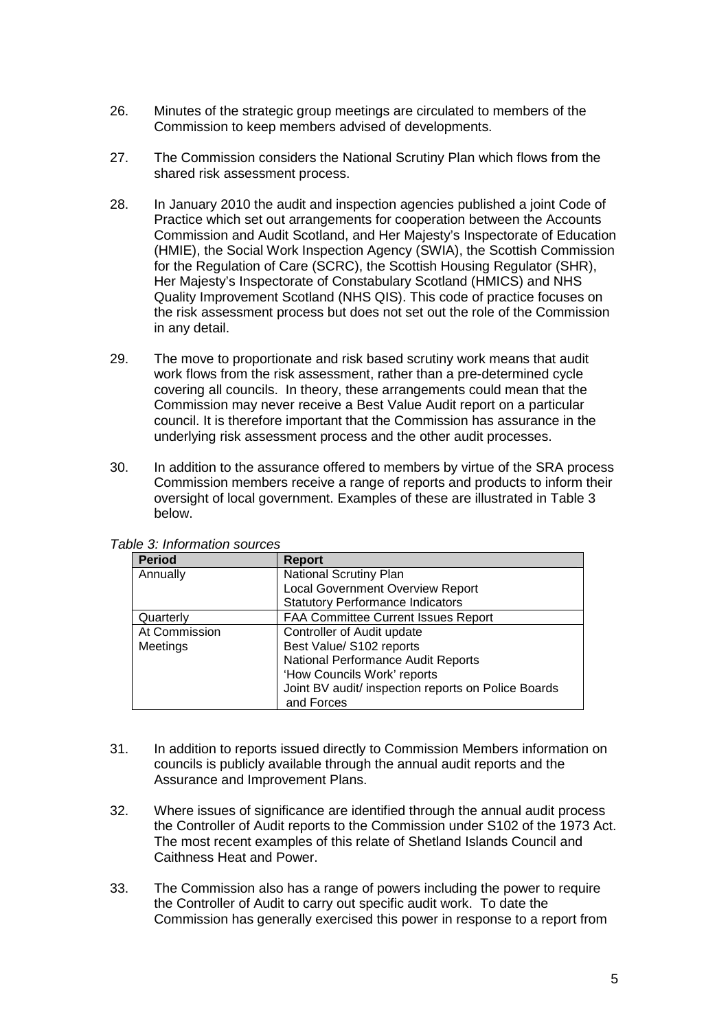- Commission to keep members advised of developments. 26. Minutes of the strategic group meetings are circulated to members of the
- 27. The Commission considers the National Scrutiny Plan which flows from the shared risk assessment process.
- in any detail. 28. In January 2010 the audit and inspection agencies published a joint Code of Practice which set out arrangements for cooperation between the Accounts Commission and Audit Scotland, and Her Majesty's Inspectorate of Education (HMIE), the Social Work Inspection Agency (SWIA), the Scottish Commission for the Regulation of Care (SCRC), the Scottish Housing Regulator (SHR), Her Majesty's Inspectorate of Constabulary Scotland (HMICS) and NHS Quality Improvement Scotland (NHS QIS). This code of practice focuses on the risk assessment process but does not set out the role of the Commission
- work flows from the risk assessment, rather than a pre-determined cycle covering all councils. In theory, these arrangements could mean that the 29. The move to proportionate and risk based scrutiny work means that audit Commission may never receive a Best Value Audit report on a particular council. It is therefore important that the Commission has assurance in the underlying risk assessment process and the other audit processes.
- Commission members receive a range of reports and products to inform their 30. In addition to the assurance offered to members by virtue of the SRA process oversight of local government. Examples of these are illustrated in Table 3 below.

| <b>Period</b> | <b>Report</b>                                       |  |
|---------------|-----------------------------------------------------|--|
| Annually      | <b>National Scrutiny Plan</b>                       |  |
|               | <b>Local Government Overview Report</b>             |  |
|               | <b>Statutory Performance Indicators</b>             |  |
| Quarterly     | FAA Committee Current Issues Report                 |  |
| At Commission | Controller of Audit update                          |  |
| Meetings      | Best Value/ S102 reports                            |  |
|               | National Performance Audit Reports                  |  |
|               | 'How Councils Work' reports                         |  |
|               | Joint BV audit/ inspection reports on Police Boards |  |
|               | and Forces                                          |  |

*Table 3: Information sources* 

- 31. In addition to reports issued directly to Commission Members information on councils is publicly available through the annual audit reports and the Assurance and Improvement Plans.
- 32. Where issues of significance are identified through the annual audit process the Controller of Audit reports to the Commission under S102 of the 1973 Act. The most recent examples of this relate of Shetland Islands Council and Caithness Heat and Power.
- 33. The Commission also has a range of powers including the power to require Commission has generally exercised this power in response to a report from the Controller of Audit to carry out specific audit work. To date the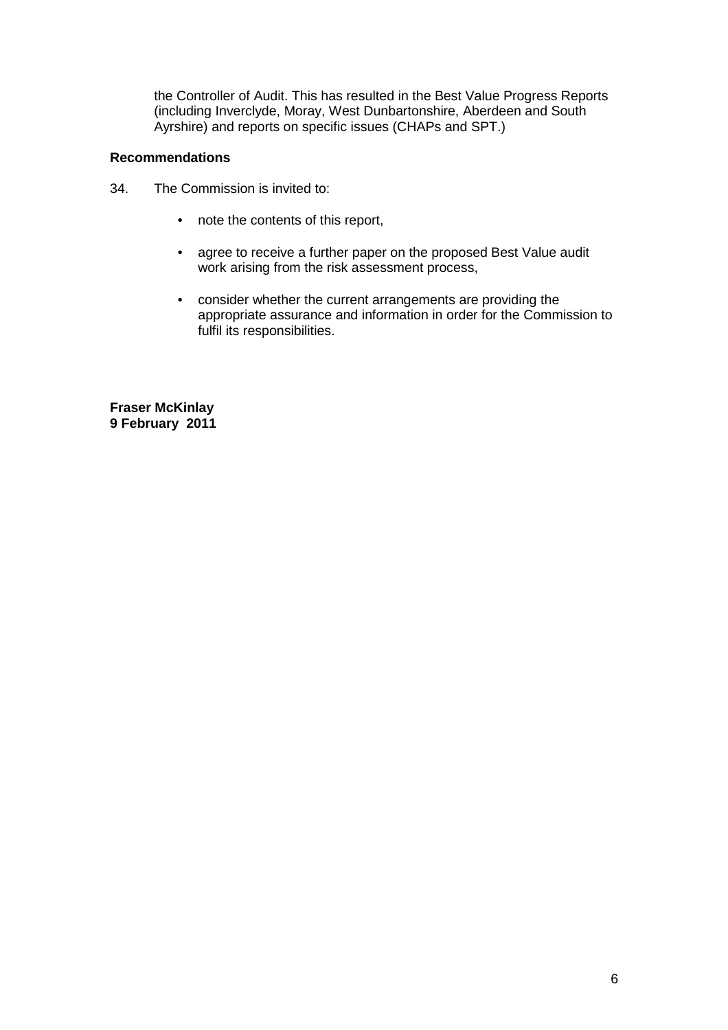the Controller of Audit. This has resulted in the Best Value Progress Reports (including Inverclyde, Moray, West Dunbartonshire, Aberdeen and South Ayrshire) and reports on specific issues (CHAPs and SPT.)

# **Recommendations**

- 34. The Commission is invited to:
	- note the contents of this report,
	- agree to receive a further paper on the proposed Best Value audit work arising from the risk assessment process,
	- appropriate assurance and information in order for the Commission to • consider whether the current arrangements are providing the fulfil its responsibilities.

**Fraser McKinlay 9 February 2011**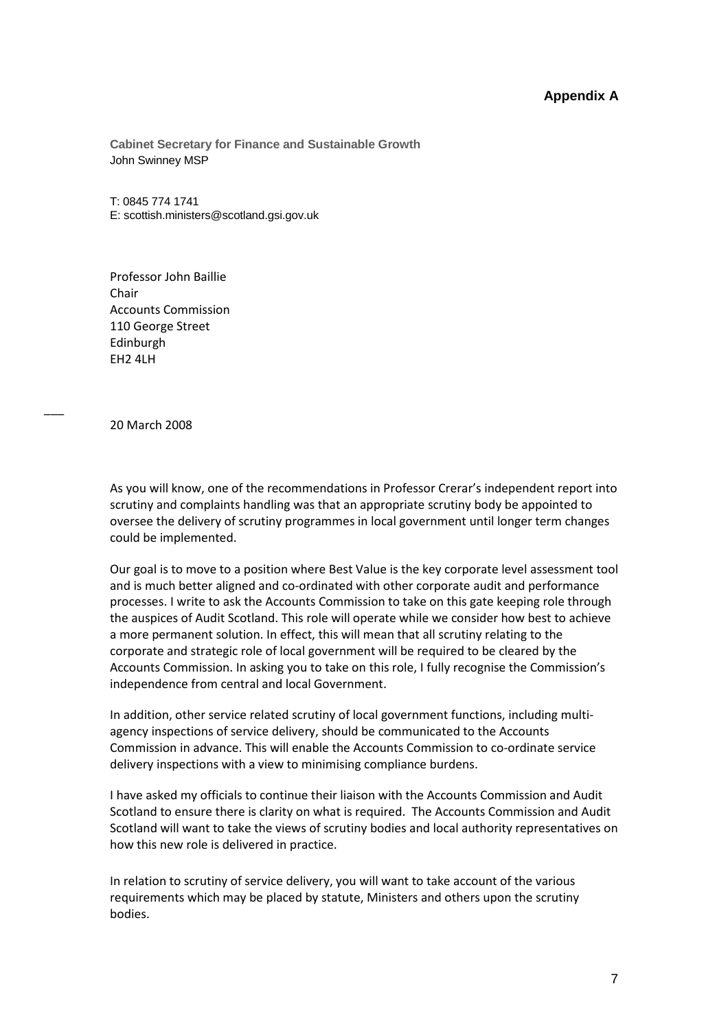# **Appendix A**

**Cabinet Secretary for Finance and Sustainable Growth**  John Swinney MSP

T: 0845 774 1741 E: scottish.ministers@scotland.gsi.gov.uk

Professor John Baillie Chair Accounts Commission 110 George Street Edinburgh EH2 4LH

20 March 2008

\_\_\_

As you will know, one of the recommendations in Professor Crerar's independent report into scrutiny and complaints handling was that an appropriate scrutiny body be appointed to oversee the delivery of scrutiny programmes in local government until longer term changes could be implemented.

 and is much better aligned and co-ordinated with other corporate audit and performance processes. I write to ask the Accounts Commission to take on this gate keeping role through Accounts Commission. In asking you to take on this role, I fully recognise the Commission's Our goal is to move to a position where Best Value is the key corporate level assessment tool the auspices of Audit Scotland. This role will operate while we consider how best to achieve a more permanent solution. In effect, this will mean that all scrutiny relating to the corporate and strategic role of local government will be required to be cleared by the independence from central and local Government.

 delivery inspections with a view to minimising compliance burdens. In addition, other service related scrutiny of local government functions, including multiagency inspections of service delivery, should be communicated to the Accounts Commission in advance. This will enable the Accounts Commission to co-ordinate service

 I have asked my officials to continue their liaison with the Accounts Commission and Audit Scotland to ensure there is clarity on what is required. The Accounts Commission and Audit Scotland will want to take the views of scrutiny bodies and local authority representatives on how this new role is delivered in practice.

In relation to scrutiny of service delivery, you will want to take account of the various requirements which may be placed by statute, Ministers and others upon the scrutiny bodies.